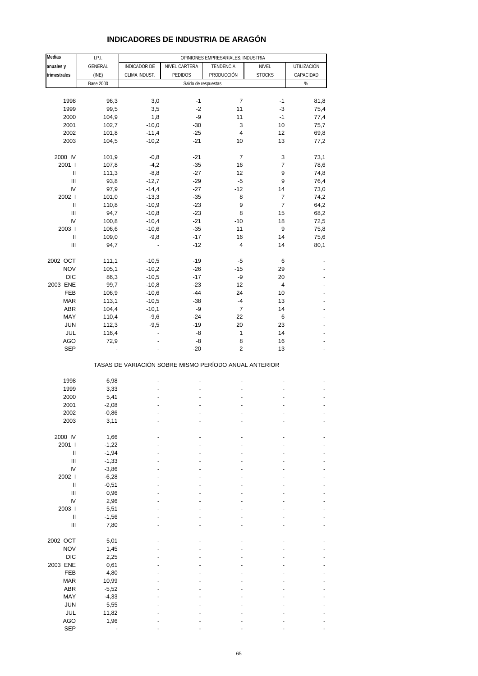| <b>Medias</b>                      | I.P.I.           |                     |                                                       | OPINIONES EMPRESARIALES: INDUSTRIA |                         |             |
|------------------------------------|------------------|---------------------|-------------------------------------------------------|------------------------------------|-------------------------|-------------|
| anuales y                          | GENERAL          | <b>INDICADOR DE</b> | NIVEL CARTERA                                         | TENDENCIA                          | NIVEL                   | UTILIZACIÓN |
| trimestrales                       | (INE)            | CLIMA INDUST.       | PEDIDOS                                               | PRODUCCIÓN                         | <b>STOCKS</b>           | CAPACIDAD   |
|                                    | <b>Base 2000</b> |                     | Saldo de respuestas                                   |                                    |                         | $\%$        |
|                                    |                  |                     |                                                       |                                    |                         |             |
| 1998                               | 96,3             | 3,0                 | $-1$                                                  | 7                                  | $-1$                    | 81,8        |
| 1999                               | 99,5             | 3,5                 | $-2$                                                  | 11                                 | $-3$                    | 75,4        |
| 2000                               | 104,9            | 1,8                 | -9                                                    | 11                                 | $-1$                    | 77,4        |
| 2001                               | 102,7            | $-10,0$             | $-30$                                                 | 3                                  | 10                      | 75,7        |
| 2002                               | 101,8            | $-11,4$             | $-25$                                                 | 4                                  | 12                      | 69,8        |
| 2003                               | 104,5            | $-10,2$             | $-21$                                                 | 10                                 | 13                      | 77,2        |
| 2000 IV                            | 101,9            | $-0,8$              | $-21$                                                 | $\overline{7}$                     | 3                       | 73,1        |
| 2001 l                             | 107,8            | $-4,2$              | $-35$                                                 | 16                                 | 7                       | 78,6        |
| Ш                                  | 111,3            | $-8,8$              | $-27$                                                 | 12                                 | 9                       | 74,8        |
| $\ensuremath{\mathsf{III}}\xspace$ | 93,8             | $-12,7$             | $-29$                                                 | $-5$                               | 9                       | 76,4        |
| IV                                 | 97,9             | $-14,4$             | $-27$                                                 | $-12$                              | 14                      | 73,0        |
| 2002                               | 101,0            | $-13,3$             | $-35$                                                 | 8                                  | 7                       | 74,2        |
| $\ensuremath{\mathsf{II}}$         | 110,8            | $-10,9$             | $-23$                                                 | 9                                  | $\overline{7}$          | 64,2        |
| $\ensuremath{\mathsf{III}}\xspace$ | 94,7             | $-10,8$             | $-23$                                                 | 8                                  | 15                      | 68,2        |
| IV                                 | 100,8            | $-10,4$             | $-21$                                                 | $-10$                              | 18                      | 72,5        |
| 2003                               | 106,6            | $-10,6$             | $-35$                                                 | 11                                 | 9                       | 75,8        |
| Ш                                  | 109,0            | $-9,8$              | $-17$                                                 | 16                                 | 14                      | 75,6        |
| Ш                                  | 94,7             |                     | $-12$                                                 | 4                                  | 14                      | 80,1        |
| 2002 OCT                           | 111,1            | $-10,5$             | $-19$                                                 | $-5$                               | 6                       |             |
| <b>NOV</b>                         | 105,1            | $-10,2$             | $-26$                                                 | $-15$                              | 29                      |             |
| <b>DIC</b>                         | 86,3             | $-10,5$             | $-17$                                                 | -9                                 | 20                      |             |
| 2003 ENE                           | 99,7             | $-10,8$             | $-23$                                                 | 12                                 | $\overline{\mathbf{4}}$ |             |
| FEB                                | 106,9            | $-10,6$             | $-44$                                                 | 24                                 | 10                      |             |
| <b>MAR</b>                         | 113,1            | $-10,5$             | $-38$                                                 | $-4$                               | 13                      |             |
| <b>ABR</b>                         | 104,4            | $-10,1$             | -9                                                    | $\overline{7}$                     | 14                      |             |
| MAY                                | 110,4            | $-9,6$              | $-24$                                                 | 22                                 | 6                       |             |
| <b>JUN</b>                         | 112,3            | $-9,5$              | $-19$                                                 | 20                                 | 23                      |             |
| JUL                                | 116,4            |                     | -8                                                    | 1                                  | 14                      |             |
| AGO                                | 72,9             |                     | -8                                                    | 8                                  | 16                      |             |
| <b>SEP</b>                         |                  |                     | $-20$                                                 | $\overline{c}$                     | 13                      |             |
|                                    |                  |                     | TASAS DE VARIACIÓN SOBRE MISMO PERÍODO ANUAL ANTERIOR |                                    |                         |             |
|                                    |                  |                     |                                                       |                                    |                         |             |
| 1998                               | 6,98             |                     |                                                       |                                    |                         |             |
| 1999                               | 3,33             |                     |                                                       |                                    |                         |             |
| 2000                               | 5,41             |                     |                                                       |                                    |                         |             |
| 2001                               | $-2,08$          |                     |                                                       |                                    |                         |             |
| 2002                               | -0,86            |                     |                                                       |                                    |                         |             |
| 2003                               | 3,11             |                     |                                                       |                                    |                         |             |
| 2000 IV                            | 1,66             |                     |                                                       |                                    |                         |             |
| 2001 l                             | $-1,22$          |                     |                                                       |                                    |                         |             |
| $\sf II$                           | $-1,94$          |                     |                                                       |                                    |                         |             |
| $\ensuremath{\mathsf{III}}\xspace$ | $-1,33$          |                     |                                                       |                                    |                         |             |
| IV                                 | $-3,86$          |                     |                                                       |                                    |                         |             |
| 2002 l                             | $-6,28$          |                     |                                                       |                                    |                         |             |
| $\sf II$                           | $-0,51$          |                     |                                                       |                                    |                         |             |
| $\mathbf{III}$                     | 0,96             |                     |                                                       |                                    |                         |             |
| IV                                 | 2,96             |                     |                                                       |                                    |                         |             |
| 2003 l                             | 5,51             |                     |                                                       |                                    |                         |             |
| $\sf II$                           | $-1,56$          |                     |                                                       |                                    |                         |             |
| $\ensuremath{\mathsf{III}}\xspace$ | 7,80             |                     |                                                       |                                    |                         |             |
| 2002 OCT                           | 5,01             |                     |                                                       |                                    |                         |             |
| <b>NOV</b>                         | 1,45             |                     |                                                       |                                    |                         |             |
| $DIC$                              | 2,25             |                     |                                                       |                                    |                         |             |
| 2003 ENE                           | 0,61             |                     |                                                       |                                    |                         |             |
| FEB                                | 4,80             |                     |                                                       |                                    |                         |             |
| <b>MAR</b>                         | 10,99            |                     |                                                       |                                    |                         |             |
| ABR                                | $-5,52$          |                     |                                                       |                                    |                         |             |
| MAY                                | $-4,33$          |                     |                                                       |                                    |                         |             |
| JUN                                | 5,55             |                     |                                                       |                                    |                         |             |
| JUL                                | 11,82            |                     |                                                       |                                    |                         |             |
| AGO                                | 1,96             |                     |                                                       |                                    |                         |             |
| <b>SEP</b>                         |                  |                     |                                                       |                                    |                         |             |

# **INDICADORES DE INDUSTRIA DE ARAGÓN**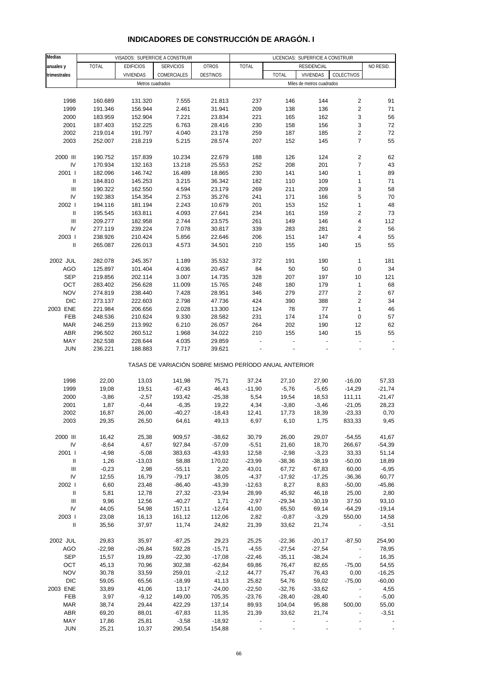| Medias                             |          |                  | VISADOS: SUPERFICIE A CONSTRUIR                       |                 |          |              | LICENCIAS: SUPERFICIE A CONSTRUIR |                          |           |
|------------------------------------|----------|------------------|-------------------------------------------------------|-----------------|----------|--------------|-----------------------------------|--------------------------|-----------|
| anuales y                          | TOTAL    | <b>EDIFICIOS</b> | <b>SERVICIOS</b>                                      | OTROS           | TOTAL    |              | RESIDENCIAL                       |                          | NO RESID. |
| trimestrales                       |          | <b>VIVIENDAS</b> | COMERCIALES                                           | <b>DESTINOS</b> |          | <b>TOTAL</b> | <b>VIVIENDAS</b>                  | COLECTIVOS               |           |
|                                    |          |                  | Metros cuadrados                                      |                 |          |              | Miles de metros cuadrados         |                          |           |
|                                    |          |                  |                                                       |                 |          |              |                                   |                          |           |
|                                    |          |                  |                                                       |                 |          |              |                                   |                          |           |
| 1998                               | 160.689  | 131.320          | 7.555                                                 | 21.813          | 237      | 146          | 144                               | $\overline{2}$           | 91        |
| 1999                               | 191.346  | 156.944          | 2.461                                                 | 31.941          | 209      | 138          | 136                               | $\sqrt{2}$               | 71        |
| 2000                               | 183.959  | 152.904          | 7.221                                                 | 23.834          | 221      | 165          | 162                               | 3                        | 56        |
| 2001                               | 187.403  | 152.225          | 6.763                                                 | 28.416          | 230      | 158          | 156                               | 3                        | 72        |
| 2002                               | 219.014  | 191.797          | 4.040                                                 | 23.178          | 259      | 187          | 185                               | $\mathbf 2$              | 72        |
| 2003                               | 252.007  | 218.219          | 5.215                                                 | 28.574          | 207      | 152          | 145                               | $\overline{7}$           | 55        |
|                                    |          |                  |                                                       |                 |          |              |                                   |                          |           |
| 2000 III                           | 190.752  | 157.839          | 10.234                                                | 22.679          | 188      | 126          | 124                               | $\sqrt{2}$               | 62        |
| IV                                 | 170.934  | 132.163          | 13.218                                                | 25.553          | 252      | 208          | 201                               | $\boldsymbol{7}$         | 43        |
| 2001 l                             | 182.096  | 146.742          | 16.489                                                | 18.865          | 230      | 141          | 140                               | $\mathbf{1}$             | 89        |
| $\sf II$                           | 184.810  | 145.253          | 3.215                                                 | 36.342          | 182      | 110          | 109                               | $\mathbf{1}$             | 71        |
| $\ensuremath{\mathsf{III}}\xspace$ | 190.322  | 162.550          | 4.594                                                 | 23.179          | 269      | 211          | 209                               | 3                        | 58        |
| IV                                 | 192.383  | 154.354          | 2.753                                                 | 35.276          | 241      | 171          | 166                               | 5                        | 70        |
| 2002 l                             | 194.116  | 181.194          | 2.243                                                 | 10.679          | 201      | 153          | 152                               | $\mathbf{1}$             | 48        |
|                                    |          |                  |                                                       |                 |          |              |                                   |                          |           |
| $\, \parallel$                     | 195.545  | 163.811          | 4.093                                                 | 27.641          | 234      | 161          | 159                               | $\sqrt{2}$               | 73        |
| $\ensuremath{\mathsf{III}}\xspace$ | 209.277  | 182.958          | 2.744                                                 | 23.575          | 261      | 149          | 146                               | $\overline{\mathbf{4}}$  | 112       |
| IV                                 | 277.119  | 239.224          | 7.078                                                 | 30.817          | 339      | 283          | 281                               | $\sqrt{2}$               | 56        |
| 2003                               | 238.926  | 210.424          | 5.856                                                 | 22.646          | 206      | 151          | 147                               | $\overline{\mathbf{4}}$  | 55        |
| Ш                                  | 265.087  | 226.013          | 4.573                                                 | 34.501          | 210      | 155          | 140                               | 15                       | 55        |
|                                    |          |                  |                                                       |                 |          |              |                                   |                          |           |
| 2002 JUL                           | 282.078  | 245.357          | 1.189                                                 | 35.532          | 372      | 191          | 190                               | $\mathbf{1}$             | 181       |
| <b>AGO</b>                         | 125.897  | 101.404          | 4.036                                                 | 20.457          | 84       | 50           | 50                                | $\pmb{0}$                | 34        |
| <b>SEP</b>                         | 219.856  | 202.114          | 3.007                                                 | 14.735          | 328      | 207          | 197                               | 10                       | 121       |
| OCT                                | 283.402  | 256.628          | 11.009                                                | 15.765          | 248      | 180          | 179                               | $\mathbf{1}$             | 68        |
| <b>NOV</b>                         | 274.819  | 238.440          | 7.428                                                 | 28.951          | 346      | 279          | 277                               | $\sqrt{2}$               | 67        |
| <b>DIC</b>                         | 273.137  | 222.603          | 2.798                                                 | 47.736          | 424      | 390          | 388                               | $\sqrt{2}$               | 34        |
| 2003 ENE                           | 221.984  |                  | 2.028                                                 | 13.300          | 124      | 78           | $77\,$                            | $\mathbf{1}$             | 46        |
|                                    |          | 206.656          |                                                       |                 |          |              |                                   |                          |           |
| FEB                                | 248.536  | 210.624          | 9.330                                                 | 28.582          | 231      | 174          | 174                               | $\pmb{0}$                | 57        |
| <b>MAR</b>                         | 246.259  | 213.992          | 6.210                                                 | 26.057          | 264      | 202          | 190                               | 12                       | 62        |
| <b>ABR</b>                         | 296.502  | 260.512          | 1.968                                                 | 34.022          | 210      | 155          | 140                               | 15                       | 55        |
| MAY                                | 262.538  | 228.644          | 4.035                                                 | 29.859          |          |              |                                   |                          |           |
| <b>JUN</b>                         | 236.221  | 188.883          | 7.717                                                 | 39.621          |          |              |                                   |                          |           |
|                                    |          |                  | TASAS DE VARIACIÓN SOBRE MISMO PERÍODO ANUAL ANTERIOR |                 |          |              |                                   |                          |           |
|                                    |          |                  |                                                       |                 |          |              |                                   |                          |           |
| 1998                               | 22,00    | 13,03            | 141,98                                                | 75,71           | 37,24    | 27,10        | 27,90                             | $-16,00$                 | 57,33     |
| 1999                               | 19,08    | 19,51            | $-67,43$                                              | 46,43           | $-11,90$ | $-5,76$      | $-5,65$                           | $-14,29$                 | $-21,74$  |
| 2000                               | $-3,86$  | $-2,57$          | 193,42                                                | $-25,38$        | 5,54     | 19,54        | 18,53                             | 111,11                   | $-21,47$  |
| 2001                               | 1,87     | $-0,44$          | $-6,35$                                               | 19,22           | 4,34     | $-3,80$      | $-3,46$                           | $-21,05$                 | 28,23     |
| 2002                               | 16,87    | 26,00            | -40,27                                                | -18,43          | 12,41    | 17,73        | 18,39                             | -23,33                   | 0,70      |
| 2003                               | 29,35    | 26,50            | 64,61                                                 | 49,13           | 6,97     | 6,10         | 1,75                              | 833,33                   | 9,45      |
|                                    |          |                  |                                                       |                 |          |              |                                   |                          |           |
| 2000 III                           | 16,42    | 25,38            | 909,57                                                | $-38,62$        | 30,79    | 26,00        | 29,07                             | $-54,55$                 | 41,67     |
| IV                                 | $-8,64$  | 4,67             | 927,84                                                | $-57,09$        | $-5,51$  | 21,60        | 18,70                             | 266,67                   | $-54,39$  |
| 2001 l                             | $-4,98$  | $-5,08$          | 383,63                                                | $-43,93$        | 12,58    | $-2,98$      | $-3,23$                           | 33,33                    | 51,14     |
| Ш                                  | 1,26     | $-13,03$         | 58,88                                                 | 170,02          | $-23,99$ | $-38,36$     | $-38,19$                          | $-50,00$                 | 18,89     |
| III                                | $-0,23$  | 2,98             | $-55,11$                                              | 2,20            | 43,01    | 67,72        | 67,83                             | 60,00                    | $-6,95$   |
| IV                                 | 12,55    | 16,79            | $-79,17$                                              | 38,05           | $-4,37$  | $-17,92$     | $-17,25$                          | $-36,36$                 | 60,77     |
| 2002 l                             | 6,60     | 23,48            | $-86,40$                                              | $-43,39$        | $-12,63$ | 8,27         | 8,83                              | $-50,00$                 | $-45,86$  |
| $\mathbf{II}$                      | 5,81     | 12,78            | 27,32                                                 | $-23,94$        | 28,99    | 45,92        | 46,18                             | 25,00                    | 2,80      |
| Ш                                  |          |                  |                                                       |                 |          |              |                                   |                          |           |
|                                    | 9,96     | 12,56            | $-40,27$                                              | 1,71            | $-2,97$  | $-29,34$     | $-30,19$                          | 37,50                    | 93,10     |
| IV                                 | 44,05    | 54,98            | 157,11                                                | $-12,64$        | 41,00    | 65,50        | 69,14                             | $-64,29$                 | $-19,14$  |
| 2003                               | 23,08    | 16,13            | 161,12                                                | 112,06          | 2,82     | $-0,87$      | $-3,29$                           | 550,00                   | 14,58     |
| $\, \parallel$                     | 35,56    | 37,97            | 11,74                                                 | 24,82           | 21,39    | 33,62        | 21,74                             |                          | $-3,51$   |
| 2002 JUL                           | 29,83    | 35,97            | $-87,25$                                              | 29,23           | 25,25    | $-22,36$     | $-20,17$                          | $-87,50$                 | 254,90    |
| <b>AGO</b>                         | $-22,98$ | $-26,84$         | 592,28                                                | $-15,71$        | $-4,55$  | $-27,54$     | $-27,54$                          |                          | 78,95     |
| <b>SEP</b>                         | 15,57    | 19,89            | $-22,30$                                              | $-17,08$        | $-22,46$ | $-35,11$     | $-38,24$                          | $\overline{\phantom{a}}$ | 16,35     |
| OCT                                | 45,13    | 70,96            | 302,38                                                | $-62,84$        | 69,86    | 76,47        | 82,65                             | $-75,00$                 | 54,55     |
| <b>NOV</b>                         | 30,78    | 33,59            | 259,01                                                | $-2,12$         | 44,77    | 75,47        | 76,43                             | 0,00                     | $-16,25$  |
| <b>DIC</b>                         |          |                  |                                                       |                 |          |              |                                   |                          |           |
|                                    | 59,05    | 65,56            | $-18,99$                                              | 41,13           | 25,82    | 54,76        | 59,02                             | $-75,00$                 | $-60,00$  |
| 2003 ENE                           | 33,89    | 41,06            | 13,17                                                 | $-24,00$        | $-22,50$ | $-32,76$     | $-33,62$                          | $\overline{\phantom{a}}$ | 4,55      |
| FEB                                | 3,97     | $-9,12$          | 149,00                                                | 705,35          | $-23,76$ | $-28,40$     | $-28,40$                          |                          | $-5,00$   |
| <b>MAR</b>                         | 38,74    | 29,44            | 422,29                                                | 137,14          | 89,93    | 104,04       | 95,88                             | 500,00                   | 55,00     |
| <b>ABR</b>                         | 69,20    | 88,01            | $-67,83$                                              | 11,35           | 21,39    | 33,62        | 21,74                             |                          | $-3,51$   |
| MAY                                | 17,86    | 25,81            | $-3,58$                                               | $-18,92$        |          |              |                                   |                          |           |
| <b>JUN</b>                         | 25,21    | 10,37            | 290,54                                                | 154,88          |          |              |                                   |                          |           |

# **INDICADORES DE CONSTRUCCIÓN DE ARAGÓN. I**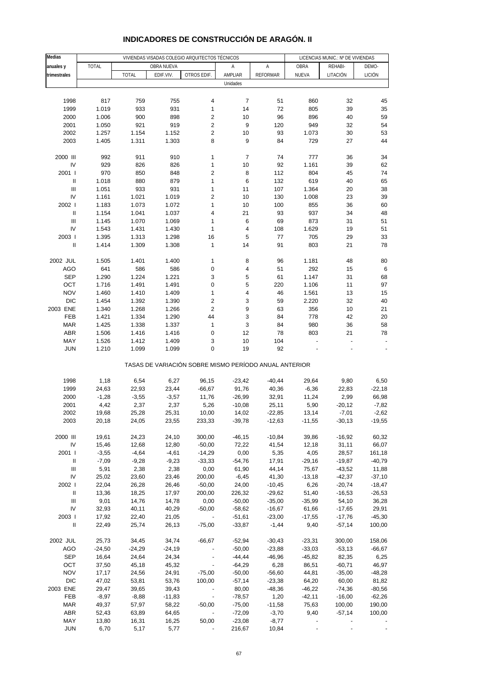| <b>Medias</b>                      | VIVIENDAS VISADAS COLEGIO ARQUITECTOS TÉCNICOS |                    |                    |                                                       |                      |                  | LICENCIAS MUNIC.: Nº DE VIVIENDAS |                      |                    |
|------------------------------------|------------------------------------------------|--------------------|--------------------|-------------------------------------------------------|----------------------|------------------|-----------------------------------|----------------------|--------------------|
| anuales y                          | <b>TOTAL</b>                                   |                    | OBRA NUEVA         |                                                       | Α                    | Α                | OBRA                              | REHABI-              | DEMO-              |
| trimestrales                       |                                                | <b>TOTAL</b>       | EDIF.VIV.          | OTROS EDIF.                                           | AMPLIAR              | <b>REFORMAR</b>  | NUEVA                             | LITACIÓN             | <b>LICIÓN</b>      |
|                                    |                                                |                    |                    |                                                       | Unidades             |                  |                                   |                      |                    |
|                                    |                                                |                    |                    |                                                       |                      |                  |                                   |                      |                    |
| 1998                               | 817                                            | 759                | 755                | 4                                                     | $\overline{7}$       | 51               | 860                               | 32                   | 45                 |
| 1999                               | 1.019                                          | 933                | 931                | $\mathbf{1}$                                          | 14                   | 72               | 805                               | 39                   | 35                 |
| 2000                               | 1.006                                          | 900                | 898                | 2                                                     | 10                   | 96               | 896                               | 40                   | 59                 |
| 2001                               | 1.050                                          | 921                | 919                | 2                                                     | 9                    | 120              | 949                               | 32                   | 54                 |
| 2002                               | 1.257                                          | 1.154              | 1.152              | $\overline{\mathbf{c}}$                               | 10                   | 93               | 1.073                             | $30\,$               | 53                 |
| 2003                               | 1.405                                          | 1.311              | 1.303              | 8                                                     | 9                    | 84               | 729                               | 27                   | 44                 |
| 2000 III                           | 992                                            | 911                | 910                | 1                                                     | $\overline{7}$       | 74               | 777                               | 36                   | 34                 |
| IV                                 | 929                                            | 826                | 826                | $\mathbf{1}$                                          | 10                   | 92               | 1.161                             | 39                   | 62                 |
| 2001 l                             | 970                                            | 850                | 848                | $\overline{\mathbf{c}}$                               | 8                    | 112              | 804                               | 45                   | 74                 |
| $\sf II$                           | 1.018                                          | 880                | 879                | $\mathbf{1}$                                          | 6                    | 132              | 619                               | 40                   | 65                 |
| Ш                                  | 1.051                                          | 933                | 931                | $\mathbf{1}$                                          | 11                   | 107              | 1.364                             | 20                   | 38                 |
| IV                                 | 1.161                                          | 1.021              | 1.019              | 2                                                     | 10                   | 130              | 1.008                             | 23                   | 39                 |
| 2002 l                             | 1.183                                          | 1.073              | 1.072              | $\mathbf{1}$                                          | 10                   | 100              | 855                               | 36                   | 60                 |
| $\sf II$                           | 1.154                                          | 1.041              | 1.037              | 4                                                     | 21                   | 93               | 937                               | 34                   | 48                 |
| Ш                                  | 1.145                                          | 1.070              | 1.069              | 1                                                     | 6                    | 69               | 873                               | 31                   | 51                 |
| IV                                 | 1.543                                          | 1.431              | 1.430              | 1                                                     | 4                    | 108              | 1.629                             | 19                   | 51                 |
| 2003                               | 1.395                                          | 1.313              | 1.298              | 16                                                    | 5                    | 77               | 705                               | 29                   | 33                 |
| $\mathbf{I}$                       | 1.414                                          | 1.309              | 1.308              | $\mathbf{1}$                                          | 14                   | 91               | 803                               | 21                   | 78                 |
| 2002 JUL                           | 1.505                                          | 1.401              | 1.400              | 1                                                     | 8                    | 96               | 1.181                             | 48                   | 80                 |
| <b>AGO</b>                         | 641                                            | 586                | 586                | 0                                                     | 4                    | 51               | 292                               | 15                   | 6                  |
| <b>SEP</b>                         | 1.290                                          | 1.224              | 1.221              | 3                                                     | 5                    | 61               | 1.147                             | 31                   | 68                 |
| OCT                                | 1.716                                          | 1.491              | 1.491              | 0                                                     | 5                    | 220              | 1.106                             | 11                   | 97                 |
| <b>NOV</b>                         | 1.460                                          | 1.410              | 1.409              | 1                                                     | 4                    | 46               | 1.561                             | 13                   | 15                 |
| <b>DIC</b>                         | 1.454                                          | 1.392              | 1.390              | $\overline{\mathbf{c}}$                               | 3                    | 59               | 2.220                             | 32                   | 40                 |
| 2003 ENE                           | 1.340                                          | 1.268              | 1.266              | $\overline{2}$                                        | 9                    | 63               | 356                               | 10                   | 21                 |
| FEB                                | 1.421                                          | 1.334              | 1.290              | 44                                                    | 3                    | 84               | 778                               | 42                   | 20                 |
| <b>MAR</b>                         | 1.425                                          | 1.338              | 1.337              | 1                                                     | 3                    | 84               | 980                               | 36                   | 58                 |
| ABR                                | 1.506                                          | 1.416              | 1.416              | 0                                                     | 12                   | 78               | 803                               | 21                   | 78                 |
| MAY                                | 1.526                                          | 1.412              | 1.409              | 3                                                     | 10                   | 104              |                                   | $\overline{a}$       |                    |
| <b>JUN</b>                         | 1.210                                          | 1.099              | 1.099              | $\mathbf 0$                                           | 19                   | 92               |                                   |                      |                    |
|                                    |                                                |                    |                    | TASAS DE VARIACIÓN SOBRE MISMO PERÍODO ANUAL ANTERIOR |                      |                  |                                   |                      |                    |
| 1998                               | 1,18                                           | 6,54               | 6,27               | 96,15                                                 | $-23,42$             | $-40,44$         | 29,64                             | 9,80                 | 6,50               |
| 1999                               | 24,63                                          | 22,93              | 23,44              | $-66,67$                                              | 91,76                | 40,36            | $-6,36$                           | 22,83                | $-22,18$           |
| 2000                               | $-1,28$                                        | $-3,55$            | $-3,57$            | 11,76                                                 | $-26,99$             | 32,91            | 11,24                             | 2,99                 | 66,98              |
| 2001                               | 4,42                                           | 2,37               | 2,37               | 5,26                                                  | $-10,08$             | 25,11            | 5,90                              | $-20,12$             | $-7,82$            |
| 2002                               | 19,68                                          | 25,28              | 25,31              | 10,00                                                 | 14,02                | -22,85           | 13,14                             | $-7,01$              | $-2,62$            |
| 2003                               | 20,18                                          | 24,05              | 23,55              | 233,33                                                | $-39,78$             | $-12,63$         | $-11,55$                          | $-30,13$             | $-19,55$           |
|                                    |                                                |                    |                    |                                                       |                      |                  |                                   |                      |                    |
| 2000 III                           | 19,61                                          | 24,23              | 24,10              | 300,00                                                | $-46,15$             | $-10,84$         | 39,86                             | $-16,92$             | 60,32              |
| IV                                 | 15,46                                          | 12,68              | 12,80              | $-50,00$                                              | 72,22                | 41,54            | 12,18                             | 31,11                | 66,07              |
| 2001 l<br>Ш                        | $-3,55$                                        | $-4,64$<br>$-9,28$ | $-4,61$<br>$-9,23$ | $-14,29$<br>$-33,33$                                  | 0,00                 | 5,35<br>17,91    | 4,05<br>$-29,16$                  | 28,57<br>$-19,87$    | 161,18<br>$-40,79$ |
| Ш                                  | $-7,09$<br>5,91                                | 2,38               | 2,38               | 0,00                                                  | $-54,76$<br>61,90    | 44,14            | 75,67                             | $-43,52$             | 11,88              |
| IV                                 | 25,02                                          | 23,60              | 23,46              | 200,00                                                | $-6,45$              | 41,30            | $-13,18$                          | $-42,37$             | $-37,10$           |
| 2002 l                             | 22,04                                          | 26,28              | 26,46              | $-50,00$                                              | 24,00                | $-10,45$         | 6,26                              | $-20,74$             | $-18,47$           |
| $\ensuremath{\mathsf{II}}$         | 13,36                                          | 18,25              | 17,97              | 200,00                                                | 226,32               | $-29,62$         | 51,40                             | $-16,53$             | $-26,53$           |
| $\ensuremath{\mathsf{III}}\xspace$ | 9,01                                           | 14,76              | 14,78              | 0,00                                                  | $-50,00$             | $-35,00$         | $-35,99$                          | 54,10                | 36,28              |
| IV                                 | 32,93                                          | 40,11              | 40,29              | $-50,00$                                              | $-58,62$             | $-16,67$         | 61,66                             | $-17,65$             | 29,91              |
| 2003                               | 17,92                                          | 22,40              | 21,05              | $\overline{\phantom{a}}$                              | $-51,61$             | $-23,00$         | $-17,55$                          | $-17,76$             | $-45,30$           |
| $\ensuremath{\mathsf{II}}$         | 22,49                                          | 25,74              | 26,13              | $-75,00$                                              | $-33,87$             | $-1,44$          | 9,40                              | $-57,14$             | 100,00             |
|                                    |                                                |                    |                    |                                                       |                      |                  |                                   |                      |                    |
| 2002 JUL                           | 25,73                                          | 34,45              | 34,74              | $-66,67$                                              | $-52,94$             | $-30,43$         | $-23,31$                          | 300,00               | 158,06             |
| <b>AGO</b>                         | $-24,50$                                       | $-24,29$           | $-24,19$           |                                                       | $-50,00$             | $-23,88$         | $-33,03$                          | $-53,13$             | $-66,67$           |
| <b>SEP</b>                         | 16,64                                          | 24,64              | 24,34              |                                                       | $-44,44$             | $-46,96$         | $-45,82$                          | 82,35                | 6,25               |
| OCT<br><b>NOV</b>                  | 37,50<br>17,17                                 | 45,18<br>24,56     | 45,32<br>24,91     | $-75,00$                                              | $-64,29$<br>$-50,00$ | 6,28<br>$-56,60$ | 86,51<br>44,81                    | $-60,71$<br>$-35,00$ | 46,97<br>$-48,28$  |
| <b>DIC</b>                         | 47,02                                          | 53,81              | 53,76              | 100,00                                                | $-57,14$             | $-23,38$         | 64,20                             | 60,00                | 81,82              |
| 2003 ENE                           | 29,47                                          | 39,65              | 39,43              |                                                       | 80,00                | $-48,36$         | $-46,22$                          | $-74,36$             | $-80,56$           |
| FEB                                | $-8,97$                                        | $-8,88$            | $-11,83$           | $\overline{\phantom{a}}$                              | $-78,57$             | 1,20             | $-42,11$                          | $-16,00$             | $-62,26$           |
| <b>MAR</b>                         | 49,37                                          | 57,97              | 58,22              | $-50,00$                                              | $-75,00$             | $-11,58$         | 75,63                             | 100,00               | 190,00             |
| <b>ABR</b>                         | 52,43                                          | 63,89              | 64,65              | $\overline{\phantom{a}}$                              | $-72,09$             | $-3,70$          | 9,40                              | $-57,14$             | 100,00             |
| MAY                                | 13,80                                          | 16,31              | 16,25              | 50,00                                                 | $-23,08$             | $-8,77$          |                                   |                      |                    |
| <b>JUN</b>                         | 6,70                                           | 5,17               | 5,77               |                                                       | 216,67               | 10,84            |                                   |                      |                    |
|                                    |                                                |                    |                    |                                                       |                      |                  |                                   |                      |                    |

# **INDICADORES DE CONSTRUCCIÓN DE ARAGÓN. II**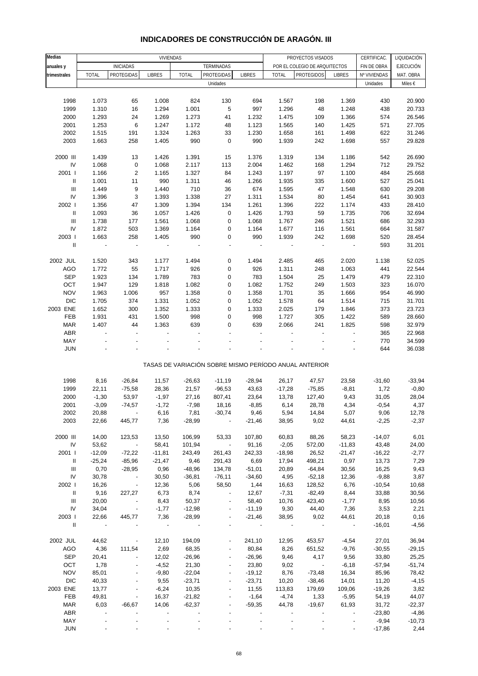| Medias                             |                |                              |                  |              |                                                       |               |                          |                               |                          |              |                  |
|------------------------------------|----------------|------------------------------|------------------|--------------|-------------------------------------------------------|---------------|--------------------------|-------------------------------|--------------------------|--------------|------------------|
|                                    |                |                              | <b>VIVIENDAS</b> |              |                                                       |               |                          | PROYECTOS VISADOS             |                          | CERTIFICAC.  | LIQUIDACIÓN      |
| anuales y                          |                | <b>INICIADAS</b>             |                  |              | TERMINADAS                                            |               |                          | POR EL COLEGIO DE ARQUITECTOS |                          | FIN DE OBRA  | <b>EJECUCIÓN</b> |
| trimestrales                       | <b>TOTAL</b>   | PROTEGIDAS                   | <b>LIBRES</b>    | <b>TOTAL</b> | PROTEGIDAS                                            | <b>LIBRES</b> | <b>TOTAL</b>             | <b>PROTEGIDOS</b>             | <b>LIBRES</b>            | Nº VIVIENDAS | MAT. OBRA        |
|                                    |                |                              |                  |              | Unidades                                              |               |                          |                               |                          | Unidades     | Miles €          |
|                                    |                |                              |                  |              |                                                       |               |                          |                               |                          |              |                  |
| 1998                               | 1.073          | 65                           | 1.008            | 824          | 130                                                   | 694           | 1.567                    | 198                           | 1.369                    | 430          | 20.900           |
|                                    |                | 16                           |                  |              | 5                                                     |               | 1.296                    |                               |                          |              |                  |
| 1999                               | 1.310          |                              | 1.294            | 1.001        |                                                       | 997           |                          | 48                            | 1.248                    | 438          | 20.733           |
| 2000                               | 1.293          | 24                           | 1.269            | 1.273        | 41                                                    | 1.232         | 1.475                    | 109                           | 1.366                    | 574          | 26.546           |
| 2001                               | 1.253          | 6                            | 1.247            | 1.172        | 48                                                    | 1.123         | 1.565                    | 140                           | 1.425                    | 571          | 27.705           |
| 2002                               | 1.515          | 191                          | 1.324            | 1.263        | 33                                                    | 1.230         | 1.658                    | 161                           | 1.498                    | 622          | 31.246           |
| 2003                               | 1.663          | 258                          | 1.405            | 990          | $\pmb{0}$                                             | 990           | 1.939                    | 242                           | 1.698                    | 557          | 29.828           |
|                                    |                |                              |                  |              |                                                       |               |                          |                               |                          |              |                  |
| 2000 III                           | 1.439          | 13                           | 1.426            | 1.391        | 15                                                    | 1.376         | 1.319                    | 134                           | 1.186                    | 542          | 26.690           |
| ${\sf IV}$                         | 1.068          | $\pmb{0}$                    | 1.068            | 2.117        | 113                                                   | 2.004         | 1.462                    | 168                           | 1.294                    | 712          | 29.752           |
| 2001 l                             | 1.166          | $\sqrt{2}$                   | 1.165            | 1.327        | 84                                                    | 1.243         | 1.197                    | 97                            | 1.100                    | 484          | 25.668           |
| $\ensuremath{\mathsf{II}}$         |                | 11                           | 990              |              |                                                       |               |                          |                               |                          |              |                  |
|                                    | 1.001          |                              |                  | 1.311        | 46                                                    | 1.266         | 1.935                    | 335                           | 1.600                    | 527          | 25.041           |
| $\ensuremath{\mathsf{III}}\xspace$ | 1.449          | 9                            | 1.440            | 710          | 36                                                    | 674           | 1.595                    | 47                            | 1.548                    | 630          | 29.208           |
| ${\sf IV}$                         | 1.396          | 3                            | 1.393            | 1.338        | 27                                                    | 1.311         | 1.534                    | 80                            | 1.454                    | 641          | 30.903           |
| 2002                               | 1.356          | 47                           | 1.309            | 1.394        | 134                                                   | 1.261         | 1.396                    | 222                           | 1.174                    | 433          | 28.410           |
| $\ensuremath{\mathsf{II}}$         | 1.093          | 36                           | 1.057            | 1.426        | 0                                                     | 1.426         | 1.793                    | 59                            | 1.735                    | 706          | 32.694           |
| $\ensuremath{\mathsf{III}}\xspace$ | 1.738          | 177                          | 1.561            | 1.068        | 0                                                     | 1.068         | 1.767                    | 246                           | 1.521                    | 686          | 32.293           |
| IV                                 | 1.872          | 503                          | 1.369            | 1.164        | 0                                                     | 1.164         | 1.677                    | 116                           | 1.561                    | 664          | 31.587           |
| 2003                               | 1.663          | 258                          | 1.405            | 990          | 0                                                     | 990           | 1.939                    | 242                           | 1.698                    | 520          | 28.454           |
|                                    |                |                              |                  |              |                                                       |               |                          |                               |                          |              |                  |
| $\ensuremath{\mathsf{II}}$         | $\overline{a}$ | $\overline{\phantom{a}}$     | ÷                |              | ÷,                                                    |               | $\overline{\phantom{a}}$ | $\overline{\phantom{a}}$      | $\overline{\phantom{a}}$ | 593          | 31.201           |
|                                    |                |                              |                  |              |                                                       |               |                          |                               |                          |              |                  |
| 2002 JUL                           | 1.520          | 343                          | 1.177            | 1.494        | 0                                                     | 1.494         | 2.485                    | 465                           | 2.020                    | 1.138        | 52.025           |
| <b>AGO</b>                         | 1.772          | 55                           | 1.717            | 926          | 0                                                     | 926           | 1.311                    | 248                           | 1.063                    | 441          | 22.544           |
| <b>SEP</b>                         | 1.923          | 134                          | 1.789            | 783          | 0                                                     | 783           | 1.504                    | 25                            | 1.479                    | 479          | 22.310           |
| OCT                                | 1.947          | 129                          | 1.818            | 1.082        | 0                                                     | 1.082         | 1.752                    | 249                           | 1.503                    | 323          | 16.070           |
| <b>NOV</b>                         | 1.963          | 1.006                        | 957              | 1.358        | 0                                                     | 1.358         | 1.701                    | 35                            | 1.666                    | 954          | 46.990           |
| <b>DIC</b>                         | 1.705          | 374                          | 1.331            | 1.052        | 0                                                     | 1.052         | 1.578                    | 64                            | 1.514                    | 715          | 31.701           |
|                                    |                |                              |                  |              |                                                       |               |                          |                               |                          |              |                  |
| 2003 ENE                           | 1.652          | 300                          | 1.352            | 1.333        | 0                                                     | 1.333         | 2.025                    | 179                           | 1.846                    | 373          | 23.723           |
| FEB                                | 1.931          | 431                          | 1.500            | 998          | 0                                                     | 998           | 1.727                    | 305                           | 1.422                    | 589          | 28.660           |
| <b>MAR</b>                         | 1.407          | 44                           | 1.363            | 639          | 0                                                     | 639           | 2.066                    | 241                           | 1.825                    | 598          | 32.979           |
| ABR                                |                |                              |                  |              |                                                       |               |                          |                               |                          | 365          | 22.968           |
| MAY                                |                |                              |                  |              |                                                       |               |                          |                               | ÷,                       | 770          | 34.599           |
| <b>JUN</b>                         |                |                              |                  |              |                                                       |               |                          |                               |                          | 644          | 36.038           |
|                                    |                |                              |                  |              |                                                       |               |                          |                               |                          |              |                  |
|                                    |                |                              |                  |              | TASAS DE VARIACIÓN SOBRE MISMO PERÍODO ANUAL ANTERIOR |               |                          |                               |                          |              |                  |
|                                    |                |                              |                  |              |                                                       |               |                          |                               |                          |              |                  |
| 1998                               | 8,16           | $-26,84$                     | 11,57            | $-26,63$     | $-11,19$                                              | $-28,94$      | 26,17                    | 47,57                         | 23,58                    | $-31,60$     | $-33,94$         |
| 1999                               | 22,11          | $-75,58$                     | 28,36            | 21,57        | $-96,53$                                              | 43,63         | $-17,28$                 | $-75,85$                      | $-8,81$                  | 1,72         | $-0,80$          |
| 2000                               | $-1,30$        | 53,97                        | $-1,97$          | 27,16        | 807,41                                                | 23,64         | 13,78                    | 127,40                        | 9,43                     | 31,05        | 28,04            |
| 2001                               | $-3,09$        | $-74,57$                     | $-1,72$          | $-7,98$      | 18,16                                                 | $-8,85$       | 6,14                     | 28,78                         | 4,34                     | $-0,54$      | 4,37             |
| 2002                               | 20,88          |                              | 6,16             | 7,81         | $-30,74$                                              | 9,46          | 5,94                     | 14,84                         | 5,07                     | 9,06         | 12,78            |
| 2003                               | 22,66          | 445,77                       | 7,36             | $-28,99$     |                                                       | $-21,46$      | 38,95                    | 9,02                          | 44,61                    | $-2,25$      | $-2,37$          |
|                                    |                |                              |                  |              |                                                       |               |                          |                               |                          |              |                  |
|                                    |                |                              |                  |              |                                                       |               |                          |                               |                          |              |                  |
| 2000 III                           | 14,00          | 123,53                       | 13,50            | 106,99       | 53,33                                                 | 107,80        | 60,83                    | 88,26                         | 58,23                    | $-14,07$     | 6,01             |
| ${\sf IV}$                         | 53,62          | $\overline{\phantom{a}}$     | 58,41            | 101,94       | $\overline{\phantom{a}}$                              | 91,16         | $-2,05$                  | 572,00                        | $-11,83$                 | 43,48        | 24,00            |
| 2001 l                             | $-12,09$       | $-72,22$                     | $-11,81$         | 243,49       | 261,43                                                | 242,33        | $-18,98$                 | 26,52                         | $-21,47$                 | $-16,22$     | $-2,77$          |
| Ш                                  | $-25,24$       | $-85,96$                     | $-21,47$         | 9,46         | 291,43                                                | 6,69          | 17,94                    | 498,21                        | 0,97                     | 13,73        | 7,29             |
| Ш                                  | 0,70           | $-28,95$                     | 0,96             | $-48,96$     | 134,78                                                | $-51,01$      | 20,89                    | $-64,84$                      | 30,56                    | 16,25        | 9,43             |
| IV                                 | 30,78          | $\sim$ $-$                   | 30,50            | $-36,81$     | $-76,11$                                              | $-34,60$      | 4,95                     | $-52,18$                      | 12,36                    | $-9,88$      | 3,87             |
| 2002                               | 16,26          | $\sim$ $-$                   | 12,36            | 5,06         | 58,50                                                 | 1,44          | 16,63                    | 128,52                        | 6,76                     | $-10,54$     | 10,68            |
| $\mathbf{II}$                      | 9,16           | 227,27                       | 6,73             | 8,74         |                                                       | 12,67         | $-7,31$                  | $-82,49$                      | 8,44                     | 33,88        | 30,56            |
| Ш                                  | 20,00          | $\overline{\phantom{a}}$     | 8,43             |              | $\overline{\phantom{a}}$                              | 58,40         | 10,76                    | 423,40                        | $-1,77$                  |              |                  |
|                                    |                |                              |                  | 50,37        |                                                       |               |                          |                               |                          | 8,95         | 10,56            |
| IV                                 | 34,04          | $\sim$ $-$                   | $-1,77$          | $-12,98$     | $\overline{\phantom{a}}$                              | $-11,19$      | 9,30                     | 44,40                         | 7,36                     | 3,53         | 2,21             |
| 2003                               | 22,66          | 445,77                       | 7,36             | $-28,99$     |                                                       | $-21,46$      | 38,95                    | 9,02                          | 44,61                    | 20,18        | 0,16             |
| $\mathbf{II}$                      | $\sim$ $-$     |                              | $\sim$ $-$       | $\sim$ $-$   |                                                       |               |                          | $\sim$                        | $\sim$ $-$               | $-16,01$     | $-4,56$          |
|                                    |                |                              |                  |              |                                                       |               |                          |                               |                          |              |                  |
| 2002 JUL                           | 44,62          | $\overline{\phantom{a}}$     | 12,10            | 194,09       |                                                       | 241,10        | 12,95                    | 453,57                        | $-4,54$                  | 27,01        | 36,94            |
| AGO                                | 4,36           | 111,54                       | 2,69             | 68,35        |                                                       | 80,84         | 8,26                     | 651,52                        | $-9,76$                  | $-30,55$     | $-29,15$         |
| <b>SEP</b>                         | 20,41          | $\overline{\phantom{a}}$     | 12,02            | $-26,96$     | $\overline{\phantom{a}}$                              | $-26,96$      | 9,46                     | 4,17                          | 9,56                     | 33,80        | 25,25            |
| OCT                                | 1,78           |                              | $-4,52$          | 21,30        |                                                       | 23,80         | 9,02                     | $\overline{\phantom{a}}$      | $-6,18$                  | $-57,94$     | $-51,74$         |
|                                    |                |                              |                  |              |                                                       |               |                          |                               |                          |              |                  |
| <b>NOV</b>                         | 85,01          | $\blacksquare$               | $-9,80$          | $-22,04$     | $\overline{\phantom{a}}$                              | $-19,12$      | 8,76                     | $-73,48$                      | 16,34                    | 85,96        | 78,42            |
| <b>DIC</b>                         | 40,33          | $\qquad \qquad \blacksquare$ | 9,55             | $-23,71$     | $\overline{\phantom{a}}$                              | $-23,71$      | 10,20                    | $-38,46$                      | 14,01                    | 11,20        | $-4,15$          |
| 2003 ENE                           | 13,77          |                              | $-6,24$          | 10,35        |                                                       | 11,55         | 113,83                   | 179,69                        | 109,06                   | $-19,26$     | 3,82             |
| FEB                                | 49,81          | ÷                            | 16,37            | $-21,82$     |                                                       | $-1,64$       | $-4,74$                  | 1,33                          | $-5,95$                  | 54,19        | 44,07            |
|                                    |                |                              |                  |              |                                                       |               |                          |                               |                          |              |                  |
| <b>MAR</b>                         | 6,03           | $-66,67$                     | 14,06            | $-62,37$     |                                                       | $-59,35$      | 44,78                    | $-19,67$                      | 61,93                    | 31,72        | $-22,37$         |
| ABR                                |                |                              |                  |              |                                                       |               |                          |                               |                          | $-23,80$     | $-4,86$          |
| MAY                                |                |                              |                  |              |                                                       |               |                          |                               |                          | $-9,94$      | $-10,73$         |

### **INDICADORES DE CONSTRUCCIÓN DE ARAGÓN. III**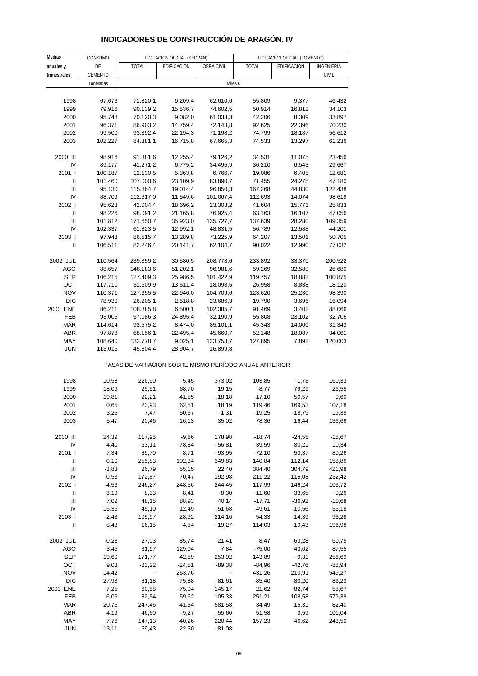| Medias                             | CONSUMO   |              | LICITACIÓN OFICIAL (SEOPAN)                           |            |              | LICITACIÓN OFICIAL (FOMENTO) |              |
|------------------------------------|-----------|--------------|-------------------------------------------------------|------------|--------------|------------------------------|--------------|
| anuales y                          | DE        | <b>TOTAL</b> | EDIFICACIÓN                                           | OBRA CIVIL | <b>TOTAL</b> | EDIFICACIÓN                  | INGENIERÍA   |
| trimestrales                       | CEMENTO   |              |                                                       |            |              |                              | <b>CIVIL</b> |
|                                    | Toneladas |              |                                                       | Miles €    |              |                              |              |
|                                    |           |              |                                                       |            |              |                              |              |
| 1998                               | 67.676    | 71.820,1     | 9.209,4                                               | 62.610,6   | 55.809       | 9.377                        | 46.432       |
| 1999                               | 79.916    | 90.139,2     | 15.536,7                                              | 74.602,5   | 50.914       | 16.812                       | 34.103       |
| 2000                               | 95.748    | 70.120,3     | 9.082,0                                               | 61.038,3   | 42.206       | 8.309                        | 33.897       |
| 2001                               | 96.371    | 86.903,2     | 14.759,4                                              | 72.143,8   | 92.625       | 22.396                       | 70.230       |
| 2002                               | 99.500    | 93.392,4     | 22.194,3                                              | 71.198,2   | 74.799       | 18.187                       | 56.612       |
| 2003                               | 102.227   | 84.381,1     | 16.715,8                                              | 67.665,3   | 74.533       | 13.297                       | 61.236       |
| 2000 III                           | 98.916    | 91.381,6     | 12.255,4                                              | 79.126,2   | 34.531       | 11.075                       | 23.456       |
| IV                                 | 89.177    | 41.271,2     | 6.775,2                                               | 34.495,9   | 36.210       | 6.543                        | 29.667       |
| 2001 l                             | 100.187   | 12.130,5     | 5.363,8                                               | 6.766,7    | 19.086       | 6.405                        | 12.681       |
| $\mathbf{I}$                       | 101.460   | 107.000,6    | 23.109,9                                              | 83.890,7   | 71.455       | 24.275                       | 47.180       |
| Ш                                  | 95.130    | 115.864,7    | 19.014,4                                              | 96.850,3   | 167.268      | 44.830                       | 122.438      |
| IV                                 | 88.709    | 112.617,0    | 11.549,6                                              | 101.067,4  | 112.693      | 14.074                       | 98.619       |
| 2002                               | 95.623    | 42.004,4     | 18.696,2                                              | 23.308,2   | 41.604       | 15.771                       | 25.833       |
| Ш                                  | 98.226    | 98.091,2     | 21.165,8                                              | 76.925,4   | 63.163       | 16.107                       | 47.056       |
| Ш                                  | 101.812   | 171.650,7    | 35.923,0                                              | 135.727,7  | 137.639      | 28.280                       | 109.359      |
| IV                                 | 102.337   | 61.823,5     | 12.992,1                                              | 48.831,5   | 56.789       | 12.588                       | 44.201       |
| 2003                               | 97.943    | 86.515,7     | 13.289,8                                              | 73.225,9   | 64.207       | 13.501                       | 50.705       |
| $\mathbf{I}$                       | 106.511   | 82.246,4     | 20.141,7                                              | 62.104,7   | 90.022       | 12.990                       | 77.032       |
| 2002 JUL                           | 110.564   | 239.359,2    | 30.580,5                                              | 208.778,6  | 233.892      | 33.370                       | 200.522      |
| <b>AGO</b>                         | 88.657    | 148.183,6    | 51.202,1                                              | 96.981,6   | 59.269       | 32.589                       | 26.680       |
| <b>SEP</b>                         | 106.215   | 127.409,3    | 25.986,5                                              | 101.422,9  | 119.757      | 18.882                       | 100.875      |
| OCT                                | 117.710   | 31.609,9     | 13.511,4                                              | 18.098,6   | 26.958       | 8.838                        | 18.120       |
| <b>NOV</b>                         | 110.371   | 127.655,5    | 22.946,0                                              | 104.709,6  | 123.620      | 25.230                       | 98.390       |
| <b>DIC</b>                         | 78.930    | 26.205,1     | 2.518,8                                               | 23.686,3   | 19.790       | 3.696                        | 16.094       |
| 2003 ENE                           | 86.211    | 108.885,8    | 6.500,1                                               | 102.385,7  | 91.469       | 3.402                        | 88.066       |
| FEB                                | 93.005    | 57.086,3     | 24.895,4                                              | 32.190,9   | 55.808       | 23.102                       | 32.706       |
| <b>MAR</b>                         | 114.614   | 93.575,2     | 8.474,0                                               | 85.101,1   | 45.343       | 14.000                       | 31.343       |
| <b>ABR</b>                         | 97.878    | 68.156,1     | 22.495,4                                              | 45.660,7   | 52.148       | 18.087                       | 34.061       |
| MAY                                | 108.640   | 132.778,7    | 9.025,1                                               | 123.753,7  | 127.895      | 7.892                        | 120.003      |
| <b>JUN</b>                         | 113.016   | 45.804,4     | 28.904,7                                              | 16.899,8   |              |                              |              |
|                                    |           |              | TASAS DE VARIACIÓN SOBRE MISMO PERÍODO ANUAL ANTERIOR |            |              |                              |              |
| 1998                               | 10,58     | 226,90       | 5,45                                                  | 373,02     | 103,85       | $-1,73$                      | 160,33       |
| 1999                               | 18,09     | 25,51        | 68,70                                                 | 19,15      | $-8,77$      | 79,29                        | $-26,55$     |
| 2000                               | 19,81     | $-22,21$     | $-41,55$                                              | $-18,18$   | $-17,10$     | $-50,57$                     | $-0,60$      |
| 2001                               | 0,65      | 23,93        | 62,51                                                 | 18,19      | 119,46       | 169,53                       | 107,18       |
| 2002                               | 3,25      | 7,47         | 50,37                                                 | $-1,31$    | $-19,25$     | $-18,79$                     | $-19,39$     |
| 2003                               | 5,47      | 20,46        | $-16, 13$                                             | 35,02      | 78,36        | $-16,44$                     | 136,66       |
| 2000 III                           | 24,39     | 117,95       | $-9,66$                                               | 178,98     | $-18,74$     | $-24,55$                     | $-15,67$     |
| IV                                 | 4,40      | $-63,11$     | $-78,84$                                              | $-56,81$   | $-39,59$     | $-80,21$                     | 10,34        |
| 2001                               | 7,34      | $-89,70$     | $-8,71$                                               | $-93,95$   | $-72,10$     | 53,37                        | $-80,26$     |
| Ш                                  | $-0,10$   | 255,83       | 102,34                                                | 349,83     | 140,84       | 112,14                       | 158,86       |
| $\ensuremath{\mathsf{III}}\xspace$ | $-3,83$   | 26,79        | 55,15                                                 | 22,40      | 384,40       | 304,79                       | 421,98       |
| IV                                 | $-0,53$   | 172,87       | 70,47                                                 | 192,98     | 211,22       | 115,08                       | 232,42       |
| 2002                               | $-4,56$   | 246,27       | 248,56                                                | 244,45     | 117,99       | 146,24                       | 103,72       |
| Ш                                  | $-3,19$   | $-8,33$      | $-8,41$                                               | $-8,30$    | $-11,60$     | $-33,65$                     | $-0,26$      |
| Ш                                  | 7,02      | 48,15        | 88,93                                                 | 40,14      | $-17,71$     | $-36,92$                     | $-10,68$     |
| IV                                 | 15,36     | $-45,10$     | 12,49                                                 | $-51,68$   | -49,61       | $-10,56$                     | $-55,18$     |
| 2003                               | 2,43      | 105,97       | $-28,92$                                              | 214,16     | 54,33        | $-14,39$                     | 96,28        |
| $\ensuremath{\mathsf{II}}$         | 8,43      | $-16,15$     | $-4,84$                                               | $-19,27$   | 114,03       | $-19,43$                     | 196,98       |
| 2002 JUL                           | $-0,28$   | 27,03        | 85,74                                                 | 21,41      | 8,47         | $-63,28$                     | 60,75        |
| <b>AGO</b>                         | 3,45      | 31,97        | 129,04                                                | 7,84       | $-75,00$     | 43,02                        | $-87,55$     |
| <b>SEP</b>                         | 19,60     | 171,77       | 42,59                                                 | 253,92     | 143,89       | $-9,31$                      | 256,69       |

#### **INDICADORES DE CONSTRUCCIÓN DE ARAGÓN. IV**

 OCT 9,03 -83,22 -24,51 -89,38 -84,96 -42,76 -88,94 NOV 14,42 - 263,76 - 431,26 210,91 549,27 DIC 27,93 -81,18 -75,88 -81,61 -85,40 -80,20 -86,23 2003 ENE -7,25 60,58 -75,04 145,17 21,62 -82,74 58,67 FEB -6,06 82,54 59,62 105,33 251,21 108,58 579,39 MAR 20,75 247,46 -41,34 581,58 34,49 -15,31 82,40 ABR 4,19 -46,60 -9,27 -55,60 51,58 3,59 101,04 MAY 7,76 147,13 -40,26 220,44 157,23 -46,62 243,50 JUN 13,11 -59,43 22,50 -81,08 - - -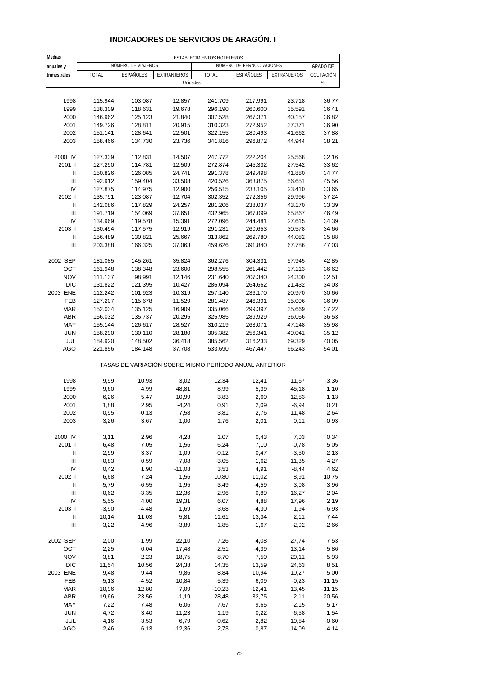| <b>Medias</b>  |              |                    |                                                       | ESTABLECIMIENTOS HOTELEROS |                          |             |                 |
|----------------|--------------|--------------------|-------------------------------------------------------|----------------------------|--------------------------|-------------|-----------------|
| anuales y      |              | NÚMERO DE VIAJEROS |                                                       |                            | NÚMERO DE PERNOCTACIONES |             | <b>GRADO DE</b> |
| trimestrales   | <b>TOTAL</b> | <b>ESPAÑOLES</b>   | <b>EXTRANJEROS</b>                                    | <b>TOTAL</b>               | <b>ESPAÑOLES</b>         | EXTRANJEROS | OCUPACIÓN       |
|                |              |                    | Unidades                                              |                            |                          |             | $\%$            |
|                |              |                    |                                                       |                            |                          |             |                 |
|                |              |                    |                                                       |                            |                          |             |                 |
| 1998           | 115.944      | 103.087            | 12.857                                                | 241.709                    | 217.991                  | 23.718      | 36,77           |
| 1999           | 138.309      | 118.631            | 19.678                                                | 296.190                    | 260.600                  | 35.591      | 36,41           |
| 2000           | 146.962      | 125.123            | 21.840                                                | 307.528                    | 267.371                  | 40.157      | 36,82           |
| 2001           | 149.726      | 128.811            | 20.915                                                | 310.323                    | 272.952                  | 37.371      | 36,90           |
| 2002           | 151.141      | 128.641            | 22.501                                                | 322.155                    | 280.493                  | 41.662      | 37,88           |
| 2003           | 158.466      | 134.730            | 23.736                                                | 341.816                    | 296.872                  | 44.944      | 38,21           |
|                |              |                    |                                                       |                            |                          |             |                 |
| 2000 IV        | 127.339      | 112.831            | 14.507                                                | 247.772                    | 222.204                  | 25.568      | 32,16           |
| 2001 l         | 127.290      | 114.781            | 12.509                                                | 272.874                    | 245.332                  | 27.542      | 33,62           |
| Ш              | 150.826      | 126.085            | 24.741                                                | 291.378                    | 249.498                  | 41.880      | 34,77           |
| Ш              | 192.912      | 159.404            | 33.508                                                | 420.526                    | 363.875                  |             | 45,56           |
|                |              |                    |                                                       |                            |                          | 56.651      |                 |
| IV             | 127.875      | 114.975            | 12.900                                                | 256.515                    | 233.105                  | 23.410      | 33,65           |
| 2002 l         | 135.791      | 123.087            | 12.704                                                | 302.352                    | 272.356                  | 29.996      | 37,24           |
| Ш              | 142.086      | 117.829            | 24.257                                                | 281.206                    | 238.037                  | 43.170      | 33,39           |
| Ш              | 191.719      | 154.069            | 37.651                                                | 432.965                    | 367.099                  | 65.867      | 46,49           |
| IV             | 134.969      | 119.578            | 15.391                                                | 272.096                    | 244.481                  | 27.615      | 34,39           |
| 2003           | 130.494      | 117.575            | 12.919                                                | 291.231                    | 260.653                  | 30.578      | 34,66           |
| $\sf II$       | 156.489      | 130.821            | 25.667                                                | 313.862                    | 269.780                  | 44.082      | 35,88           |
| $\mathbf{III}$ | 203.388      | 166.325            | 37.063                                                | 459.626                    | 391.840                  | 67.786      | 47,03           |
|                |              |                    |                                                       |                            |                          |             |                 |
| 2002 SEP       | 181.085      | 145.261            | 35.824                                                | 362.276                    | 304.331                  | 57.945      | 42,85           |
| OCT            | 161.948      | 138.348            | 23.600                                                | 298.555                    | 261.442                  | 37.113      | 36,62           |
| <b>NOV</b>     |              |                    |                                                       |                            |                          |             |                 |
|                | 111.137      | 98.991             | 12.146                                                | 231.640                    | 207.340                  | 24.300      | 32,51           |
| <b>DIC</b>     | 131.822      | 121.395            | 10.427                                                | 286.094                    | 264.662                  | 21.432      | 34,03           |
| 2003 ENE       | 112.242      | 101.923            | 10.319                                                | 257.140                    | 236.170                  | 20.970      | 30,66           |
| FEB            | 127.207      | 115.678            | 11.529                                                | 281.487                    | 246.391                  | 35.096      | 36,09           |
| <b>MAR</b>     | 152.034      | 135.125            | 16.909                                                | 335.066                    | 299.397                  | 35.669      | 37,22           |
| <b>ABR</b>     | 156.032      | 135.737            | 20.295                                                | 325.985                    | 289.929                  | 36.056      | 36,53           |
| MAY            | 155.144      | 126.617            | 28.527                                                | 310.219                    | 263.071                  | 47.148      | 35,98           |
| <b>JUN</b>     | 158.290      | 130.110            | 28.180                                                | 305.382                    | 256.341                  | 49.041      | 35,12           |
| JUL            | 184.920      | 148.502            | 36.418                                                | 385.562                    | 316.233                  | 69.329      | 40,05           |
| <b>AGO</b>     | 221.856      | 184.148            | 37.708                                                | 533.690                    | 467.447                  | 66.243      | 54,01           |
|                |              |                    | TASAS DE VARIACIÓN SOBRE MISMO PERÍODO ANUAL ANTERIOR |                            |                          |             |                 |
| 1998           | 9,99         | 10,93              | 3,02                                                  | 12,34                      | 12,41                    | 11,67       | $-3,36$         |
| 1999           | 9,60         |                    | 48,81                                                 | 8,99                       |                          | 45,18       |                 |
|                |              | 4,99               |                                                       |                            | 5,39                     |             | 1,10            |
| 2000           | 6,26         | 5,47               | 10,99                                                 | 3,83                       | 2,60                     | 12,83       | 1,13            |
| 2001           | 1,88         | 2,95               | $-4,24$                                               | 0,91                       | 2,09                     | $-6,94$     | 0,21            |
| 2002           | 0,95         | -0,13              | 7,58                                                  | 3,81                       | 2,76                     | 11,48       | 2,64            |
| 2003           | 3,26         | 3,67               | 1,00                                                  | 1,76                       | 2,01                     | 0,11        | $-0,93$         |
|                |              |                    |                                                       |                            |                          |             |                 |
| 2000 IV        | 3,11         | 2,96               | 4,28                                                  | 1,07                       | 0,43                     | 7,03        | 0,34            |
| 2001 l         | 6,48         | 7,05               | 1,56                                                  | 6,24                       | 7,10                     | $-0,78$     | 5,05            |
| Ш              | 2,99         | 3,37               | 1,09                                                  | $-0,12$                    | 0,47                     | $-3,50$     | $-2,13$         |
| Ш              | $-0,83$      | 0,59               | $-7,08$                                               | $-3,05$                    | $-1,62$                  | $-11,35$    | $-4,27$         |
| IV             | 0,42         | 1,90               | $-11,08$                                              | 3,53                       | 4,91                     | $-8,44$     | 4,62            |
| 2002           | 6,68         | 7,24               | 1,56                                                  | 10,80                      | 11,02                    | 8,91        | 10,75           |
| Ш              | $-5,79$      | $-6,55$            | $-1,95$                                               | $-3,49$                    | $-4,59$                  | 3,08        | $-3,96$         |
| Ш              | $-0,62$      | $-3,35$            | 12,36                                                 | 2,96                       | 0,89                     | 16,27       | 2,04            |
| IV             | 5,55         | 4,00               | 19,31                                                 | 6,07                       | 4,88                     | 17,96       | 2,19            |
|                |              |                    |                                                       |                            |                          |             |                 |
| 2003           | $-3,90$      | $-4,48$            | 1,69                                                  | $-3,68$                    | $-4,30$                  | 1,94        | $-6,93$         |
| Ш              | 10,14        | 11,03              | 5,81                                                  | 11,61                      | 13,34                    | 2,11        | 7,44            |
| Ш              | 3,22         | 4,96               | $-3,89$                                               | $-1,85$                    | $-1,67$                  | $-2,92$     | $-2,66$         |
| 2002 SEP       | 2,00         | $-1,99$            | 22,10                                                 | 7,26                       | 4,08                     | 27,74       | 7,53            |
| OCT            | 2,25         | 0,04               | 17,48                                                 | $-2,51$                    | $-4,39$                  | 13,14       | $-5,86$         |
| <b>NOV</b>     | 3,81         | 2,23               | 18,75                                                 | 8,70                       | 7,50                     | 20,11       | 5,93            |
| <b>DIC</b>     | 11,54        | 10,56              | 24,38                                                 | 14,35                      | 13,59                    | 24,63       | 8,51            |
|                |              |                    |                                                       |                            |                          |             |                 |
| 2003 ENE       | 9,48         | 9,44               | 9,86                                                  | 8,84                       | 10,94                    | $-10,27$    | 5,00            |
| FEB            | $-5,13$      | $-4,52$            | $-10,84$                                              | $-5,39$                    | $-6,09$                  | $-0,23$     | $-11,15$        |
| <b>MAR</b>     | $-10,96$     | $-12,80$           | 7,09                                                  | $-10,23$                   | $-12,41$                 | 13,45       | $-11,15$        |
| <b>ABR</b>     | 19,66        | 23,56              | $-1,19$                                               | 28,48                      | 32,75                    | 2,11        | 20,56           |
| MAY            | 7,22         | 7,48               | 6,06                                                  | 7,67                       | 9,65                     | $-2,15$     | 5,17            |
| <b>JUN</b>     | 4,72         | 3,40               | 11,23                                                 | 1,19                       | 0,22                     | 6,58        | $-1,54$         |
| JUL            | 4,16         | 3,53               | 6,79                                                  | $-0,62$                    | $-2,82$                  | 10,84       | $-0,60$         |
| AGO            | 2,46         | 6,13               | $-12,36$                                              | $-2,73$                    | $-0,87$                  | $-14,09$    | $-4, 14$        |

## **INDICADORES DE SERVICIOS DE ARAGÓN. I**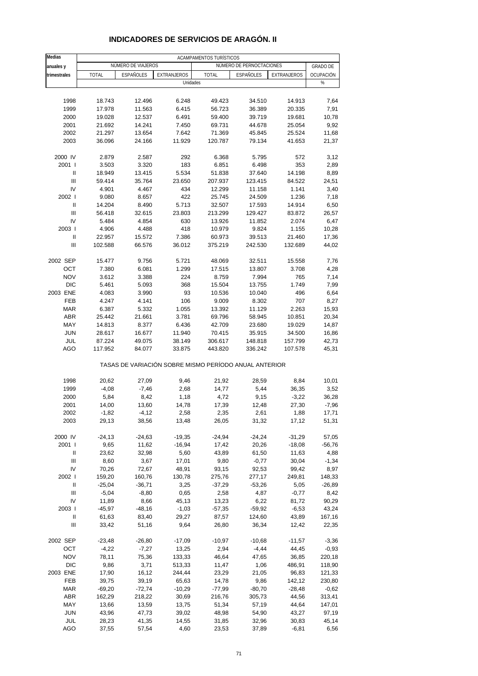| Medias                             |                   |                    |                                                       | ACAMPAMENTOS TURÍSTICOS |                          |                  |                 |
|------------------------------------|-------------------|--------------------|-------------------------------------------------------|-------------------------|--------------------------|------------------|-----------------|
| anuales y                          |                   | NÚMERO DE VIAJEROS |                                                       |                         | NÚMERO DE PERNOCTACIONES |                  | <b>GRADO DE</b> |
| trimestrales                       | <b>TOTAL</b>      | <b>ESPAÑOLES</b>   | EXTRANJEROS                                           | <b>TOTAL</b>            | <b>ESPAÑOLES</b>         | EXTRANJEROS      | OCUPACIÓN       |
|                                    |                   |                    | Unidades                                              |                         |                          |                  | $\%$            |
|                                    |                   |                    |                                                       |                         |                          |                  |                 |
| 1998                               | 18.743            | 12.496             | 6.248                                                 | 49.423                  | 34.510                   | 14.913           | 7,64            |
| 1999                               | 17.978            | 11.563             | 6.415                                                 | 56.723                  | 36.389                   | 20.335           | 7,91            |
| 2000                               | 19.028            | 12.537             | 6.491                                                 | 59.400                  | 39.719                   | 19.681           | 10,78           |
| 2001                               | 21.692            | 14.241             | 7.450                                                 | 69.731                  | 44.678                   | 25.054           | 9,92            |
| 2002                               | 21.297            | 13.654             | 7.642                                                 | 71.369                  | 45.845                   | 25.524           | 11,68           |
| 2003                               | 36.096            | 24.166             | 11.929                                                | 120.787                 | 79.134                   | 41.653           | 21,37           |
|                                    |                   |                    |                                                       |                         |                          |                  |                 |
| 2000 IV                            | 2.879             | 2.587              | 292                                                   | 6.368                   | 5.795                    | 572              | 3,12            |
| 2001 l                             | 3.503             | 3.320              | 183                                                   | 6.851                   | 6.498                    | 353              | 2,89            |
| Ш<br>$\mathbf{III}$                | 18.949<br>59.414  | 13.415<br>35.764   | 5.534<br>23.650                                       | 51.838<br>207.937       | 37.640<br>123.415        | 14.198<br>84.522 | 8,89            |
| IV                                 | 4.901             | 4.467              | 434                                                   | 12.299                  | 11.158                   | 1.141            | 24,51<br>3,40   |
| 2002                               | 9.080             | 8.657              | 422                                                   | 25.745                  | 24.509                   | 1.236            | 7,18            |
| $\mathbf{I}$                       | 14.204            | 8.490              | 5.713                                                 | 32.507                  | 17.593                   | 14.914           | 6,50            |
| Ш                                  | 56.418            | 32.615             | 23.803                                                | 213.299                 | 129.427                  | 83.872           | 26,57           |
| IV                                 | 5.484             | 4.854              | 630                                                   | 13.926                  | 11.852                   | 2.074            | 6,47            |
| 2003                               | 4.906             | 4.488              | 418                                                   | 10.979                  | 9.824                    | 1.155            | 10,28           |
| Ш                                  | 22.957            | 15.572             | 7.386                                                 | 60.973                  | 39.513                   | 21.460           | 17,36           |
| Ш                                  | 102.588           | 66.576             | 36.012                                                | 375.219                 | 242.530                  | 132.689          | 44,02           |
|                                    |                   |                    |                                                       |                         |                          |                  |                 |
| 2002 SEP                           | 15.477            | 9.756              | 5.721                                                 | 48.069                  | 32.511                   | 15.558           | 7,76            |
| OCT                                | 7.380             | 6.081              | 1.299                                                 | 17.515                  | 13.807                   | 3.708            | 4,28            |
| <b>NOV</b>                         | 3.612             | 3.388              | 224                                                   | 8.759                   | 7.994                    | 765              | 7,14            |
| <b>DIC</b>                         | 5.461             | 5.093              | 368                                                   | 15.504                  | 13.755                   | 1.749            | 7,99            |
| 2003 ENE                           | 4.083             | 3.990              | 93                                                    | 10.536                  | 10.040                   | 496              | 6,64            |
| FEB                                | 4.247             | 4.141              | 106                                                   | 9.009                   | 8.302                    | 707              | 8,27            |
| <b>MAR</b>                         | 6.387             | 5.332              | 1.055                                                 | 13.392                  | 11.129                   | 2.263            | 15,93           |
| <b>ABR</b>                         | 25.442            | 21.661             | 3.781                                                 | 69.796                  | 58.945                   | 10.851           | 20,34           |
| MAY                                | 14.813            | 8.377              | 6.436                                                 | 42.709                  | 23.680                   | 19.029           | 14,87           |
| <b>JUN</b>                         | 28.617            | 16.677             | 11.940                                                | 70.415                  | 35.915                   | 34.500           | 16,86           |
| JUL                                | 87.224            | 49.075             | 38.149                                                | 306.617                 | 148.818                  | 157.799          | 42,73           |
| AGO                                | 117.952           | 84.077             | 33.875                                                | 443.820                 | 336.242                  | 107.578          | 45,31           |
|                                    |                   |                    | TASAS DE VARIACIÓN SOBRE MISMO PERÍODO ANUAL ANTERIOR |                         |                          |                  |                 |
| 1998                               | 20,62             | 27,09              | 9,46                                                  | 21,92                   | 28,59                    | 8,84             | 10,01           |
| 1999                               | $-4,08$           | $-7,46$            | 2,68                                                  | 14,77                   | 5,44                     | 36,35            | 3,52            |
| 2000                               | 5,84              | 8,42               | 1,18                                                  | 4,72                    | 9,15                     | $-3,22$          | 36,28           |
| 2001                               | 14,00             | 13,60              | 14,78                                                 | 17,39                   | 12,48                    | 27,30            | $-7,96$         |
| 2002                               | -1,82             | -4,12              | 2,58                                                  | 2,35                    | 2,61                     | 1,88             | 17,71           |
| 2003                               | 29,13             | 38,56              | 13,48                                                 | 26,05                   | 31,32                    | 17,12            | 51,31           |
|                                    |                   |                    |                                                       |                         |                          |                  |                 |
| 2000 IV                            | $-24, 13$         | $-24,63$           | $-19,35$                                              | $-24,94$                | $-24,24$                 | $-31,29$         | 57,05           |
| 2001 l                             | 9,65              | 11,62              | $-16,94$                                              | 17,42                   | 20,26                    | $-18,08$         | $-56,76$        |
| Ш                                  | 23,62             | 32,98              | 5,60                                                  | 43,89                   | 61,50                    | 11,63            | 4,88            |
| Ш                                  | 8,60              | 3,67               | 17,01                                                 | 9,80                    | $-0,77$                  | 30,04            | $-1,34$         |
| IV                                 | 70,26             | 72,67              | 48,91                                                 | 93,15                   | 92,53                    | 99,42            | 8,97            |
| 2002 l                             | 159,20            | 160,76             | 130,78                                                | 275,76                  | 277,17                   | 249,81           | 148,33          |
| Ш                                  | $-25,04$          | $-36,71$           | 3,25                                                  | $-37,29$                | $-53,26$                 | 5,05             | $-26,89$        |
| Ш<br>IV                            | $-5,04$           | $-8,80$            | 0,65                                                  | 2,58                    | 4,87                     | $-0,77$          | 8,42            |
| 2003                               | 11,89<br>$-45,97$ | 8,66<br>$-48,16$   | 45,13<br>$-1,03$                                      | 13,23<br>$-57,35$       | 6,22<br>$-59,92$         | 81,72            | 90,29<br>43,24  |
| Ш                                  | 61,63             | 83,40              | 29,27                                                 | 87,57                   | 124,60                   | $-6,53$<br>43,89 | 167,16          |
| $\ensuremath{\mathsf{III}}\xspace$ | 33,42             | 51,16              | 9,64                                                  | 26,80                   | 36,34                    | 12,42            | 22,35           |
|                                    |                   |                    |                                                       |                         |                          |                  |                 |
| 2002 SEP                           | -23,48            | $-26,80$           | $-17,09$                                              | $-10,97$                | $-10,68$                 | $-11,57$         | $-3,36$         |
| OCT                                | $-4,22$           | $-7,27$            | 13,25                                                 | 2,94                    | $-4,44$                  | 44,45            | $-0,93$         |
| <b>NOV</b>                         | 78,11             | 75,36              | 133,33                                                | 46,64                   | 47,65                    | 36,85            | 220,18          |
| DIC                                | 9,86              | 3,71               | 513,33                                                | 11,47                   | 1,06                     | 486,91           | 118,90          |
| 2003 ENE                           | 17,90             | 16,12              | 244,44                                                | 23,29                   | 21,05                    | 96,83            | 121,33          |
| FEB                                | 39,75             | 39,19              | 65,63                                                 | 14,78                   | 9,86                     | 142,12           | 230,80          |
| <b>MAR</b>                         | $-69,20$          | $-72,74$           | $-10,29$                                              | $-77,99$                | $-80,70$                 | $-28,48$         | $-0,62$         |
| ABR                                | 162,29            | 218,22             | 30,69                                                 | 216,76                  | 305,73                   | 44,56            | 313,41          |
| MAY                                | 13,66             | 13,59              | 13,75                                                 | 51,34                   | 57,19                    | 44,64            | 147,01          |
| <b>JUN</b>                         | 43,96             | 47,73              | 39,02                                                 | 48,98                   | 54,90                    | 43,27            | 97,19           |
| JUL                                | 28,23             | 41,35              | 14,55                                                 | 31,85                   | 32,96                    | 30,83            | 45,14           |
| AGO                                | 37,55             | 57,54              | 4,60                                                  | 23,53                   | 37,89                    | $-6,81$          | 6,56            |

# **INDICADORES DE SERVICIOS DE ARAGÓN. II**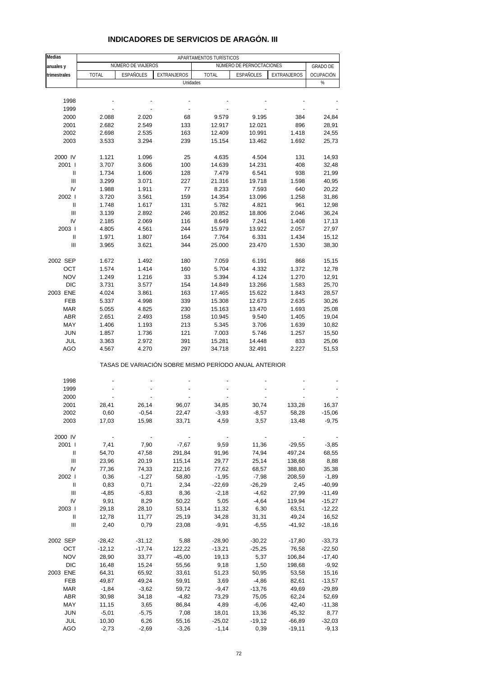| <b>Medias</b> |                |                    |                                                       | APARTAMENTOS TURÍSTICOS |                          |              |                 |
|---------------|----------------|--------------------|-------------------------------------------------------|-------------------------|--------------------------|--------------|-----------------|
| anuales y     |                | NÚMERO DE VIAJEROS |                                                       |                         | NÚMERO DE PERNOCTACIONES |              | <b>GRADO DE</b> |
| trimestrales  | <b>TOTAL</b>   | ESPAÑOLES          | EXTRANJEROS                                           | <b>TOTAL</b>            | ESPAÑOLES                | EXTRANJEROS  | OCUPACIÓN       |
|               |                |                    | Unidades                                              |                         |                          |              | %               |
|               |                |                    |                                                       |                         |                          |              |                 |
| 1998          |                |                    |                                                       |                         |                          |              |                 |
| 1999          |                |                    |                                                       |                         |                          |              |                 |
| 2000          | 2.088          | 2.020              | 68                                                    | 9.579                   | 9.195                    | 384          | 24,84           |
| 2001          | 2.682          | 2.549              | 133                                                   | 12.917                  | 12.021                   | 896          | 28,91           |
| 2002          | 2.698          | 2.535              | 163                                                   | 12.409                  | 10.991                   | 1.418        |                 |
| 2003          | 3.533          | 3.294              | 239                                                   | 15.154                  | 13.462                   | 1.692        | 24,55<br>25,73  |
|               |                |                    |                                                       |                         |                          |              |                 |
| 2000 IV       | 1.121          | 1.096              | 25                                                    | 4.635                   | 4.504                    | 131          | 14,93           |
| 2001 l        | 3.707          | 3.606              | 100                                                   | 14.639                  | 14.231                   | 408          | 32,48           |
| Ш             | 1.734          | 1.606              | 128                                                   | 7.479                   | 6.541                    | 938          | 21,99           |
| Ш             | 3.299          | 3.071              | 227                                                   | 21.316                  | 19.718                   | 1.598        | 40,95           |
| IV            | 1.988          | 1.911              | 77                                                    | 8.233                   | 7.593                    | 640          | 20,22           |
| 2002 l        | 3.720          | 3.561              | 159                                                   | 14.354                  | 13.096                   | 1.258        | 31,86           |
| Ш             | 1.748          | 1.617              | 131                                                   | 5.782                   | 4.821                    | 961          | 12,98           |
| Ш             | 3.139          | 2.892              | 246                                                   | 20.852                  | 18.806                   | 2.046        | 36,24           |
| IV            | 2.185          | 2.069              | 116                                                   | 8.649                   | 7.241                    | 1.408        | 17,13           |
| 2003          | 4.805          | 4.561              | 244                                                   | 15.979                  | 13.922                   | 2.057        | 27,97           |
| Ш             | 1.971          | 1.807              | 164                                                   | 7.764                   | 6.331                    | 1.434        | 15,12           |
| Ш             | 3.965          | 3.621              | 344                                                   | 25.000                  | 23.470                   | 1.530        | 38,30           |
|               |                |                    |                                                       |                         |                          |              |                 |
| 2002 SEP      | 1.672          | 1.492              | 180                                                   | 7.059                   | 6.191                    | 868          | 15,15           |
| OCT           | 1.574          | 1.414              | 160                                                   | 5.704                   | 4.332                    | 1.372        | 12,78           |
| <b>NOV</b>    | 1.249          | 1.216              | 33                                                    | 5.394                   | 4.124                    | 1.270        | 12,91           |
| <b>DIC</b>    | 3.731          | 3.577              | 154                                                   | 14.849                  | 13.266                   | 1.583        | 25,70           |
| 2003 ENE      | 4.024          | 3.861              | 163                                                   | 17.465                  | 15.622                   | 1.843        | 28,57           |
| <b>FEB</b>    | 5.337          | 4.998              | 339                                                   | 15.308                  | 12.673                   | 2.635        | 30,26           |
| <b>MAR</b>    | 5.055          | 4.825              | 230                                                   | 15.163                  | 13.470                   | 1.693        | 25,08           |
| <b>ABR</b>    | 2.651          | 2.493              | 158                                                   | 10.945                  | 9.540                    | 1.405        | 19,04           |
| MAY           |                |                    |                                                       |                         |                          |              |                 |
|               | 1.406          | 1.193              | 213                                                   | 5.345                   | 3.706                    | 1.639        | 10,82           |
| <b>JUN</b>    | 1.857          | 1.736              | 121                                                   | 7.003                   | 5.746                    | 1.257        | 15,50           |
| JUL<br>AGO    | 3.363<br>4.567 | 2.972<br>4.270     | 391<br>297                                            | 15.281<br>34.718        | 14.448<br>32.491         | 833<br>2.227 | 25,06<br>51,53  |
|               |                |                    | TASAS DE VARIACIÓN SOBRE MISMO PERÍODO ANUAL ANTERIOR |                         |                          |              |                 |
|               |                |                    |                                                       |                         |                          |              |                 |
| 1998          |                |                    |                                                       |                         |                          |              |                 |
| 1999          |                |                    |                                                       |                         |                          |              |                 |
| 2000          |                |                    |                                                       |                         |                          |              |                 |
| 2001          | 28,41          | 26,14              | 96,07                                                 | 34,85                   | 30,74                    | 133,28       | 16,37           |
| 2002          | 0,60           | $-0,54$            | 22,47                                                 | -3,93                   | $-8,57$                  | 58,28        | -15,06          |
| 2003          | 17,03          | 15,98              | 33,71                                                 | 4,59                    | 3,57                     | 13,48        | $-9,75$         |
|               |                |                    |                                                       |                         |                          |              |                 |
| 2000 IV       |                |                    |                                                       |                         |                          |              |                 |
| 2001 l        | 7,41           | 7,90               | $-7,67$                                               | 9,59                    | 11,36                    | $-29,55$     | $-3,85$         |
| Ш             | 54,70          | 47,58              | 291,84                                                | 91,96                   | 74,94                    | 497,24       | 68,55           |
| Ш             | 23,96          | 20,19              | 115,14                                                | 29,77                   | 25,14                    | 138,68       | 8,88            |
| IV            | 77,36          | 74,33              | 212,16                                                | 77,62                   | 68,57                    | 388,80       | 35,38           |
| 2002 l        | 0,36           | $-1,27$            | 58,80                                                 | $-1,95$                 | $-7,98$                  | 208,59       | $-1,89$         |
| Ш             | 0,83           | 0,71               | 2,34                                                  | $-22,69$                | -26,29                   | 2,45         | $-40,99$        |
| Ш             | $-4,85$        | $-5,83$            | 8,36                                                  | $-2,18$                 | $-4,62$                  | 27,99        | $-11,49$        |
| IV            | 9,91           | 8,29               | 50,22                                                 | 5,05                    | $-4,64$                  | 119,94       | $-15,27$        |
| 2003          | 29,18          | 28,10              | 53,14                                                 | 11,32                   | 6,30                     | 63,51        | $-12,22$        |
| Ш             | 12,78          | 11,77              | 25,19                                                 | 34,28                   | 31,31                    | 49,24        | 16,52           |
| Ш             | 2,40           | 0,79               | 23,08                                                 | $-9,91$                 | $-6,55$                  | $-41,92$     | $-18,16$        |
| 2002 SEP      | $-28,42$       | $-31,12$           | 5,88                                                  | $-28,90$                | $-30,22$                 | $-17,80$     | $-33,73$        |
| OCT           | $-12,12$       | $-17,74$           | 122,22                                                | $-13,21$                | $-25,25$                 | 76,58        | $-22,50$        |
| <b>NOV</b>    | 28,90          | 33,77              | $-45,00$                                              | 19,13                   | 5,37                     | 106,84       | $-17,40$        |
| <b>DIC</b>    | 16,48          | 15,24              | 55,56                                                 | 9,18                    | 1,50                     | 198,68       | $-9,92$         |
| 2003 ENE      | 64,31          | 65,92              | 33,61                                                 | 51,23                   | 50,95                    | 53,58        | 15,16           |
| FEB           | 49,87          | 49,24              | 59,91                                                 | 3,69                    | $-4,86$                  | 82,61        | $-13,57$        |
| <b>MAR</b>    | $-1,84$        | $-3,62$            | 59,72                                                 | $-9,47$                 | $-13,76$                 | 49,69        | $-29,89$        |
| <b>ABR</b>    | 30,98          | 34,18              | $-4,82$                                               | 73,29                   | 75,05                    | 62,24        | 52,69           |
| MAY           | 11,15          | 3,65               | 86,84                                                 | 4,89                    | $-6,06$                  | 42,40        | $-11,38$        |
| <b>JUN</b>    | $-5,01$        | $-5,75$            | 7,08                                                  | 18,01                   | 13,36                    | 45,32        | 8,77            |
| JUL           | 10,30          | 6,26               | 55,16                                                 | $-25,02$                | $-19,12$                 | $-66,89$     | $-32,03$        |
| AGO           | $-2,73$        | $-2,69$            | $-3,26$                                               | $-1,14$                 | 0,39                     | $-19,11$     | $-9,13$         |

### **INDICADORES DE SERVICIOS DE ARAGÓN. III**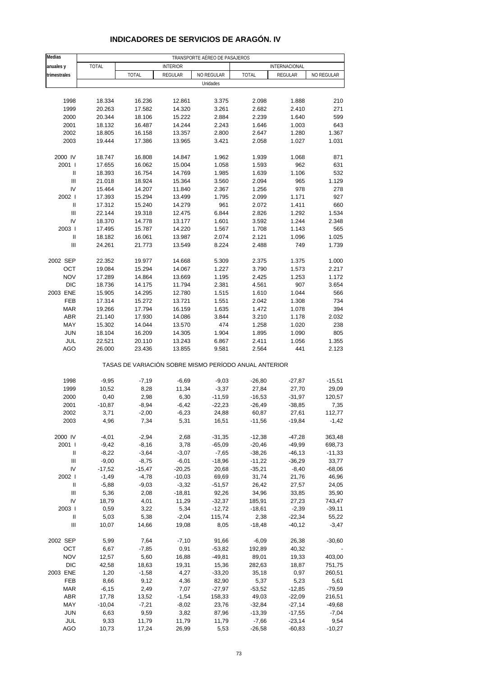| Medias                             |              |                                                       |                 | TRANSPORTE AÉREO DE PASAJEROS |                      |               |            |
|------------------------------------|--------------|-------------------------------------------------------|-----------------|-------------------------------|----------------------|---------------|------------|
| anuales y                          | <b>TOTAL</b> |                                                       | <b>INTERIOR</b> |                               |                      | INTERNACIONAL |            |
| trimestrales                       |              | <b>TOTAL</b>                                          | REGULAR         | NO REGULAR                    | <b>TOTAL</b>         | REGULAR       | NO REGULAR |
|                                    |              |                                                       |                 | Unidades                      |                      |               |            |
|                                    |              |                                                       |                 |                               |                      |               |            |
| 1998                               | 18.334       | 16.236                                                | 12.861          | 3.375                         | 2.098                | 1.888         | 210        |
| 1999                               | 20.263       | 17.582                                                | 14.320          | 3.261                         | 2.682                | 2.410         | 271        |
| 2000                               | 20.344       | 18.106                                                | 15.222          | 2.884                         | 2.239                | 1.640         | 599        |
| 2001                               | 18.132       | 16.487                                                | 14.244          | 2.243                         | 1.646                | 1.003         | 643        |
| 2002                               | 18.805       | 16.158                                                | 13.357          | 2.800                         | 2.647                | 1.280         | 1.367      |
| 2003                               | 19.444       | 17.386                                                | 13.965          | 3.421                         | 2.058                | 1.027         | 1.031      |
| 2000 IV                            | 18.747       | 16.808                                                | 14.847          | 1.962                         | 1.939                | 1.068         | 871        |
| 2001 l                             | 17.655       | 16.062                                                | 15.004          | 1.058                         | 1.593                | 962           | 631        |
| $\mathbf{I}$                       | 18.393       | 16.754                                                | 14.769          | 1.985                         | 1.639                | 1.106         | 532        |
| $\ensuremath{\mathsf{III}}\xspace$ | 21.018       | 18.924                                                | 15.364          | 3.560                         | 2.094                | 965           | 1.129      |
| IV                                 | 15.464       | 14.207                                                | 11.840          | 2.367                         | 1.256                | 978           | 278        |
| 2002                               | 17.393       | 15.294                                                | 13.499          | 1.795                         | 2.099                | 1.171         | 927        |
| Ш                                  | 17.312       | 15.240                                                | 14.279          | 961                           | 2.072                | 1.411         | 660        |
| Ш                                  | 22.144       | 19.318                                                | 12.475          | 6.844                         | 2.826                | 1.292         | 1.534      |
| IV                                 | 18.370       | 14.778                                                | 13.177          | 1.601                         | 3.592                | 1.244         | 2.348      |
| 2003                               | 17.495       | 15.787                                                | 14.220          | 1.567                         | 1.708                | 1.143         | 565        |
| Ш                                  | 18.182       | 16.061                                                | 13.987          | 2.074                         | 2.121                | 1.096         | 1.025      |
| Ш                                  | 24.261       | 21.773                                                | 13.549          | 8.224                         | 2.488                | 749           | 1.739      |
|                                    |              |                                                       |                 |                               |                      |               |            |
| 2002 SEP                           | 22.352       | 19.977                                                | 14.668          | 5.309                         | 2.375                | 1.375         | 1.000      |
| OCT                                | 19.084       | 15.294                                                | 14.067          | 1.227                         | 3.790                | 1.573         | 2.217      |
| <b>NOV</b>                         | 17.289       | 14.864                                                | 13.669          | 1.195                         | 2.425                | 1.253         | 1.172      |
| <b>DIC</b>                         | 18.736       | 14.175                                                | 11.794          | 2.381                         | 4.561                | 907           | 3.654      |
| 2003 ENE                           | 15.905       | 14.295                                                | 12.780          | 1.515                         | 1.610                | 1.044         | 566        |
| FEB                                | 17.314       | 15.272                                                | 13.721          | 1.551                         | 2.042                | 1.308         | 734        |
| <b>MAR</b>                         | 19.266       | 17.794                                                | 16.159          | 1.635                         | 1.472                | 1.078         | 394        |
| <b>ABR</b>                         | 21.140       | 17.930                                                | 14.086          | 3.844                         | 3.210                | 1.178         | 2.032      |
| MAY                                | 15.302       | 14.044                                                | 13.570          | 474                           | 1.258                | 1.020         | 238        |
| <b>JUN</b>                         | 18.104       | 16.209                                                | 14.305          | 1.904                         | 1.895                | 1.090         | 805        |
| JUL                                | 22.521       | 20.110                                                | 13.243          | 6.867                         | 2.411                | 1.056         | 1.355      |
| AGO                                | 26.000       | 23.436                                                | 13.855          | 9.581                         | 2.564                | 441           | 2.123      |
|                                    |              | TASAS DE VARIACIÓN SOBRE MISMO PERÍODO ANUAL ANTERIOR |                 |                               |                      |               |            |
| 1998                               | $-9,95$      | $-7,19$                                               | $-6,69$         | $-9,03$                       | $-26,80$             | $-27,87$      | $-15,51$   |
| 1999                               | 10,52        | 8,28                                                  | 11,34           | $-3,37$                       | 27,84                | 27,70         | 29,09      |
| 2000                               | 0,40         | 2,98                                                  | 6,30            | $-11,59$                      | $-16,53$             | $-31,97$      | 120,57     |
| 2001                               | $-10,87$     | $-8,94$                                               | $-6,42$         | $-22,23$                      | $-26,49$             | $-38,85$      | 7,35       |
| 2002                               | 3,71         | $-2,00$                                               | $-6,23$         | 24,88                         | 60,87                | 27,61         | 112,77     |
| 2003                               | 4,96         | 7,34                                                  | 5,31            | 16,51                         | $-11,56$             | $-19,84$      | $-1,42$    |
| 2000 IV                            | $-4,01$      | $-2,94$                                               | 2,68            | $-31,35$                      |                      | $-47,28$      | 363,48     |
| 2001 l                             | $-9,42$      | $-8,16$                                               | 3,78            | $-65,09$                      | $-12,38$<br>$-20,46$ | $-49,99$      | 698,73     |
| Ш                                  | $-8,22$      | $-3,64$                                               | $-3,07$         | $-7,65$                       | $-38,26$             | $-46, 13$     | $-11,33$   |
| $\ensuremath{\mathsf{III}}\xspace$ | $-9,00$      | $-8,75$                                               | $-6,01$         | $-18,96$                      | $-11,22$             | $-36,29$      | 33,77      |
| IV                                 | $-17,52$     | $-15,47$                                              | $-20,25$        | 20,68                         | $-35,21$             | $-8,40$       | $-68,06$   |
| 2002                               | $-1,49$      | $-4,78$                                               | $-10,03$        | 69,69                         | 31,74                | 21,76         | 46,96      |
| Ш                                  | $-5,88$      | $-9,03$                                               | $-3,32$         | $-51,57$                      | 26,42                | 27,57         | 24,05      |
| $\ensuremath{\mathsf{III}}\xspace$ | 5,36         | 2,08                                                  | $-18,81$        | 92,26                         | 34,96                | 33,85         | 35,90      |
| IV                                 | 18,79        | 4,01                                                  | 11,29           | $-32,37$                      | 185,91               | 27,23         | 743,47     |
| 2003                               | 0,59         | 3,22                                                  | 5,34            | $-12,72$                      | $-18,61$             | $-2,39$       | $-39,11$   |
| Ш                                  | 5,03         | 5,38                                                  | $-2,04$         | 115,74                        | 2,38                 | $-22,34$      | 55,22      |
| Ш                                  | 10,07        | 14,66                                                 | 19,08           | 8,05                          | $-18,48$             | $-40,12$      | $-3,47$    |
|                                    |              |                                                       |                 |                               |                      |               |            |
| 2002 SEP                           | 5,99         | 7,64                                                  | $-7,10$         | 91,66                         | $-6,09$              | 26,38         | $-30,60$   |
| OCT                                | 6,67         | $-7,85$                                               | 0,91            | $-53,82$                      | 192,89               | 40,32         |            |
| <b>NOV</b>                         | 12,57        | 5,60                                                  | 16,88           | $-49,81$                      | 89,01                | 19,33         | 403,00     |
| <b>DIC</b>                         | 42,58        | 18,63                                                 | 19,31           | 15,36                         | 282,63               | 18,87         | 751,75     |
| 2003 ENE                           | 1,20         | $-1,58$                                               | 4,27            | $-33,20$                      | 35,18                | 0,97          | 260,51     |
| FEB                                | 8,66         | 9,12                                                  | 4,36            | 82,90                         | 5,37                 | 5,23          | 5,61       |
| $\sf{MAR}$                         | $-6, 15$     | 2,49                                                  | 7,07            | $-27,97$                      | $-53,52$             | $-12,85$      | $-79,59$   |
| <b>ABR</b>                         | 17,78        | 13,52                                                 | $-1,54$         | 158,33                        | 49,03                | $-22,09$      | 216,51     |
| MAY                                | $-10,04$     | $-7,21$                                               | $-8,02$         | 23,76                         | $-32,84$             | $-27,14$      | $-49,68$   |
| <b>JUN</b>                         | 6,63         | 9,59                                                  | 3,82            | 87,96                         | $-13,39$             | $-17,55$      | $-7,04$    |
| JUL                                | 9,33         | 11,79                                                 | 11,79           | 11,79                         | $-7,66$              | $-23,14$      | 9,54       |
| AGO                                | 10,73        | 17,24                                                 | 26,99           | 5,53                          | $-26,58$             | $-60,83$      | $-10,27$   |

### **INDICADORES DE SERVICIOS DE ARAGÓN. IV**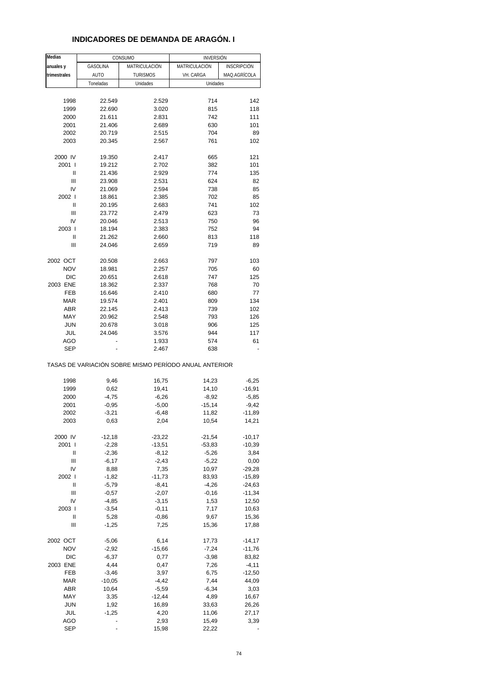| <b>Medias</b> |                 | CONSUMO                                               | <b>INVERSIÓN</b> |                    |
|---------------|-----------------|-------------------------------------------------------|------------------|--------------------|
| anuales y     | <b>GASOLINA</b> | MATRICULACIÓN                                         | MATRICULACIÓN    | <b>INSCRIPCIÓN</b> |
| trimestrales  | AUTO            | <b>TURISMOS</b>                                       | VH. CARGA        | MAQ.AGRÍCOLA       |
|               | Toneladas       | Unidades                                              | Unidades         |                    |
|               |                 |                                                       |                  |                    |
| 1998          | 22.549          | 2.529                                                 | 714              | 142                |
| 1999          | 22.690          | 3.020                                                 | 815              | 118                |
| 2000          | 21.611          | 2.831                                                 | 742              | 111                |
| 2001          | 21.406          | 2.689                                                 | 630              | 101                |
| 2002          | 20.719          | 2.515                                                 | 704              | 89                 |
| 2003          | 20.345          | 2.567                                                 | 761              | 102                |
|               |                 |                                                       |                  |                    |
| 2000 IV       | 19.350          | 2.417                                                 | 665              | 121                |
| 2001 l        |                 | 2.702                                                 |                  |                    |
|               | 19.212          |                                                       | 382              | 101                |
| Ш             | 21.436          | 2.929                                                 | 774              | 135                |
| Ш             | 23.908          | 2.531                                                 | 624              | 82                 |
| IV            | 21.069          | 2.594                                                 | 738              | 85                 |
| 2002 l        | 18.861          | 2.385                                                 | 702              | 85                 |
| Ш             | 20.195          | 2.683                                                 | 741              | 102                |
| Ш             | 23.772          | 2.479                                                 | 623              | 73                 |
| IV            | 20.046          | 2.513                                                 | 750              | 96                 |
| 2003          | 18.194          | 2.383                                                 | 752              | 94                 |
| Ш             | 21.262          | 2.660                                                 | 813              | 118                |
| Ш             | 24.046          | 2.659                                                 | 719              | 89                 |
|               |                 |                                                       |                  |                    |
| 2002 OCT      | 20.508          | 2.663                                                 | 797              | 103                |
| <b>NOV</b>    | 18.981          | 2.257                                                 | 705              | 60                 |
| <b>DIC</b>    | 20.651          | 2.618                                                 | 747              | 125                |
| 2003 ENE      | 18.362          | 2.337                                                 | 768              | 70                 |
| FEB           | 16.646          | 2.410                                                 | 680              | 77                 |
| MAR           | 19.574          | 2.401                                                 | 809              | 134                |
| ABR           | 22.145          | 2.413                                                 | 739              | 102                |
| MAY           | 20.962          | 2.548                                                 | 793              | 126                |
| <b>JUN</b>    | 20.678          | 3.018                                                 | 906              | 125                |
| JUL           | 24.046          | 3.576                                                 | 944              | 117                |
| <b>AGO</b>    |                 | 1.933                                                 | 574              | 61                 |
| <b>SEP</b>    |                 | 2.467                                                 | 638              |                    |
|               |                 | TASAS DE VARIACIÓN SOBRE MISMO PERÍODO ANUAL ANTERIOR |                  |                    |
| 1998          | 9,46            | 16,75                                                 | 14,23            | $-6,25$            |
| 1999          | 0,62            | 19,41                                                 | 14,10            | $-16,91$           |
| 2000          | $-4,75$         | $-6,26$                                               | $-8,92$          | $-5,85$            |
| 2001          | $-0,95$         | $-5,00$                                               | $-15,14$         | $-9,42$            |
| 2002          | $-3,21$         | $-6,48$                                               | 11,82            | $-11,89$           |
| 2003          | 0,63            | 2,04                                                  | 10,54            | 14,21              |
|               |                 |                                                       |                  |                    |
| 2000 IV       | $-12,18$        | $-23,22$                                              | $-21,54$         | $-10,17$           |
| 2001 l        | $-2,28$         | $-13,51$                                              | $-53,83$         | $-10,39$           |
| Ш             | $-2,36$         | $-8,12$                                               | $-5,26$          | 3,84               |
| Ш             | $-6,17$         | $-2,43$                                               | $-5,22$          | 0,00               |
| IV            | 8,88            | 7,35                                                  | 10,97            | $-29,28$           |
| 2002 l        | $-1,82$         | $-11,73$                                              | 83,93            | $-15,89$           |
| Ш             | $-5,79$         | $-8,41$                                               | $-4,26$          | $-24,63$           |
| Ш             | $-0,57$         | $-2,07$                                               | $-0,16$          | $-11,34$           |
| IV            | $-4,85$         | $-3,15$                                               | 1,53             | 12,50              |
| 2003          | $-3,54$         | $-0, 11$                                              | 7,17             | 10,63              |
| Ш             | 5,28            | $-0,86$                                               | 9,67             | 15,36              |
| Ш             | $-1,25$         | 7,25                                                  | 15,36            | 17,88              |
|               |                 |                                                       |                  |                    |
| 2002 OCT      | $-5,06$         | 6,14                                                  | 17,73            | $-14,17$           |
| <b>NOV</b>    | $-2,92$         | $-15,66$                                              | $-7,24$          | $-11,76$           |
| <b>DIC</b>    | $-6,37$         | 0,77                                                  | $-3,98$          | 83,82              |
| 2003 ENE      | 4,44            | 0,47                                                  | 7,26             | $-4, 11$           |
| FEB           | $-3,46$         | 3,97                                                  | 6,75             | $-12,50$           |
|               |                 |                                                       |                  |                    |
| <b>MAR</b>    | $-10,05$        | $-4,42$                                               | 7,44             | 44,09              |
| ABR           | 10,64           | $-5,59$                                               | $-6,34$          | 3,03               |
| MAY           | 3,35            | $-12,44$                                              | 4,89             | 16,67              |
| <b>JUN</b>    | 1,92            | 16,89                                                 | 33,63            | 26,26              |
| JUL           | $-1,25$         | 4,20                                                  | 11,06            | 27,17              |
| <b>AGO</b>    |                 | 2,93                                                  | 15,49            | 3,39               |
| <b>SEP</b>    |                 | 15,98                                                 | 22,22            |                    |

#### **INDICADORES DE DEMANDA DE ARAGÓN. I**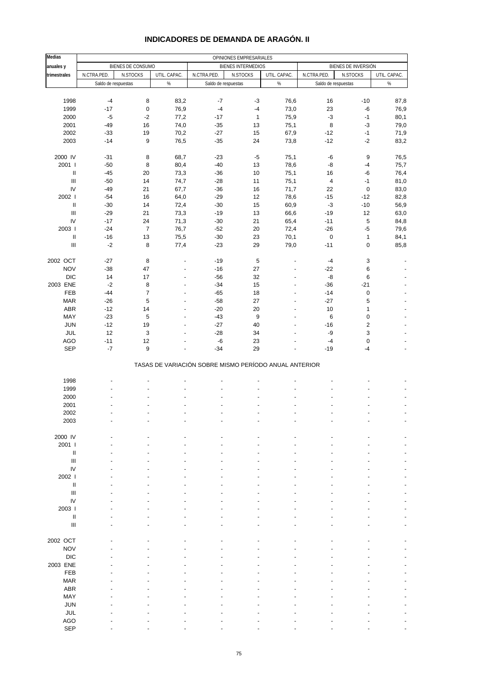| <b>Medias</b>                        |                     |                           |                                  |                                                       |                           |                |                     |                       |                |
|--------------------------------------|---------------------|---------------------------|----------------------------------|-------------------------------------------------------|---------------------------|----------------|---------------------|-----------------------|----------------|
| anuales y                            |                     | BIENES DE CONSUMO         |                                  |                                                       | <b>BIENES INTERMEDIOS</b> |                |                     | BIENES DE INVERSIÓN   |                |
| trimestrales                         | N.CTRA.PED.         | N.STOCKS                  | UTIL. CAPAC.                     | N.CTRA.PED.                                           | N.STOCKS                  | UTIL. CAPAC.   | N.CTRA.PED.         | N.STOCKS              | UTIL. CAPAC.   |
|                                      | Saldo de respuestas |                           | %                                | Saldo de respuestas                                   |                           | $\%$           | Saldo de respuestas |                       | $\%$           |
|                                      |                     |                           |                                  |                                                       |                           |                |                     |                       |                |
| 1998                                 | $-4$                | 8                         | 83,2                             | $-7$                                                  | $-3$                      | 76,6           | 16                  | $-10$                 | 87,8           |
| 1999                                 | $-17$               | $\pmb{0}$                 | 76,9                             | $-4$                                                  | $-4$                      | 73,0           | 23                  | $-6$                  | 76,9           |
| 2000                                 | $-5$                | $-2$                      | 77,2                             | $-17$                                                 | $\mathbf{1}$              | 75,9           | $-3$                | $-1$                  | 80,1           |
| 2001                                 | $-49$               | 16                        | 74,0                             | $-35$                                                 | 13                        | 75,1           | $\, 8$              | $-3$                  | 79,0           |
| 2002                                 | $-33$               | 19                        | 70,2                             | $-27$                                                 | 15                        | 67,9           | $-12$               | $-1$                  | 71,9           |
| 2003                                 | $-14$               | 9                         | 76,5                             | $-35$                                                 | 24                        | 73,8           | $-12$               | $-2$                  | 83,2           |
|                                      |                     |                           |                                  |                                                       |                           |                |                     |                       |                |
| 2000 IV<br>2001 l                    | $-31$<br>$-50$      | 8<br>8                    | 68,7<br>80,4                     | $-23$<br>$-40$                                        | $-5$<br>13                | 75,1<br>78,6   | $-6$<br>-8          | 9<br>$-4$             | 76,5<br>75,7   |
| Ш                                    | $-45$               | 20                        | 73,3                             | $-36$                                                 | 10                        | 75,1           | 16                  | $-6$                  | 76,4           |
| $\ensuremath{\mathsf{III}}\xspace$   | $-50$               | 14                        | 74,7                             | $-28$                                                 | 11                        | 75,1           | $\sqrt{4}$          | $-1$                  | 81,0           |
| IV                                   | $-49$               | 21                        | 67,7                             | $-36$                                                 | 16                        | 71,7           | 22                  | $\pmb{0}$             | 83,0           |
| 2002                                 | $-54$               | 16                        | 64,0                             | $-29$                                                 | 12                        | 78,6           | $-15$               | $-12$                 | 82,8           |
| $\ensuremath{\mathsf{II}}$           | $-30$               | 14                        | 72,4                             | $-30$                                                 | 15                        | 60,9           | $-3$                | $-10$                 | 56,9           |
| $\mathbf{III}$                       | $-29$               | 21                        | 73,3                             | $-19$                                                 | 13                        | 66,6           | $-19$               | 12                    | 63,0           |
| IV                                   | $-17$               | 24                        | 71,3                             | $-30$                                                 | 21                        | 65,4           | $-11$               | $\,$ 5 $\,$           | 84,8           |
| 2003 l                               | $-24$               | $\overline{7}$            | 76,7                             | $-52$                                                 | 20                        | 72,4           | $-26$               | $-5$                  | 79,6           |
| Ш                                    | $-16$               | 13                        | 75,5                             | $-30$                                                 | 23                        | 70,1           | $\pmb{0}$           | $\mathbf{1}$          | 84,1           |
| $\ensuremath{\mathsf{III}}\xspace$   | $-2$                | 8                         | 77,4                             | $-23$                                                 | 29                        | 79,0           | $-11$               | $\mathbf 0$           | 85,8           |
|                                      |                     |                           |                                  |                                                       |                           |                |                     |                       |                |
| 2002 OCT                             | $-27$               | 8                         | ٠                                | $-19$                                                 | 5                         |                | $-4$                | 3                     |                |
| <b>NOV</b>                           | $-38$               | 47                        | $\overline{a}$                   | $-16$                                                 | 27                        | $\overline{a}$ | $-22$               | 6                     |                |
| <b>DIC</b>                           | 14                  | 17                        | ٠                                | $-56$                                                 | 32                        | ÷,             | -8                  | 6                     |                |
| 2003 ENE                             | $-2$                | 8                         | $\overline{\phantom{a}}$         | $-34$                                                 | 15                        | $\overline{a}$ | $-36$               | $-21$                 | $\overline{a}$ |
| FEB                                  | $-44$               | $\overline{7}$            | $\overline{a}$                   | $-65$                                                 | 18                        | ÷,             | $-14$               | $\pmb{0}$             |                |
| <b>MAR</b>                           | $-26$               | 5                         | $\overline{a}$                   | $-58$                                                 | 27                        | L,             | $-27$               | $\,$ 5 $\,$           |                |
| ABR                                  | $-12$               | 14                        | $\overline{a}$                   | $-20$                                                 | 20                        | $\overline{a}$ | 10                  | $\mathbf{1}$          |                |
| MAY                                  | $-23$<br>$-12$      | 5<br>19                   | $\overline{a}$<br>$\overline{a}$ | $-43$<br>$-27$                                        | 9<br>40                   | L,             | 6<br>$-16$          | $\pmb{0}$             |                |
| JUN<br>JUL                           | $12$                | $\ensuremath{\mathsf{3}}$ | $\overline{a}$                   | $-28$                                                 | 34                        |                | -9                  | $\boldsymbol{2}$<br>3 |                |
| <b>AGO</b>                           | $-11$               | 12                        |                                  | $-6$                                                  | 23                        |                | $-4$                | $\pmb{0}$             |                |
| <b>SEP</b>                           | $-7$                | 9                         |                                  | $-34$                                                 | 29                        |                | $-19$               | $-4$                  |                |
|                                      |                     |                           |                                  |                                                       |                           |                |                     |                       |                |
|                                      |                     |                           |                                  | TASAS DE VARIACIÓN SOBRE MISMO PERÍODO ANUAL ANTERIOR |                           |                |                     |                       |                |
|                                      |                     |                           |                                  |                                                       |                           |                |                     |                       |                |
| 1998                                 |                     |                           |                                  |                                                       |                           |                |                     |                       |                |
| 1999                                 |                     |                           |                                  |                                                       |                           |                |                     |                       |                |
| 2000                                 |                     |                           |                                  |                                                       |                           |                |                     |                       |                |
| 2001                                 |                     |                           |                                  |                                                       |                           |                |                     |                       | ÷,             |
| 2002                                 |                     |                           |                                  |                                                       |                           |                |                     |                       |                |
| 2003                                 |                     |                           |                                  |                                                       |                           |                |                     |                       |                |
|                                      |                     |                           |                                  |                                                       |                           |                |                     |                       |                |
| 2000 IV                              |                     |                           |                                  |                                                       |                           |                |                     |                       |                |
| 2001 l<br>$\ensuremath{\mathsf{II}}$ |                     |                           |                                  |                                                       |                           |                |                     |                       |                |
| III                                  |                     |                           |                                  |                                                       |                           |                |                     |                       |                |
| IV                                   |                     |                           |                                  |                                                       |                           |                |                     |                       |                |
| 2002                                 |                     |                           |                                  |                                                       |                           |                |                     |                       |                |
| Ш                                    |                     |                           |                                  |                                                       |                           |                |                     |                       |                |
| $\ensuremath{\mathsf{III}}\xspace$   |                     |                           |                                  |                                                       |                           |                |                     |                       |                |
| IV                                   |                     |                           |                                  |                                                       |                           |                |                     |                       |                |
| 2003                                 |                     |                           |                                  |                                                       |                           |                |                     |                       |                |
| $\ensuremath{\mathsf{II}}$           |                     |                           |                                  |                                                       |                           |                |                     |                       |                |
| $\ensuremath{\mathsf{III}}\xspace$   |                     |                           |                                  |                                                       |                           |                |                     |                       |                |
|                                      |                     |                           |                                  |                                                       |                           |                |                     |                       |                |
| 2002 OCT                             |                     |                           |                                  |                                                       |                           |                |                     |                       |                |
| <b>NOV</b>                           |                     |                           |                                  |                                                       |                           |                |                     |                       |                |
| <b>DIC</b>                           |                     |                           |                                  |                                                       |                           |                |                     |                       |                |
| 2003 ENE                             |                     |                           |                                  |                                                       |                           |                |                     |                       |                |
| FEB                                  |                     |                           |                                  |                                                       |                           |                |                     |                       |                |
| <b>MAR</b>                           |                     |                           |                                  |                                                       |                           |                |                     |                       |                |
| ABR                                  |                     |                           |                                  |                                                       |                           |                |                     |                       |                |
| MAY                                  |                     |                           |                                  |                                                       |                           |                |                     |                       |                |
| <b>JUN</b>                           |                     |                           |                                  |                                                       |                           |                |                     |                       |                |
| JUL<br><b>AGO</b>                    |                     |                           |                                  |                                                       |                           |                |                     |                       |                |
|                                      |                     |                           |                                  |                                                       |                           |                |                     |                       |                |

### **INDICADORES DE DEMANDA DE ARAGÓN. II**

SEP - - - - - - - - -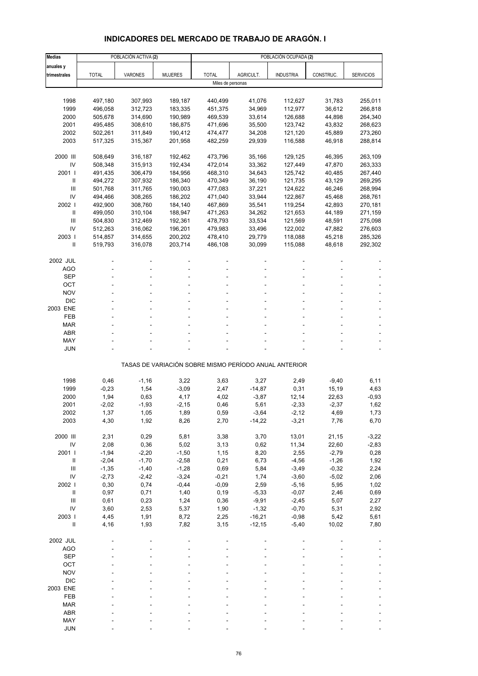# **INDICADORES DEL MERCADO DE TRABAJO DE ARAGÓN. I**

| <b>Medias</b>                        |                    | POBLACIÓN ACTIVA (2) |                    |                    |                      | POBLACIÓN OCUPADA (2)                                 |                  |                    |
|--------------------------------------|--------------------|----------------------|--------------------|--------------------|----------------------|-------------------------------------------------------|------------------|--------------------|
| anuales y                            |                    |                      |                    |                    |                      |                                                       |                  |                    |
| trimestrales                         | <b>TOTAL</b>       | VARONES              | <b>MUJERES</b>     | <b>TOTAL</b>       | AGRICULT.            | <b>INDUSTRIA</b>                                      | CONSTRUC.        | <b>SERVICIOS</b>   |
|                                      |                    |                      |                    | Miles de personas  |                      |                                                       |                  |                    |
|                                      |                    |                      |                    |                    |                      |                                                       |                  |                    |
| 1998                                 | 497,180            | 307,993              | 189,187            | 440,499            | 41,076               | 112,627                                               | 31,783           | 255,011            |
| 1999                                 | 496,058            | 312,723              | 183,335            | 451,375            | 34,969               | 112,977                                               | 36,612           | 266,818            |
| 2000                                 | 505,678            | 314,690              | 190,989            | 469,539            | 33,614               | 126,688                                               | 44,898           | 264,340            |
| 2001                                 | 495,485            | 308,610              | 186,875            | 471,696            | 35,500               | 123,742                                               | 43,832           | 268,623            |
| 2002                                 | 502,261            | 311,849              | 190,412            | 474,477            | 34,208               | 121,120                                               | 45,889           | 273,260            |
| 2003                                 | 517,325            | 315,367              | 201,958            | 482,259            | 29,939               | 116,588                                               | 46,918           | 288,814            |
|                                      |                    |                      |                    |                    |                      |                                                       |                  |                    |
| 2000 III<br>IV                       | 508,649<br>508,348 | 316,187              | 192,462            | 473,796            | 35,166               | 129,125                                               | 46,395           | 263,109            |
| 2001 l                               | 491,435            | 315,913<br>306,479   | 192,434<br>184,956 | 472,014<br>468,310 | 33,362<br>34,643     | 127,449<br>125,742                                    | 47,870<br>40,485 | 263,333<br>267,440 |
| Ш                                    | 494,272            | 307,932              | 186,340            | 470,349            | 36,190               | 121,735                                               | 43,129           | 269,295            |
| III                                  | 501,768            | 311,765              | 190,003            | 477,083            | 37,221               | 124,622                                               | 46,246           | 268,994            |
| IV                                   | 494,466            | 308,265              | 186,202            | 471,040            | 33,944               | 122,867                                               | 45,468           | 268,761            |
| 2002                                 | 492,900            | 308,760              | 184,140            | 467,869            | 35,541               | 119,254                                               | 42,893           | 270,181            |
| $\mathbf{I}$                         | 499,050            | 310,104              | 188,947            | 471,263            | 34,262               | 121,653                                               | 44,189           | 271,159            |
| Ш                                    | 504,830            | 312,469              | 192,361            | 478,793            | 33,534               | 121,569                                               | 48,591           | 275,098            |
| IV                                   | 512,263            | 316,062              | 196,201            | 479,983            | 33,496               | 122,002                                               | 47,882           | 276,603            |
| 2003                                 | 514,857            | 314,655              | 200,202            | 478,410            | 29,779               | 118,088                                               | 45,218           | 285,326            |
| Ш                                    | 519,793            | 316,078              | 203,714            | 486,108            | 30,099               | 115,088                                               | 48,618           | 292,302            |
|                                      |                    |                      |                    |                    |                      |                                                       |                  |                    |
| 2002 JUL                             |                    |                      |                    |                    |                      |                                                       |                  |                    |
| AGO                                  |                    |                      |                    |                    |                      |                                                       |                  |                    |
| <b>SEP</b>                           |                    |                      |                    |                    |                      |                                                       |                  |                    |
| OCT                                  |                    |                      |                    |                    |                      |                                                       |                  |                    |
| <b>NOV</b><br><b>DIC</b>             |                    |                      |                    |                    |                      |                                                       |                  |                    |
| 2003 ENE                             |                    |                      |                    |                    |                      |                                                       |                  |                    |
| FEB                                  |                    |                      |                    |                    |                      |                                                       |                  |                    |
| <b>MAR</b>                           |                    |                      |                    |                    |                      |                                                       |                  |                    |
| <b>ABR</b>                           |                    |                      |                    |                    |                      |                                                       |                  |                    |
| MAY                                  |                    |                      |                    |                    |                      |                                                       |                  |                    |
| <b>JUN</b>                           |                    |                      |                    |                    |                      |                                                       |                  |                    |
|                                      |                    |                      |                    |                    |                      |                                                       |                  |                    |
|                                      |                    |                      |                    |                    |                      | TASAS DE VARIACIÓN SOBRE MISMO PERÍODO ANUAL ANTERIOR |                  |                    |
| 1998                                 | 0,46               | $-1,16$              | 3,22               | 3,63               | 3,27                 | 2,49                                                  | $-9,40$          | 6,11               |
| 1999                                 | $-0,23$            | 1,54                 | $-3,09$            | 2,47               | $-14,87$             | 0,31                                                  | 15,19            | 4,63               |
| 2000                                 | 1,94               | 0,63                 | 4,17               | 4,02               | $-3,87$              | 12,14                                                 | 22,63            | $-0,93$            |
| 2001                                 | $-2,02$            | $-1,93$              | $-2,15$            | 0,46               | 5,61                 | $-2,33$                                               | $-2,37$          | 1,62               |
| 2002                                 | 1,37               | 1,05                 | 1,89               | 0,59               | -3,64                | -2,12                                                 | 4,69             | 1,73               |
| 2003                                 | 4,30               | 1,92                 | 8,26               | 2,70               | $-14,22$             | $-3,21$                                               | 7,76             | 6,70               |
|                                      |                    |                      |                    |                    |                      |                                                       |                  |                    |
| 2000 III                             | 2,31               | 0,29                 | 5,81               | 3,38               | 3,70                 | 13,01                                                 | 21,15            | $-3,22$            |
| IV                                   | 2,08               | 0,36                 | 5,02               | 3,13               | 0,62                 | 11,34                                                 | 22,60            | $-2,83$            |
| 2001 l                               | $-1,94$            | $-2,20$              | $-1,50$            | 1,15               | 8,20                 | 2,55                                                  | $-2,79$          | 0,28               |
| $\, \parallel$                       | $-2,04$            | $-1,70$              | $-2,58$            | 0,21               | 6,73                 | $-4,56$                                               | $-1,26$          | 1,92               |
| Ш                                    | $-1,35$            | $-1,40$              | $-1,28$            | 0,69               | 5,84                 | $-3,49$                                               | $-0,32$          | 2,24               |
| IV                                   | $-2,73$            | $-2,42$              | $-3,24$            | $-0,21$            | 1,74                 | $-3,60$                                               | $-5,02$          | 2,06               |
| 2002                                 | 0,30               | 0,74                 | $-0,44$            | $-0,09$            | 2,59                 | $-5,16$                                               | 5,95             | 1,02               |
| $\, \, \mathrm{II}$                  | 0,97               | 0,71                 | 1,40               | 0, 19              | $-5,33$              | $-0,07$                                               | 2,46             | 0,69               |
| III                                  | 0,61               | 0,23                 | 1,24               | 0,36               | $-9,91$              | $-2,45$                                               | 5,07             | 2,27               |
| IV                                   | 3,60               | 2,53                 | 5,37               | 1,90               | $-1,32$              | $-0,70$                                               | 5,31             | 2,92               |
| 2003  <br>$\ensuremath{\mathsf{II}}$ | 4,45               | 1,91                 | 8,72               | 2,25               | $-16,21$<br>$-12,15$ | $-0,98$                                               | 5,42             | 5,61               |
|                                      | 4,16               | 1,93                 | 7,82               | 3,15               |                      | $-5,40$                                               | 10,02            | 7,80               |
| 2002 JUL                             |                    |                      |                    |                    |                      |                                                       |                  |                    |
| <b>AGO</b>                           |                    |                      |                    |                    |                      |                                                       |                  |                    |
| <b>SEP</b>                           |                    |                      |                    |                    |                      |                                                       |                  |                    |
| OCT                                  |                    |                      |                    |                    |                      |                                                       |                  |                    |
| <b>NOV</b>                           |                    |                      |                    |                    |                      |                                                       |                  |                    |
| <b>DIC</b>                           |                    |                      |                    |                    |                      |                                                       |                  |                    |
| 2003 ENE                             |                    |                      |                    |                    |                      |                                                       |                  |                    |
| FEB                                  |                    |                      |                    |                    |                      |                                                       |                  |                    |
| <b>MAR</b>                           |                    |                      |                    |                    |                      |                                                       |                  |                    |
| ABR                                  |                    |                      |                    |                    |                      |                                                       |                  |                    |
| MAY                                  |                    |                      |                    |                    |                      |                                                       |                  |                    |
| <b>JUN</b>                           |                    |                      |                    |                    |                      |                                                       |                  |                    |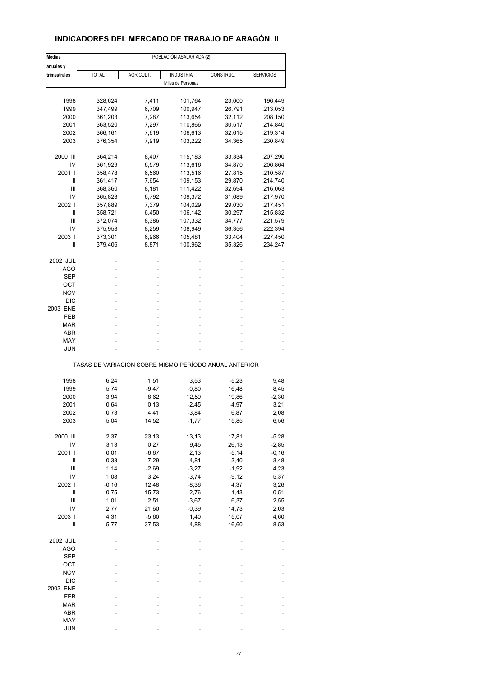# **INDICADORES DEL MERCADO DE TRABAJO DE ARAGÓN. II**

| <b>Medias</b>   | POBLACIÓN ASALARIADA (2)                              |           |                     |           |                  |  |
|-----------------|-------------------------------------------------------|-----------|---------------------|-----------|------------------|--|
| anuales y       |                                                       |           |                     |           |                  |  |
| trimestrales    | <b>TOTAL</b>                                          | AGRICULT. | <b>INDUSTRIA</b>    | CONSTRUC. | <b>SERVICIOS</b> |  |
|                 |                                                       |           | Miles de Personas   |           |                  |  |
|                 |                                                       |           |                     |           |                  |  |
| 1998            | 328,624                                               | 7,411     | 101,764             | 23,000    | 196,449          |  |
| 1999            | 347,499                                               | 6,709     | 100,947             | 26,791    | 213,053          |  |
| 2000            | 361,203                                               | 7,287     | 113,654             | 32,112    | 208,150          |  |
| 2001            | 363,520                                               | 7,297     | 110,866             | 30,517    | 214,840          |  |
| 2002            | 366,161                                               | 7,619     | 106,613             | 32,615    | 219,314          |  |
| 2003            | 376,354                                               | 7,919     | 103,222             | 34,365    | 230,849          |  |
|                 |                                                       |           |                     |           |                  |  |
| 2000 III<br>IV  | 364,214                                               | 8,407     | 115,183             | 33,334    | 207,290          |  |
|                 | 361,929                                               | 6,579     | 113,616             | 34,870    | 206,864          |  |
| 2001 l          | 358,478                                               | 6,560     | 113,516             | 27,815    | 210,587          |  |
| Ш               | 361,417                                               | 7,654     | 109,153             | 29,870    | 214,740          |  |
| Ш               | 368,360                                               | 8,181     | 111,422             | 32,694    | 216,063          |  |
| IV              | 365,823                                               | 6,792     | 109,372             | 31,689    | 217,970          |  |
| 2002 l          | 357,889                                               | 7,379     | 104,029             | 29,030    | 217,451          |  |
| Ш               | 358,721                                               | 6,450     | 106,142             | 30,297    | 215,832          |  |
| Ш               | 372,074                                               | 8,386     | 107,332             | 34,777    | 221,579          |  |
| IV              | 375,958                                               | 8,259     | 108,949             | 36,356    | 222,394          |  |
| 2003            | 373,301                                               | 6,966     | 105,481             | 33,404    | 227,450          |  |
| Ш               | 379,406                                               | 8,871     | 100,962             | 35,326    | 234,247          |  |
|                 |                                                       |           |                     |           |                  |  |
| 2002 JUL<br>AGO |                                                       |           | $\overline{a}$<br>٠ |           |                  |  |
| SEP             |                                                       |           |                     |           |                  |  |
| ОСТ             |                                                       |           | ۰                   |           |                  |  |
| NOV             |                                                       |           |                     |           |                  |  |
|                 |                                                       |           | ٠                   |           |                  |  |
| DIC             |                                                       |           |                     |           |                  |  |
| 2003 ENE        |                                                       |           | ۰                   |           |                  |  |
| FEB             |                                                       |           |                     |           |                  |  |
| <b>MAR</b>      |                                                       |           |                     |           |                  |  |
| ABR             |                                                       |           | ۰                   |           |                  |  |
| MAY             |                                                       |           |                     |           |                  |  |
| <b>JUN</b>      |                                                       |           |                     |           |                  |  |
|                 | TASAS DE VARIACIÓN SOBRE MISMO PERÍODO ANUAL ANTERIOR |           |                     |           |                  |  |
| 1998            | 6,24                                                  | 1,51      | 3,53                | $-5,23$   | 9,48             |  |
| 1999            | 5,74                                                  | $-9,47$   | $-0,80$             | 16,48     | 8,45             |  |
|                 |                                                       |           |                     |           |                  |  |
| 2000            | 3,94                                                  | 8,62      | 12,59               | 19,86     | $-2,30$          |  |
| 2001            | 0,64                                                  | 0, 13     | $-2,45$             | $-4,97$   | 3,21             |  |
| 2002            | 0,73                                                  | 4,41      | -3,84               | 6,87      | 2,08             |  |
| 2003            | 5,04                                                  | 14,52     | $-1,77$             | 15,85     | 6,56             |  |
| 2000 III        | 2,37                                                  | 23,13     | 13,13               | 17,81     | $-5,28$          |  |
| IV              | 3,13                                                  | 0,27      | 9,45                | 26,13     | $-2,85$          |  |
| 2001            | 0,01                                                  | $-6,67$   | 2,13                | $-5,14$   | $-0,16$          |  |
| Ш               | 0,33                                                  | 7,29      | $-4,81$             | $-3,40$   | 3,48             |  |
| $\mathsf{III}$  | 1,14                                                  | $-2,69$   | $-3,27$             | $-1,92$   | 4,23             |  |
| IV              | 1,08                                                  | 3,24      | $-3,74$             | $-9,12$   | 5,37             |  |
| 2002            | $-0,16$                                               |           | $-8,36$             | 4,37      |                  |  |
|                 |                                                       | 12,48     |                     |           | 3,26             |  |
| Ш               | $-0,75$                                               | $-15,73$  | $-2,76$             | 1,43      | 0,51             |  |
| Ш               | 1,01                                                  | 2,51      | $-3,67$             | 6,37      | 2,55             |  |
| IV              | 2,77                                                  | 21,60     | $-0,39$             | 14,73     | 2,03             |  |
| 2003            | 4,31                                                  | $-5,60$   | 1,40                | 15,07     | 4,60             |  |
| Ш               | 5,77                                                  | 37,53     | $-4,88$             | 16,60     | 8,53             |  |
| 2002 JUL        |                                                       |           |                     |           |                  |  |
| <b>AGO</b>      |                                                       |           |                     |           |                  |  |
| <b>SEP</b>      |                                                       |           |                     |           |                  |  |
| OCT             |                                                       |           |                     |           |                  |  |
|                 |                                                       |           |                     |           |                  |  |
| <b>NOV</b>      |                                                       |           |                     |           |                  |  |
| <b>DIC</b>      |                                                       |           |                     |           |                  |  |
| 2003 ENE        |                                                       |           |                     |           |                  |  |
| FEB             |                                                       |           |                     |           |                  |  |
| <b>MAR</b>      |                                                       |           |                     |           |                  |  |
| ABR             |                                                       |           |                     |           |                  |  |
| MAY             |                                                       |           |                     |           |                  |  |
| <b>JUN</b>      |                                                       |           |                     |           |                  |  |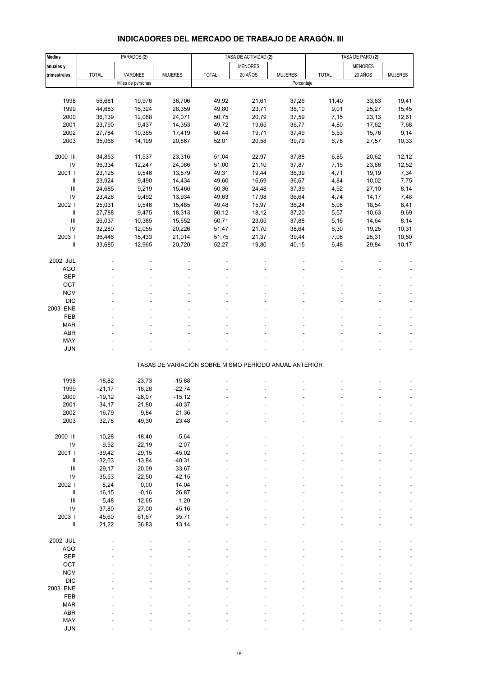# **INDICADORES DEL MERCADO DE TRABAJO DE ARAGÓN. III**

| <b>Medias</b>              |              | PARADOS <sub>(2)</sub> |                |                                                       | TASA DE ACTIVIDAD (2) |                | TASA DE PARO (2) |                |                |
|----------------------------|--------------|------------------------|----------------|-------------------------------------------------------|-----------------------|----------------|------------------|----------------|----------------|
| anuales y                  |              |                        |                |                                                       | <b>MENORES</b>        |                |                  | <b>MENORES</b> |                |
| trimestrales               | <b>TOTAL</b> | VARONES                | <b>MUJERES</b> | <b>TOTAL</b>                                          | 20 AÑOS               | <b>MUJERES</b> | <b>TOTAL</b>     | 20 AÑOS        | <b>MUJERES</b> |
|                            |              | Miles de personas      |                |                                                       |                       | Porcentaje     |                  |                |                |
|                            |              |                        |                |                                                       |                       |                |                  |                |                |
| 1998                       | 56,681       | 19,976                 | 36,706         | 49,92                                                 | 21,61                 | 37,26          | 11,40            | 33,63          | 19,41          |
| 1999                       | 44,683       | 16,324                 | 28,359         | 49,80                                                 | 23,71                 | 36,10          | 9,01             | 25,27          | 15,45          |
| 2000                       | 36,139       | 12,068                 | 24,071         | 50,75                                                 | 20,79                 | 37,59          | 7,15             | 23,13          | 12,61          |
| 2001                       | 23,790       | 9,437                  | 14,353         | 49,72                                                 | 19,65                 | 36,77          | 4,80             | 17,62          | 7,68           |
| 2002                       | 27,784       | 10,365                 | 17,419         | 50,44                                                 | 19,71                 | 37,49          | 5,53             | 15,76          | 9,14           |
| 2003                       | 35,066       | 14,199                 | 20,867         | 52,01                                                 | 20,58                 | 39,79          | 6,78             | 27,57          | 10,33          |
|                            |              |                        |                |                                                       |                       |                |                  |                |                |
| 2000 III                   | 34,853       | 11,537                 | 23,316         | 51,04                                                 | 22,97                 | 37,88          | 6,85             | 20,62          | 12,12          |
| IV                         | 36,334       | 12,247                 | 24,086         | 51,00                                                 | 21,10                 | 37,87          | 7,15             | 23,66          | 12,52          |
| 2001 l                     | 23,125       | 9,546                  | 13,579         | 49,31                                                 | 19,44                 | 36,39          | 4,71             | 19,19          | 7,34           |
| $\sf II$                   | 23,924       | 9,490                  | 14,434         | 49,60                                                 | 16,69                 | 36,67          | 4,84             | 10,02          | 7,75           |
| $\mathsf{III}$             | 24,685       | 9,219                  | 15,466         | 50,36                                                 | 24,48                 | 37,39          | 4,92             | 27,10          | 8,14           |
| IV                         | 23,426       | 9,492                  | 13,934         | 49,63                                                 | 17,98                 | 36,64          | 4,74             | 14,17          | 7,48           |
| 2002                       | 25,031       | 9,546                  | 15,485         | 49,48                                                 | 15,97                 | 36,24          | 5,08             | 18,54          | 8,41           |
| $\sf II$                   | 27,788       | 9,475                  | 18,313         | 50,12                                                 | 18,12                 | 37,20          | 5,57             | 10,63          | 9,69           |
| $\mathbf{III}$             | 26,037       | 10,385                 | 15,652         | 50,71                                                 | 23,05                 | 37,88          | 5,16             | 14,64          | 8,14           |
| IV                         | 32,280       | 12,055                 | 20,226         | 51,47                                                 | 21,70                 | 38,64          | 6,30             | 19,25          | 10,31          |
| 2003                       | 36,446       | 15,433                 | 21,014         | 51,75                                                 | 21,37                 | 39,44          | 7,08             | 25,31          | 10,50          |
| Ш                          | 33,685       | 12,965                 | 20,720         | 52,27                                                 | 19,80                 | 40,15          | 6,48             | 29,84          | 10,17          |
|                            |              |                        |                |                                                       |                       |                |                  |                |                |
| 2002 JUL                   |              |                        |                |                                                       |                       |                |                  |                |                |
| <b>AGO</b>                 |              |                        |                |                                                       |                       |                |                  |                |                |
| <b>SEP</b>                 |              |                        |                |                                                       |                       |                |                  |                |                |
| OCT                        |              |                        |                |                                                       |                       |                |                  |                |                |
| <b>NOV</b>                 |              |                        |                |                                                       |                       |                |                  |                |                |
| <b>DIC</b>                 |              |                        |                |                                                       |                       |                |                  |                |                |
| 2003 ENE                   |              |                        |                |                                                       |                       |                |                  |                |                |
| FEB                        |              |                        |                |                                                       |                       |                |                  |                |                |
| <b>MAR</b>                 |              |                        |                |                                                       |                       |                |                  |                |                |
| <b>ABR</b>                 |              |                        |                |                                                       |                       |                |                  |                |                |
| MAY                        |              |                        |                |                                                       |                       |                |                  |                |                |
| <b>JUN</b>                 |              |                        |                |                                                       |                       |                |                  |                |                |
|                            |              |                        |                | TASAS DE VARIACIÓN SOBRE MISMO PERÍODO ANUAL ANTERIOR |                       |                |                  |                |                |
|                            |              |                        |                |                                                       |                       |                |                  |                |                |
| 1998                       | $-18,82$     | $-23,73$               | $-15,88$       |                                                       |                       |                |                  |                |                |
| 1999                       | $-21,17$     | $-18,28$               | $-22,74$       |                                                       |                       |                |                  |                |                |
| 2000                       | $-19,12$     | $-26,07$               | $-15, 12$      |                                                       |                       |                |                  |                |                |
| 2001                       | $-34,17$     | $-21,80$               | $-40,37$       |                                                       |                       |                |                  |                |                |
| 2002                       | 16,79        | 9,84                   | 21,36          |                                                       |                       |                |                  |                |                |
| 2003                       | 32,78        | 49,30                  | 23,48          |                                                       |                       |                |                  |                |                |
|                            |              |                        |                |                                                       |                       |                |                  |                |                |
| 2000 III                   | $-10,28$     | $-18,40$               | $-5,64$        |                                                       |                       |                |                  |                |                |
| $\mathsf{IV}$              | $-9,92$      | $-22,19$               | $-2,07$        |                                                       |                       |                |                  |                |                |
| 2001 l                     | $-39,42$     | $-29,15$               | $-45,02$       |                                                       |                       |                |                  |                |                |
| $\, \parallel$             | $-32,03$     | $-13,84$               | $-40,31$       |                                                       |                       |                |                  |                |                |
| $\mathbf{III}$             | $-29,17$     | $-20,09$               | $-33,67$       |                                                       |                       |                |                  |                |                |
| IV                         | $-35,53$     | $-22,50$               | $-42,15$       |                                                       |                       |                |                  |                |                |
| 2002 l                     | 8,24         | 0,00                   | 14,04          |                                                       |                       |                |                  |                |                |
| $\ensuremath{\mathsf{II}}$ | 16,15        | $-0,16$                | 26,87          |                                                       |                       |                |                  |                |                |
| $\mathbf{III}$             | 5,48         | 12,65                  | 1,20           |                                                       |                       |                |                  |                |                |
| IV                         | 37,80        | 27,00                  | 45,16          |                                                       |                       |                |                  |                |                |
| 2003                       | 45,60        | 61,67                  | 35,71          |                                                       |                       |                |                  |                |                |
| $\ensuremath{\mathsf{II}}$ | 21,22        | 36,83                  | 13,14          |                                                       |                       |                |                  |                |                |
|                            |              |                        |                |                                                       |                       |                |                  |                |                |
| 2002 JUL<br><b>AGO</b>     |              |                        |                |                                                       |                       |                |                  |                |                |
| <b>SEP</b>                 |              |                        |                |                                                       |                       |                |                  |                |                |
| OCT                        |              |                        |                |                                                       |                       |                |                  |                |                |
| <b>NOV</b>                 |              |                        |                |                                                       |                       |                |                  |                |                |
| <b>DIC</b>                 |              |                        |                |                                                       |                       |                |                  |                |                |
| 2003 ENE                   |              |                        |                |                                                       |                       |                |                  |                |                |
| FEB                        |              |                        |                |                                                       |                       |                |                  |                |                |
| <b>MAR</b>                 |              |                        |                |                                                       |                       |                |                  |                |                |
| <b>ABR</b>                 |              |                        |                |                                                       |                       |                |                  |                |                |
| MAY                        |              |                        |                |                                                       |                       |                |                  |                |                |
| <b>JUN</b>                 |              |                        |                |                                                       |                       |                |                  |                |                |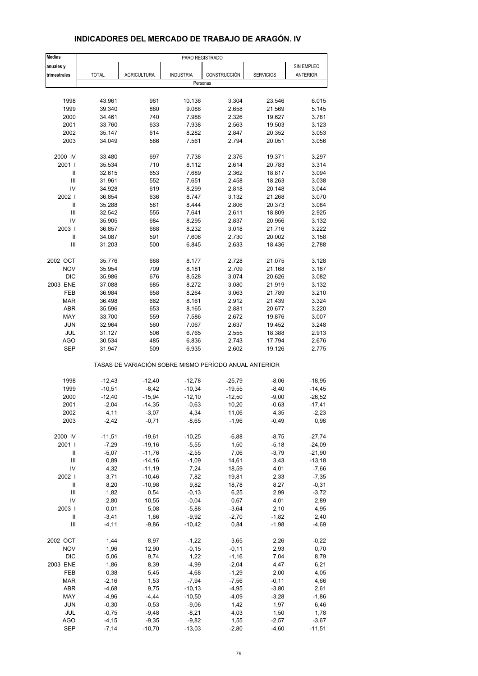| <b>Medias</b>            | PARO REGISTRADO  |                                                       |                  |                |                  |                 |
|--------------------------|------------------|-------------------------------------------------------|------------------|----------------|------------------|-----------------|
| anuales y                |                  |                                                       |                  |                |                  | SIN EMPLEO      |
| trimestrales             | <b>TOTAL</b>     | <b>AGRICULTURA</b>                                    | <b>INDUSTRIA</b> | CONSTRUCCIÓN   | <b>SERVICIOS</b> | <b>ANTERIOR</b> |
|                          |                  |                                                       | Personas         |                |                  |                 |
|                          |                  |                                                       |                  |                |                  |                 |
| 1998                     | 43.961           | 961                                                   | 10.136           | 3.304          | 23.546           | 6.015           |
| 1999                     | 39.340           | 880                                                   | 9.088            | 2.658          | 21.569           | 5.145           |
| 2000                     | 34.461           | 740                                                   | 7.988            | 2.326          | 19.627           | 3.781           |
| 2001                     | 33.760           | 633                                                   | 7.938            | 2.563          | 19.503           | 3.123           |
| 2002                     | 35.147           | 614                                                   | 8.282            | 2.847          | 20.352           | 3.053           |
| 2003                     | 34.049           | 586                                                   | 7.561            | 2.794          | 20.051           | 3.056           |
| 2000 IV                  | 33.480           | 697                                                   | 7.738            | 2.376          | 19.371           | 3.297           |
| 2001 l                   | 35.534           | 710                                                   | 8.112            | 2.614          | 20.783           | 3.314           |
| Ш                        | 32.615           | 653                                                   | 7.689            | 2.362          | 18.817           | 3.094           |
| $\mathbf{III}$           | 31.961           | 552                                                   | 7.651            | 2.458          | 18.263           | 3.038           |
| IV<br>2002               | 34.928           | 619<br>636                                            | 8.299            | 2.818          | 20.148           | 3.044<br>3.070  |
| $\mathsf{I}$             | 36.854<br>35.288 | 581                                                   | 8.747            | 3.132          | 21.268           |                 |
| Ш                        | 32.542           | 555                                                   | 8.444<br>7.641   | 2.806<br>2.611 | 20.373<br>18.809 | 3.084<br>2.925  |
| IV                       | 35.905           | 684                                                   | 8.295            | 2.837          | 20.956           | 3.132           |
| 2003                     | 36.857           | 668                                                   | 8.232            | 3.018          | 21.716           | 3.222           |
| $\sf II$                 | 34.087           | 591                                                   | 7.606            | 2.730          | 20.002           | 3.158           |
| Ш                        | 31.203           | 500                                                   | 6.845            | 2.633          | 18.436           | 2.788           |
|                          |                  |                                                       |                  |                |                  |                 |
| 2002 OCT                 | 35.776           | 668                                                   | 8.177            | 2.728          | 21.075           | 3.128           |
| <b>NOV</b>               | 35.954           | 709                                                   | 8.181            | 2.709          | 21.168           | 3.187           |
| <b>DIC</b>               | 35.986           | 676                                                   | 8.528            | 3.074          | 20.626           | 3.082           |
| 2003 ENE                 | 37.088           | 685                                                   | 8.272            | 3.080          | 21.919           | 3.132           |
| FEB                      | 36.984           | 658                                                   | 8.264            | 3.063          | 21.789           | 3.210           |
| <b>MAR</b>               | 36.498           | 662                                                   | 8.161            | 2.912          | 21.439           | 3.324           |
| <b>ABR</b>               | 35.596           | 653                                                   | 8.165            | 2.881          | 20.677           | 3.220           |
| MAY                      | 33.700           | 559                                                   | 7.586            | 2.672          | 19.876           | 3.007           |
| <b>JUN</b>               | 32.964           | 560                                                   | 7.067            | 2.637          | 19.452           | 3.248           |
| JUL                      | 31.127           | 506                                                   | 6.765            | 2.555          | 18.388           | 2.913           |
| <b>AGO</b><br><b>SEP</b> | 30.534<br>31.947 | 485<br>509                                            | 6.836<br>6.935   | 2.743<br>2.602 | 17.794<br>19.126 | 2.676<br>2.775  |
|                          |                  | TASAS DE VARIACIÓN SOBRE MISMO PERÍODO ANUAL ANTERIOR |                  |                |                  |                 |
| 1998                     | $-12,43$         | $-12,40$                                              | $-12,78$         | $-25,79$       | $-8,06$          | $-18,95$        |
| 1999                     | $-10,51$         | $-8,42$                                               | $-10,34$         | $-19,55$       | $-8,40$          | $-14,45$        |
| 2000                     | $-12,40$         | $-15,94$                                              | $-12,10$         | $-12,50$       | $-9,00$          | $-26,52$        |
| 2001                     | $-2,04$          | $-14,35$                                              | $-0,63$          | 10,20          | $-0,63$          | $-17,41$        |
| 2002                     | 4,11             | -3,07                                                 | 4,34             | 11,06          | 4,35             | -2,23           |
| 2003                     | $-2,42$          | $-0,71$                                               | $-8,65$          | $-1,96$        | $-0,49$          | 0,98            |
| 2000 IV                  | $-11,51$         | $-19,61$                                              | $-10,25$         | $-6,88$        | $-8,75$          | $-27,74$        |
| 2001 l                   | $-7,29$          | $-19,16$                                              | $-5,55$          | 1,50           | $-5,18$          | $-24,09$        |
| Ш                        | $-5,07$          | $-11,76$                                              | $-2,55$          | 7,06           | $-3,79$          | $-21,90$        |
| Ш                        | 0,89             | $-14,16$                                              | $-1,09$          | 14,61          | 3,43             | $-13,18$        |
| IV                       | 4,32             | $-11,19$                                              | 7,24             | 18,59          | 4,01             | $-7,66$         |
| 2002                     | 3,71             | $-10,46$                                              | 7,82             | 19,81          | 2,33             | $-7,35$         |
| $\sf II$                 | 8,20             | $-10,98$                                              | 9,82             | 18,78          | 8,27             | $-0,31$         |
| Ш                        | 1,82             | 0,54                                                  | $-0, 13$         | 6,25           | 2,99             | $-3,72$         |
| IV                       | 2,80             | 10,55                                                 | $-0,04$          | 0,67           | 4,01             | 2,89            |
| 2003                     | 0,01             | 5,08                                                  | $-5,88$          | $-3,64$        | 2,10             | 4,95            |
| Ш                        | $-3,41$          | 1,66                                                  | $-9,92$          | $-2,70$        | $-1,82$          | 2,40            |
| Ш                        | $-4, 11$         | $-9,86$                                               | $-10,42$         | 0,84           | $-1,98$          | $-4,69$         |
| 2002 OCT                 | 1,44             | 8,97                                                  | $-1,22$          | 3,65           | 2,26             | $-0,22$         |
| <b>NOV</b>               | 1,96             | 12,90                                                 | $-0,15$          | $-0, 11$       | 2,93             | 0,70            |
| <b>DIC</b>               | 5,06             | 9,74                                                  | 1,22             | $-1,16$        | 7,04             | 8,79            |
| 2003 ENE                 | 1,86             | 8,39                                                  | $-4,99$          | $-2,04$        | 4,47             | 6,21            |
| FEB                      | 0,38             | 5,45                                                  | $-4,68$          | $-1,29$        | 2,00             | 4,05            |
| <b>MAR</b>               | $-2,16$          | 1,53                                                  | $-7,94$          | $-7,56$        | $-0,11$          | 4,66            |
| <b>ABR</b>               | $-4,68$          | 9,75                                                  | $-10,13$         | $-4,95$        | $-3,80$          | 2,61            |
| MAY                      | $-4,96$          | $-4,44$                                               | $-10,50$         | $-4,09$        | $-3,28$          | $-1,86$         |
| <b>JUN</b>               | $-0,30$          | $-0,53$                                               | $-9,06$          | 1,42           | 1,97             | 6,46            |
| JUL                      | $-0,75$          | $-9,48$                                               | $-8,21$          | 4,03           | 1,50             | 1,78            |
| AGO                      | $-4, 15$         | $-9,35$                                               | $-9,82$          | 1,55           | $-2,57$          | $-3,67$         |
| <b>SEP</b>               | $-7,14$          | $-10,70$                                              | $-13,03$         | $-2,80$        | $-4,60$          | $-11,51$        |

### **INDICADORES DEL MERCADO DE TRABAJO DE ARAGÓN. IV**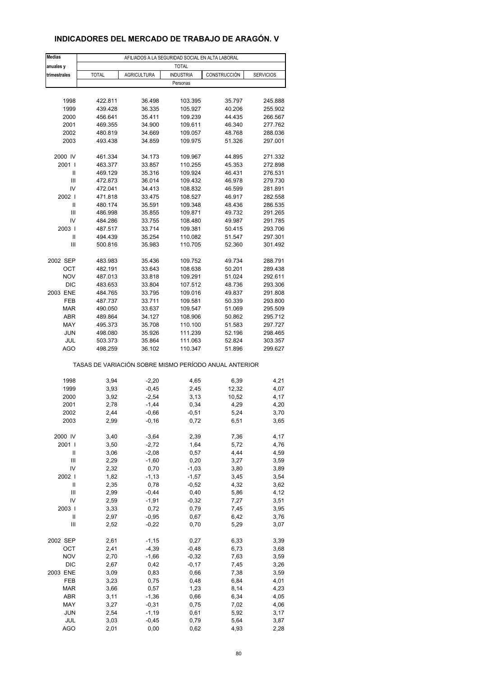# **INDICADORES DEL MERCADO DE TRABAJO DE ARAGÓN. V**

| <b>Medias</b>                      |                                                       |                    | AFILIADOS A LA SEGURIDAD SOCIAL EN ALTA LABORAL |                  |                    |
|------------------------------------|-------------------------------------------------------|--------------------|-------------------------------------------------|------------------|--------------------|
| anuales y                          |                                                       |                    | <b>TOTAL</b>                                    |                  |                    |
| trimestrales                       | <b>TOTAL</b>                                          | <b>AGRICULTURA</b> | <b>INDUSTRIA</b>                                | CONSTRUCCIÓN     | <b>SERVICIOS</b>   |
|                                    |                                                       |                    | Personas                                        |                  |                    |
|                                    |                                                       |                    |                                                 |                  |                    |
| 1998                               | 422.811                                               | 36.498             | 103.395                                         | 35.797           | 245.888            |
| 1999                               | 439.428                                               | 36.335             | 105.927                                         | 40.206           | 255.902            |
| 2000                               | 456.641                                               | 35.411             | 109.239                                         | 44.435           | 266.567            |
| 2001                               | 469.355                                               | 34.900             | 109.611                                         | 46.340           | 277.762            |
| 2002                               | 480.819                                               | 34.669             | 109.057                                         | 48.768           | 288.036            |
| 2003                               | 493.438                                               | 34.859             | 109.975                                         | 51.326           | 297.001            |
|                                    |                                                       |                    |                                                 |                  |                    |
| 2000 IV<br>2001 l                  | 461.334                                               | 34.173             | 109.967<br>110.255                              | 44.895           | 271.332<br>272.898 |
| Ш                                  | 463.377<br>469.129                                    | 33.857<br>35.316   | 109.924                                         | 45.353<br>46.431 | 276.531            |
| $\ensuremath{\mathsf{III}}\xspace$ | 472.873                                               | 36.014             | 109.432                                         | 46.978           | 279.730            |
| IV                                 | 472.041                                               | 34.413             | 108.832                                         | 46.599           | 281.891            |
| 2002                               | 471.818                                               | 33.475             | 108.527                                         | 46.917           | 282.558            |
| Ш                                  | 480.174                                               | 35.591             | 109.348                                         | 48.436           | 286.535            |
| Ш                                  | 486.998                                               | 35.855             | 109.871                                         | 49.732           | 291.265            |
| IV                                 | 484.286                                               | 33.755             | 108.480                                         | 49.987           | 291.785            |
| 2003                               | 487.517                                               | 33.714             | 109.381                                         | 50.415           | 293.706            |
| Ш                                  | 494.439                                               | 35.254             | 110.082                                         | 51.547           | 297.301            |
| Ш                                  | 500.816                                               | 35.983             | 110.705                                         | 52.360           | 301.492            |
|                                    |                                                       |                    |                                                 |                  |                    |
| 2002 SEP                           | 483.983                                               | 35.436             | 109.752                                         | 49.734           | 288.791            |
| OCT                                | 482.191                                               | 33.643             | 108.638                                         | 50.201           | 289.438            |
| <b>NOV</b>                         | 487.013                                               | 33.818             | 109.291                                         | 51.024           | 292.611            |
| <b>DIC</b>                         | 483.653                                               | 33.804             | 107.512                                         | 48.736           | 293.306            |
| 2003 ENE                           | 484.765                                               | 33.795             | 109.016                                         | 49.837           | 291.808            |
| <b>FEB</b>                         | 487.737                                               | 33.711             | 109.581                                         | 50.339           | 293.800            |
| <b>MAR</b>                         | 490.050                                               | 33.637             | 109.547                                         | 51.069           | 295.509            |
| <b>ABR</b>                         | 489.864                                               | 34.127             | 108.906                                         | 50.862           | 295.712            |
| MAY                                | 495.373                                               | 35.708             | 110.100                                         | 51.583           | 297.727            |
| <b>JUN</b>                         | 498.080                                               | 35.926             | 111.239                                         | 52.196           | 298.465            |
| JUL                                | 503.373                                               | 35.864             | 111.063                                         | 52.824           | 303.357            |
| <b>AGO</b>                         | 498.259                                               | 36.102             | 110.347                                         | 51.896           | 299.627            |
|                                    | TASAS DE VARIACIÓN SOBRE MISMO PERÍODO ANUAL ANTERIOR |                    |                                                 |                  |                    |
| 1998                               | 3,94                                                  | $-2,20$            |                                                 | 6,39             | 4,21               |
| 1999                               | 3,93                                                  | $-0,45$            | 4,65<br>2,45                                    | 12,32            | 4,07               |
| 2000                               | 3,92                                                  | $-2,54$            | 3,13                                            | 10,52            | 4,17               |
| 2001                               | 2,78                                                  | $-1,44$            | 0,34                                            | 4,29             | 4,20               |
| 2002                               | 2,44                                                  | $-0,66$            | $-0,51$                                         | 5,24             | 3,70               |
| 2003                               | 2,99                                                  | $-0,16$            | 0,72                                            | 6,51             | 3,65               |
|                                    |                                                       |                    |                                                 |                  |                    |
| 2000 IV                            | 3,40                                                  | $-3,64$            | 2,39                                            | 7,36             | 4,17               |
| 2001 l                             | 3,50                                                  | $-2,72$            | 1,64                                            | 5,72             | 4,76               |
| Ш                                  | 3,06                                                  | $-2,08$            | 0,57                                            | 4,44             | 4,59               |
| Ш                                  | 2,29                                                  | $-1,60$            | 0,20                                            | 3,27             | 3,59               |
| IV                                 | 2,32                                                  | 0,70               | $-1,03$                                         | 3,80             | 3,89               |
| 2002                               | 1,82                                                  | $-1, 13$           | $-1,57$                                         | 3,45             | 3,54               |
| Ш                                  | 2,35                                                  | 0,78               | $-0,52$                                         | 4,32             | 3,62               |
| $\ensuremath{\mathsf{III}}\xspace$ | 2,99                                                  | $-0,44$            | 0,40                                            | 5,86             | 4,12               |
| IV                                 | 2,59                                                  | $-1,91$            | $-0,32$                                         | 7,27             | 3,51               |
| 2003                               | 3,33                                                  | 0,72               | 0,79                                            | 7,45             | 3,95               |
| Ш                                  | 2,97                                                  | $-0,95$            | 0,67                                            | 6,42             | 3,76               |
| Ш                                  | 2,52                                                  | $-0,22$            | 0,70                                            | 5,29             | 3,07               |
| 2002 SEP                           | 2,61                                                  | $-1,15$            | 0,27                                            | 6,33             | 3,39               |
| OCT                                | 2,41                                                  | $-4,39$            | $-0,48$                                         | 6,73             | 3,68               |
| <b>NOV</b>                         | 2,70                                                  | $-1,66$            | $-0,32$                                         | 7,63             | 3,59               |
| DIC                                | 2,67                                                  | 0,42               | $-0,17$                                         | 7,45             | 3,26               |
| 2003 ENE                           | 3,09                                                  | 0,83               | 0,66                                            | 7,38             | 3,59               |
| FEB                                | 3,23                                                  | 0,75               | 0,48                                            | 6,84             | 4,01               |
| <b>MAR</b>                         | 3,66                                                  | 0,57               | 1,23                                            | 8,14             | 4,23               |
| ABR                                | 3,11                                                  | $-1,36$            | 0,66                                            | 6,34             | 4,05               |
| MAY                                | 3,27                                                  | $-0,31$            | 0,75                                            | 7,02             | 4,06               |
| <b>JUN</b>                         | 2,54                                                  | $-1,19$            | 0,61                                            | 5,92             | 3,17               |
| JUL                                | 3,03                                                  | $-0,45$            | 0,79                                            | 5,64             | 3,87               |
| AGO                                | 2,01                                                  | 0,00               | 0,62                                            | 4,93             | 2,28               |
|                                    |                                                       |                    |                                                 |                  |                    |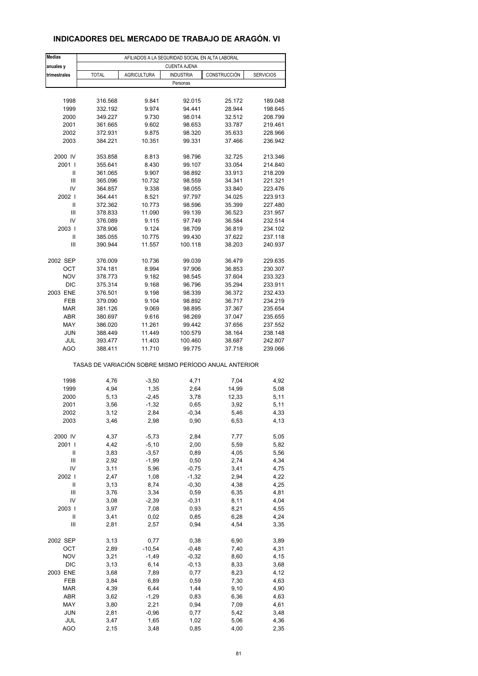# **INDICADORES DEL MERCADO DE TRABAJO DE ARAGÓN. VI**

| <b>Medias</b>            | AFILIADOS A LA SEGURIDAD SOCIAL EN ALTA LABORAL       |                    |                     |                  |                    |  |
|--------------------------|-------------------------------------------------------|--------------------|---------------------|------------------|--------------------|--|
| anuales y                |                                                       |                    | <b>CUENTA AJENA</b> |                  |                    |  |
| trimestrales             | <b>TOTAL</b>                                          | <b>AGRICULTURA</b> | <b>INDUSTRIA</b>    | CONSTRUCCIÓN     | <b>SERVICIOS</b>   |  |
|                          |                                                       |                    | Personas            |                  |                    |  |
|                          |                                                       |                    |                     |                  |                    |  |
| 1998                     | 316.568                                               | 9.841              | 92.015              | 25.172           | 189.048            |  |
| 1999                     | 332.192                                               | 9.974              | 94.441              | 28.944           | 198.645            |  |
| 2000                     | 349.227                                               | 9.730              | 98.014              | 32.512           | 208.799            |  |
| 2001                     | 361.665                                               | 9.602              | 98.653              | 33.787           | 219.461            |  |
| 2002                     | 372.931                                               | 9.875              | 98.320              | 35.633           | 228.966            |  |
| 2003                     | 384.221                                               | 10.351             | 99.331              | 37.466           | 236.942            |  |
|                          |                                                       |                    |                     |                  |                    |  |
| 2000 IV                  | 353.858                                               | 8.813              | 98.796              | 32.725           | 213.346            |  |
| 2001 l                   | 355.641                                               | 8.430              | 99.107              | 33.054           | 214.840            |  |
| Ш                        | 361.065                                               | 9.907              | 98.892              | 33.913           | 218.209            |  |
| Ш                        | 365.096                                               | 10.732             | 98.559              | 34.341           | 221.321            |  |
| IV                       | 364.857                                               | 9.338              | 98.055              | 33.840           | 223.476            |  |
| 2002                     | 364.441                                               | 8.521              | 97.797              | 34.025           | 223.913            |  |
| Ш                        | 372.362                                               | 10.773             | 98.596              | 35.399           | 227.480            |  |
| Ш                        | 378.833                                               | 11.090             | 99.139              | 36.523           | 231.957            |  |
| IV                       | 376.089                                               | 9.115              | 97.749              | 36.584           | 232.514            |  |
| 2003                     | 378.906                                               | 9.124              | 98.709              | 36.819           | 234.102            |  |
| $\mathsf{I}$             | 385.055                                               | 10.775             | 99.430              | 37.622           | 237.118            |  |
| Ш                        | 390.944                                               | 11.557             | 100.118             | 38.203           | 240.937            |  |
|                          |                                                       |                    |                     |                  |                    |  |
| 2002 SEP                 | 376.009                                               | 10.736             | 99.039              | 36.479           | 229.635            |  |
| OCT<br><b>NOV</b>        | 374.181                                               | 8.994<br>9.182     | 97.906              | 36.853           | 230.307            |  |
|                          | 378.773                                               |                    | 98.545              | 37.604           | 233.323            |  |
| <b>DIC</b>               | 375.314                                               | 9.168              | 96.796              | 35.294           | 233.911            |  |
| 2003 ENE<br>FEB          | 376.501                                               | 9.198              | 98.339              | 36.372           | 232.433            |  |
|                          | 379.090                                               | 9.104              | 98.892              | 36.717           | 234.219            |  |
| <b>MAR</b><br><b>ABR</b> | 381.126<br>380.697                                    | 9.069<br>9.616     | 98.895<br>98.269    | 37.367<br>37.047 | 235.654<br>235.655 |  |
| MAY                      | 386.020                                               | 11.261             | 99.442              | 37.656           | 237.552            |  |
| <b>JUN</b>               | 388.449                                               | 11.449             | 100.579             | 38.164           | 238.148            |  |
| JUL                      | 393.477                                               | 11.403             | 100.460             | 38.687           | 242.807            |  |
| <b>AGO</b>               | 388.411                                               | 11.710             | 99.775              | 37.718           | 239.066            |  |
|                          |                                                       |                    |                     |                  |                    |  |
|                          | TASAS DE VARIACIÓN SOBRE MISMO PERÍODO ANUAL ANTERIOR |                    |                     |                  |                    |  |
|                          |                                                       |                    |                     |                  |                    |  |
| 1998                     | 4,76                                                  | $-3,50$            | 4,71                | 7,04             | 4,92               |  |
| 1999                     | 4,94                                                  | 1,35               | 2,64                | 14,99            | 5,08               |  |
| 2000                     | 5,13                                                  | $-2,45$            | 3,78                | 12,33            | 5,11               |  |
| 2001                     | 3,56                                                  | $-1,32$            | 0,65                | 3,92             | 5,11               |  |
| 2002                     | 3,12                                                  | 2,84               | -0,34               | 5,46             | 4,33               |  |
| 2003                     | 3,46                                                  | 2,98               | 0,90                | 6,53             | 4,13               |  |
|                          |                                                       |                    |                     |                  |                    |  |
| 2000 IV                  | 4,37                                                  | $-5,73$            | 2,84                | 7,77             | 5,05               |  |
| 2001 l                   | 4,42                                                  | $-5,10$            | 2,00                | 5,59             | 5,82               |  |
| Ш                        | 3,83                                                  | $-3,57$            | 0,89                | 4,05             | 5,56               |  |
| Ш                        | 2,92                                                  | $-1,99$            | 0,50                | 2,74             | 4,34               |  |
| IV                       | 3,11                                                  | 5,96               | $-0,75$             | 3,41             | 4,75               |  |
| 2002                     | 2,47                                                  | 1,08               | $-1,32$             | 2,94             | 4,22               |  |
| Ш                        | 3,13                                                  | 8,74               | $-0,30$             | 4,38             | 4,25               |  |
| Ш                        | 3,76                                                  | 3,34               | 0,59                | 6,35             | 4,81               |  |
| IV                       | 3,08                                                  | $-2,39$            | $-0,31$             | 8,11             | 4,04               |  |
| 2003                     | 3,97                                                  | 7,08               | 0,93                | 8,21             | 4,55               |  |
| Ш                        | 3,41                                                  | 0,02               | 0,85                | 6,28             | 4,24               |  |
| $\mathsf{III}$           | 2,81                                                  | 2,57               | 0,94                | 4,54             | 3,35               |  |
| 2002 SEP                 | 3,13                                                  | 0,77               | 0,38                | 6,90             | 3,89               |  |
| OCT                      | 2,89                                                  | $-10,54$           | $-0,48$             | 7,40             | 4,31               |  |
| <b>NOV</b>               | 3,21                                                  | $-1,49$            | $-0,32$             | 8,60             | 4,15               |  |
| <b>DIC</b>               | 3,13                                                  | 6, 14              | $-0, 13$            | 8,33             | 3,68               |  |
| 2003 ENE                 | 3,68                                                  | 7,89               | 0,77                | 8,23             | 4,12               |  |
| FEB                      | 3,84                                                  | 6,89               | 0,59                | 7,30             | 4,63               |  |
| <b>MAR</b>               | 4,39                                                  | 6,44               | 1,44                | 9,10             | 4,90               |  |
| ABR                      | 3,62                                                  | $-1,29$            | 0,83                | 6,36             | 4,63               |  |
| MAY                      | 3,80                                                  | 2,21               | 0,94                | 7,09             | 4,61               |  |
| <b>JUN</b>               | 2,81                                                  | $-0,96$            | 0,77                | 5,42             | 3,48               |  |
| JUL                      | 3,47                                                  | 1,65               | 1,02                | 5,06             | 4,36               |  |
| <b>AGO</b>               | 2,15                                                  | 3,48               | 0,85                | 4,00             | 2,35               |  |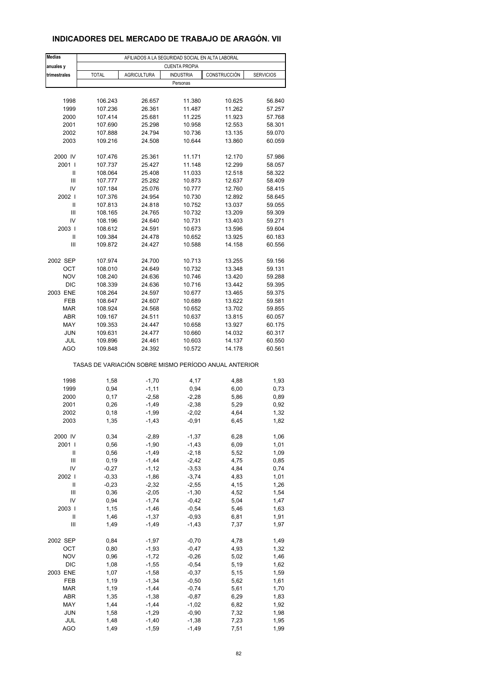### **INDICADORES DEL MERCADO DE TRABAJO DE ARAGÓN. VII**

| <b>Medias</b>     | AFILIADOS A LA SEGURIDAD SOCIAL EN ALTA LABORAL |                    |                      |                                                       |                  |  |  |
|-------------------|-------------------------------------------------|--------------------|----------------------|-------------------------------------------------------|------------------|--|--|
| anuales y         |                                                 |                    | <b>CUENTA PROPIA</b> |                                                       |                  |  |  |
| trimestrales      | <b>TOTAL</b><br><b>AGRICULTURA</b>              |                    | <b>INDUSTRIA</b>     | CONSTRUCCIÓN                                          | <b>SERVICIOS</b> |  |  |
|                   |                                                 |                    | Personas             |                                                       |                  |  |  |
|                   |                                                 |                    |                      |                                                       |                  |  |  |
| 1998              | 106.243                                         | 26.657             | 11.380               | 10.625                                                | 56.840           |  |  |
| 1999              | 107.236                                         | 26.361             | 11.487               | 11.262                                                | 57.257           |  |  |
| 2000              | 107.414                                         | 25.681             | 11.225               | 11.923                                                | 57.768           |  |  |
| 2001              | 107.690                                         | 25.298             | 10.958               | 12.553                                                | 58.301           |  |  |
| 2002<br>2003      | 107.888<br>109.216                              | 24.794<br>24.508   | 10.736<br>10.644     | 13.135<br>13.860                                      | 59.070<br>60.059 |  |  |
|                   |                                                 |                    |                      |                                                       |                  |  |  |
| 2000 IV           | 107.476                                         | 25.361             | 11.171               | 12.170                                                | 57.986           |  |  |
| 2001 l            | 107.737                                         | 25.427             | 11.148               | 12.299                                                | 58.057           |  |  |
| Ш                 | 108.064                                         | 25.408             | 11.033               | 12.518                                                | 58.322           |  |  |
| Ш                 | 107.777                                         | 25.282             | 10.873               | 12.637                                                | 58.409           |  |  |
| IV                | 107.184                                         | 25.076             | 10.777               | 12.760                                                | 58.415           |  |  |
| 2002              | 107.376                                         | 24.954             | 10.730               | 12.892                                                | 58.645           |  |  |
| Ш                 | 107.813                                         | 24.818             | 10.752               | 13.037                                                | 59.055           |  |  |
| Ш                 | 108.165                                         | 24.765             | 10.732               | 13.209                                                | 59.309           |  |  |
| IV                | 108.196                                         | 24.640             | 10.731               | 13.403                                                | 59.271           |  |  |
| 2003              | 108.612                                         | 24.591             | 10.673               | 13.596                                                | 59.604           |  |  |
| $\mathsf{I}$<br>Ш | 109.384<br>109.872                              | 24.478<br>24.427   | 10.652<br>10.588     | 13.925<br>14.158                                      | 60.183<br>60.556 |  |  |
|                   |                                                 |                    |                      |                                                       |                  |  |  |
| 2002 SEP          | 107.974                                         | 24.700             | 10.713               | 13.255                                                | 59.156           |  |  |
| OCT               | 108.010                                         | 24.649             | 10.732               | 13.348                                                | 59.131           |  |  |
| <b>NOV</b>        | 108.240                                         | 24.636             | 10.746               | 13.420                                                | 59.288           |  |  |
| <b>DIC</b>        | 108.339                                         | 24.636             | 10.716               | 13.442                                                | 59.395           |  |  |
| 2003 ENE          | 108.264                                         | 24.597             | 10.677               | 13.465                                                | 59.375           |  |  |
| FEB               | 108.647                                         | 24.607             | 10.689               | 13.622                                                | 59.581           |  |  |
| <b>MAR</b>        | 108.924                                         | 24.568             | 10.652               | 13.702                                                | 59.855           |  |  |
| ABR               | 109.167                                         | 24.511             | 10.637               | 13.815                                                | 60.057           |  |  |
| MAY               | 109.353                                         | 24.447             | 10.658               | 13.927                                                | 60.175           |  |  |
| <b>JUN</b>        | 109.631                                         | 24.477             | 10.660               | 14.032                                                | 60.317           |  |  |
| JUL               | 109.896                                         | 24.461             | 10.603               | 14.137                                                | 60.550           |  |  |
| <b>AGO</b>        | 109.848                                         | 24.392             | 10.572               | 14.178                                                | 60.561           |  |  |
|                   |                                                 |                    |                      | TASAS DE VARIACIÓN SOBRE MISMO PERÍODO ANUAL ANTERIOR |                  |  |  |
|                   |                                                 |                    |                      |                                                       |                  |  |  |
| 1998              | 1,58                                            | $-1,70$            | 4,17                 | 4,88                                                  | 1,93             |  |  |
| 1999              | 0,94                                            | $-1, 11$           | 0,94                 | 6,00                                                  | 0,73             |  |  |
| 2000              | 0,17                                            | $-2,58$            | $-2,28$              | 5,86                                                  | 0,89             |  |  |
| 2001              | 0,26                                            | $-1,49$            | $-2,38$              | 5,29                                                  | 0,92<br>1,32     |  |  |
| 2002<br>2003      | 0,18<br>1,35                                    | -1,99<br>$-1,43$   | -2,02<br>$-0,91$     | 4,64<br>6,45                                          | 1,82             |  |  |
|                   |                                                 |                    |                      |                                                       |                  |  |  |
| 2000 IV           | 0,34                                            | $-2,89$            | $-1,37$              | 6,28                                                  | 1,06             |  |  |
| 2001 l            | 0,56                                            | $-1,90$            | $-1,43$              | 6,09                                                  | 1,01             |  |  |
| Ш                 | 0,56                                            | $-1,49$            | $-2,18$              | 5,52                                                  | 1,09             |  |  |
| Ш                 | 0, 19                                           | $-1,44$            | $-2,42$              | 4,75                                                  | 0,85             |  |  |
| IV                | $-0,27$                                         | $-1, 12$           | $-3,53$              | 4,84                                                  | 0,74             |  |  |
| 2002              | $-0,33$                                         | $-1,86$            | $-3,74$              | 4,83                                                  | 1,01             |  |  |
| $\sf II$          | $-0,23$                                         | $-2,32$            | $-2,55$              | 4,15                                                  | 1,26             |  |  |
| Ш                 | 0,36                                            | $-2,05$            | $-1,30$              | 4,52                                                  | 1,54             |  |  |
| IV                | 0,94                                            | $-1,74$            | $-0,42$              | 5,04                                                  | 1,47             |  |  |
| 2003              | 1,15                                            | $-1,46$            | $-0,54$              | 5,46                                                  | 1,63             |  |  |
| Ш<br>Ш            | 1,46<br>1,49                                    | $-1,37$<br>$-1,49$ | $-0,93$<br>$-1,43$   | 6,81<br>7,37                                          | 1,91<br>1,97     |  |  |
|                   |                                                 |                    |                      |                                                       |                  |  |  |
| 2002 SEP          | 0,84                                            | $-1,97$            | $-0,70$              | 4,78                                                  | 1,49             |  |  |
| OCT               | 0,80                                            | $-1,93$            | $-0,47$              | 4,93                                                  | 1,32             |  |  |
| <b>NOV</b>        | 0,96                                            | $-1,72$            | $-0,26$              | 5,02                                                  | 1,46             |  |  |
| DIC               | 1,08                                            | $-1,55$            | $-0,54$              | 5,19                                                  | 1,62             |  |  |
| 2003 ENE          | 1,07                                            | $-1,58$            | $-0,37$              | 5,15                                                  | 1,59             |  |  |
| FEB               | 1,19                                            | $-1,34$            | $-0,50$              | 5,62                                                  | 1,61             |  |  |
| <b>MAR</b>        | 1,19                                            | $-1,44$            | $-0,74$              | 5,61                                                  | 1,70             |  |  |
| ABR               | 1,35                                            | $-1,38$            | $-0,87$              | 6,29                                                  | 1,83             |  |  |
| MAY               | 1,44                                            | $-1,44$            | $-1,02$              | 6,82                                                  | 1,92             |  |  |
| JUN               | 1,58                                            | $-1,29$            | $-0,90$              | 7,32                                                  | 1,98             |  |  |
| JUL<br><b>AGO</b> | 1,48<br>1,49                                    | $-1,40$<br>$-1,59$ | $-1,38$<br>$-1,49$   | 7,23<br>7,51                                          | 1,95<br>1,99     |  |  |
|                   |                                                 |                    |                      |                                                       |                  |  |  |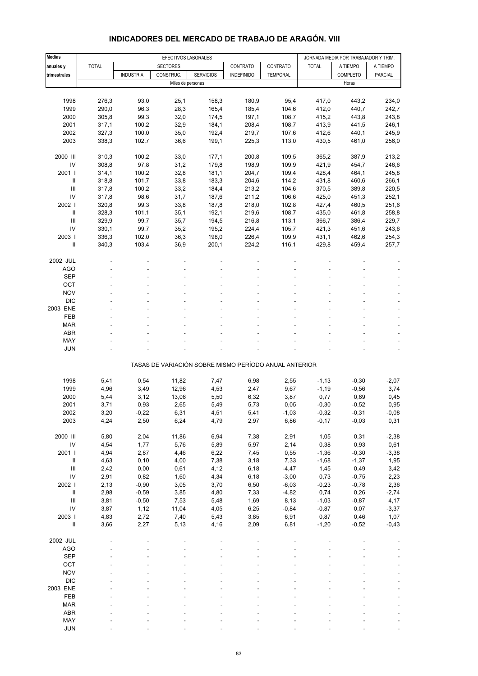#### **Medias | EFECTIVOS LABORALES | JORNADA MEDIA POR TRABAJADOR Y TRIM. anuales y** TOTAL SECTORES CONTRATO CONTRATO TOTAL A TIEMPO A TIEMPO **trimestrales | |** INDUSTRIA | CONSTRUC. | SERVICIOS | INDEFINIDO | TEMPORAL | | COMPLETO | PARCIAL Miles de personas Horas et al. 2009, et al. 2009, et al. 2009, et al. 2009, et al. 2009, et al. 2009, et al. 2009, et al. 2009, et al. 2009, et al. 2009, et al. 2009, et al. 2009, et al. 2009, et al. 2009, et al. 2009, et 1998 276,3 93,0 25,1 158,3 180,9 95,4 417,0 443,2 234,0 1999 290,0 96,3 28,3 165,4 185,4 104,6 412,0 440,7 242,7 2000 305,8 99,3 32,0 174,5 197,1 108,7 415,2 443,8 243,8 2001 317,1 100,2 32,9 184,1 208,4 108,7 413,9 441,5 246,1 2002 327,3 100,0 35,0 192,4 219,7 107,6 412,6 440,1 245,9 2003 338,3 102,7 36,6 199,1 225,3 113,0 430,5 461,0 256,0 2000 III 310,3 100,2 33,0 177,1 200,8 109,5 365,2 387,9 213,2 IV 308,8 97,8 31,2 179,8 198,9 109,9 421,9 454,7 246,6 2001 I 314,1 100,2 32,8 181,1 204,7 109,4 428,4 464,1 245,8 II 318,8 101,7 33,8 183,3 204,6 114,2 431,8 460,6 266,1 III 317,8 100,2 33,2 184,4 213,2 104,6 370,5 389,8 220,5 IV 317,8 98,6 31,7 187,6 211,2 106,6 425,0 451,3 252,1 2002 I 320,8 99,3 33,8 187,8 218,0 102,8 427,4 460,5 251,6 II 328,3 101,1 35,1 192,1 219,6 108,7 435,0 461,8 258,8 III 329,9 99,7 35,7 194,5 216,8 113,1 366,7 386,4 229,7 IV 330,1 99,7 35,2 195,2 224,4 105,7 421,3 451,6 243,6 2003 I 336,3 102,0 36,3 198,0 226,4 109,9 431,1 462,6 254,3 II 340,3 103,4 36,9 200,1 224,2 116,1 429,8 459,4 257,7 2002 JUL ----- ---- AGO - - - - - ---- SEP - - - - - ---- OCT the second contract of the second contract of the second contract of the second contract of the second contract of the second contract of the second contract of the second contract of the second contract of the second NOV  $\qquad$  -  $\qquad$  -  $\qquad$  -  $\qquad$  -  $\qquad$  -  $\qquad$  -  $\qquad$  -  $\qquad$  -  $\qquad$  -  $\qquad$  -DIC - - - - - - - - - - - - - - - -2003 ENE ----- ---- FEB - - - - - ---- MAR - - - - - - - - - - - - - - - - - - $ABR$  , and the set of the set of the set of the set of the set of the set of the set of the set of the set of the set of the set of the set of the set of the set of the set of the set of the set of the set of the set of t MAY - - - - - ---- JUN - - - - - ---- TASAS DE VARIACIÓN SOBRE MISMO PERÍODO ANUAL ANTERIOR 1998 5,41 0,54 11,82 7,47 6,98 2,55 -1,13 -0,30 -2,07 1999 4,96 3,49 12,96 4,53 2,47 9,67 -1,19 -0,56 3,74 2000 5,44 3,12 13,06 5,50 6,32 3,87 0,77 0,69 0,45 2001 3,71 0,93 2,65 5,49 5,73 0,05 -0,30 -0,52 0,95 2002 3,20 -0,22 6,31 4,51 5,41 -1,03 -0,32 -0,31 -0,08 2003 4,24 2,50 6,24 4,79 2,97 6,86 -0,17 -0,03 0,31 2000 III 5,80 2,04 11,86 6,94 7,38 2,91 1,05 0,31 -2,38 IV 4,54 1,77 5,76 5,89 5,97 2,14 0,38 0,93 0,61 2001 I 4,94 2,87 4,46 6,22 7,45 0,55 -1,36 -0,30 -3,38 II 4,63 0,10 4,00 7,38 3,18 7,33 -1,68 -1,37 1,95 III 2,42 0,00 0,61 4,12 6,18 -4,47 1,45 0,49 3,42 IV 2,91 0,82 1,60 4,34 6,18 -3,00 0,73 -0,75 2,23 2002 I 2,13 -0,90 3,05 3,70 6,50 -6,03 -0,23 -0,78 2,36 II 2,98 -0,59 3,85 4,80 7,33 -4,82 0,74 0,26 -2,74 III 3,81 -0,50 7,53 5,48 1,69 8,13 -1,03 -0,87 4,17 IV 3,87 1,12 11,04 4,05 6,25 -0,84 -0,87 0,07 -3,37 2003 I 4,83 2,72 7,40 5,43 3,85 6,91 0,87 0,46 1,07 II 3,66 2,27 5,13 4,16 2,09 6,81 -1,20 -0,52 -0,43 2002 JUL ----- ---- AGO - - - - - ---- SEP - - - - - ---- OCT the second contract of the second contract of the second contract of the second contract of the second contract of the second contract of the second contract of the second contract of the second contract of the second NOV  $\qquad$  -  $\qquad$  -  $\qquad$  -  $\qquad$  -  $\qquad$  -  $\qquad$  -  $\qquad$  -  $\qquad$  -  $\qquad$  -  $\qquad$  -DIC - - - - - - - - - - - - - - - -2003 ENE ----- ---- FEB - - - - - ---- MAR - - - - - - - - - - - - - - - - - -ABR - - - - - ----

#### **INDICADORES DEL MERCADO DE TRABAJO DE ARAGÓN. VIII**

 MAY - - - - - ---- JUN - - - - - ----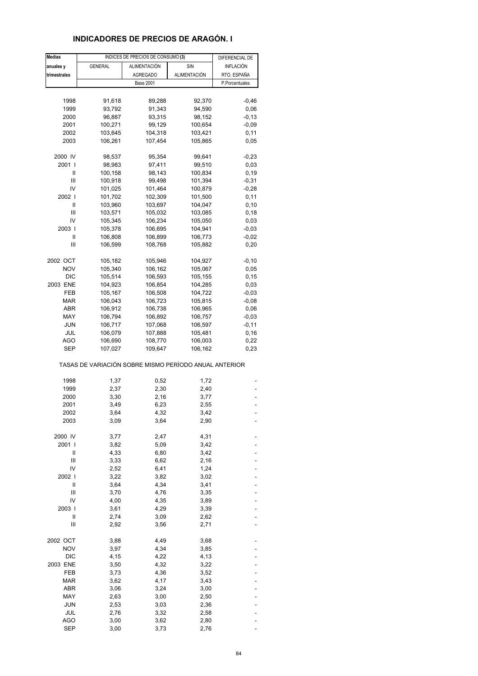# **INDICADORES DE PRECIOS DE ARAGÓN. I**

| <b>Medias</b> |                                                       | INDICES DE PRECIOS DE CONSUMO (3) |                     | DIFERENCIAL DE   |
|---------------|-------------------------------------------------------|-----------------------------------|---------------------|------------------|
| anuales y     | <b>GENERAL</b>                                        | ALIMENTACIÓN                      | SIN                 | <b>INFLACIÓN</b> |
| trimestrales  |                                                       | <b>AGREGADO</b>                   | <b>ALIMENTACIÓN</b> | RTO. ESPAÑA      |
|               |                                                       | <b>Base 2001</b>                  |                     | P.Porcentuales   |
|               |                                                       |                                   |                     |                  |
| 1998          |                                                       | 89,288                            |                     | $-0,46$          |
|               | 91,618                                                |                                   | 92,370              |                  |
| 1999          | 93,792                                                | 91,343                            | 94,590              | 0,06             |
| 2000          | 96,887                                                | 93,315                            | 98,152              | $-0, 13$         |
| 2001          | 100,271                                               | 99,129                            | 100,654             | $-0,09$          |
| 2002          | 103,645                                               | 104,318                           | 103,421             | 0,11             |
| 2003          | 106,261                                               | 107,454                           | 105,865             | 0,05             |
| 2000 IV       |                                                       |                                   | 99,641              |                  |
| 2001          | 98,537                                                | 95,354                            |                     | $-0,23$          |
|               | 98,983                                                | 97,411                            | 99,510              | 0,03             |
| Ш             | 100,158                                               | 98,143                            | 100,834             | 0, 19            |
| Ш             | 100,918                                               | 99,498                            | 101,394             | $-0,31$          |
| IV            | 101,025                                               | 101,464                           | 100,879             | $-0,28$          |
| 2002 l        | 101,702                                               | 102,309                           | 101,500             | 0,11             |
| Ш             | 103,960                                               | 103,697                           | 104,047             | 0, 10            |
| Ш             | 103,571                                               | 105,032                           | 103,085             | 0,18             |
| IV            | 105,345                                               | 106,234                           | 105,050             | 0,03             |
| 2003          | 105,378                                               | 106,695                           | 104,941             | $-0,03$          |
|               |                                                       |                                   |                     |                  |
| Ш             | 106,808                                               | 106,899                           | 106,773             | $-0,02$          |
| Ш             | 106,599                                               | 108,768                           | 105,882             | 0,20             |
| 2002 OCT      | 105,182                                               | 105,946                           | 104,927             | $-0, 10$         |
| <b>NOV</b>    | 105,340                                               | 106,162                           | 105,067             | 0,05             |
| <b>DIC</b>    | 105,514                                               | 106,593                           | 105,155             | 0,15             |
| 2003 ENE      | 104,923                                               | 106,854                           | 104,285             | 0,03             |
|               |                                                       |                                   |                     |                  |
| FEB           | 105,167                                               | 106,508                           | 104,722             | $-0,03$          |
| MAR           | 106,043                                               | 106,723                           | 105,815             | $-0,08$          |
| ABR           | 106,912                                               | 106,738                           | 106,965             | 0,06             |
| MAY           | 106,794                                               | 106,892                           | 106,757             | $-0,03$          |
| <b>JUN</b>    | 106,717                                               | 107,068                           | 106,597             | $-0,11$          |
| JUL           | 106,079                                               | 107,888                           | 105,481             | 0, 16            |
| AGO           | 106,690                                               | 108,770                           | 106,003             | 0,22             |
| <b>SEP</b>    | 107,027                                               | 109,647                           | 106,162             | 0,23             |
|               | TASAS DE VARIACIÓN SOBRE MISMO PERÍODO ANUAL ANTERIOR |                                   |                     |                  |
|               |                                                       |                                   |                     |                  |
| 1998          | 1,37                                                  | 0,52                              | 1,72                |                  |
| 1999          | 2,37                                                  | 2,30                              | 2,40                |                  |
| 2000          | 3,30                                                  | 2,16                              | 3,77                |                  |
| 2001          | 3,49                                                  | 6,23                              | 2,55                |                  |
| 2002          | 3,64                                                  | 4,32                              | 3,42                |                  |
| 2003          | 3,09                                                  | 3,64                              | 2,90                |                  |
|               |                                                       |                                   |                     |                  |
| 2000 IV       | 3,77                                                  | 2,47                              | 4,31                |                  |
| 2001 l        | 3,82                                                  | 5,09                              | 3,42                |                  |
| Ш             | 4,33                                                  | 6,80                              | 3,42                |                  |
| Ш             | 3,33                                                  | 6,62                              | 2,16                |                  |
| IV            | 2,52                                                  | 6,41                              | 1,24                |                  |
| 2002          | 3,22                                                  | 3,82                              | 3,02                |                  |
| $\mathsf{I}$  | 3,64                                                  | 4,34                              | 3,41                |                  |
| Ш             | 3,70                                                  | 4,76                              | 3,35                |                  |
| IV            | 4,00                                                  | 4,35                              | 3,89                |                  |
|               |                                                       |                                   |                     |                  |
| 2003          | 3,61                                                  | 4,29                              | 3,39                |                  |
| Ш             | 2,74                                                  | 3,09                              | 2,62                |                  |
| Ш             | 2,92                                                  | 3,56                              | 2,71                |                  |
| 2002 OCT      | 3,88                                                  | 4,49                              | 3,68                |                  |
| <b>NOV</b>    | 3,97                                                  | 4,34                              | 3,85                |                  |
| DIC           | 4,15                                                  | 4,22                              | 4,13                |                  |
| 2003 ENE      | 3,50                                                  | 4,32                              | 3,22                |                  |
| FEB           | 3,73                                                  | 4,36                              | 3,52                |                  |
|               |                                                       |                                   |                     |                  |
| <b>MAR</b>    | 3,62                                                  | 4,17                              | 3,43                |                  |
| ABR           | 3,06                                                  | 3,24                              | 3,00                |                  |
| MAY           | 2,63                                                  | 3,00                              | 2,50                |                  |
| JUN           | 2,53                                                  | 3,03                              | 2,36                |                  |
| JUL           | 2,76                                                  | 3,32                              | 2,58                |                  |
| <b>AGO</b>    | 3,00                                                  | 3,62                              | 2,80                |                  |
| <b>SEP</b>    | 3,00                                                  | 3,73                              | 2,76                |                  |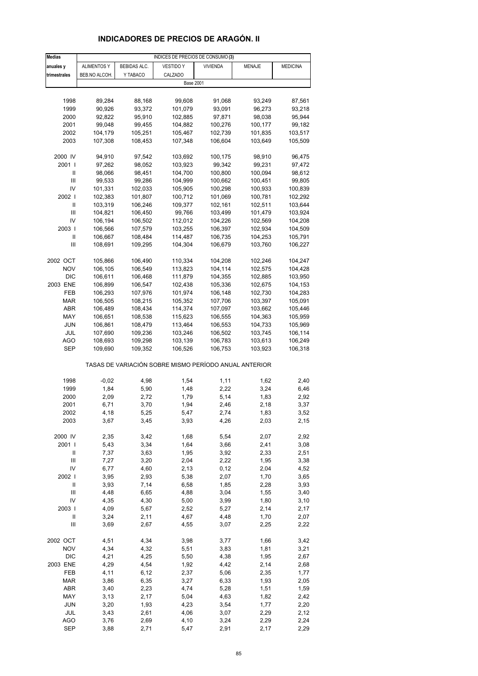# **INDICADORES DE PRECIOS DE ARAGÓN. II**

| <b>Medias</b>              | INDICES DE PRECIOS DE CONSUMO (3) |              |                                                       |                 |         |                 |
|----------------------------|-----------------------------------|--------------|-------------------------------------------------------|-----------------|---------|-----------------|
| anuales y                  | <b>ALIMENTOS Y</b>                | BEBIDAS ALC. | <b>VESTIDO Y</b>                                      | <b>VIVIENDA</b> | MENAJE  | <b>MEDICINA</b> |
| trimestrales               | BEB.NO ALCOH.                     | Y TABACO     | CALZADO                                               |                 |         |                 |
|                            |                                   |              | <b>Base 2001</b>                                      |                 |         |                 |
|                            |                                   |              |                                                       |                 |         |                 |
| 1998                       | 89,284                            | 88,168       | 99,608                                                | 91,068          | 93,249  | 87,561          |
| 1999                       | 90,926                            | 93,372       | 101,079                                               | 93,091          | 96,273  | 93,218          |
| 2000                       |                                   |              |                                                       |                 |         |                 |
|                            | 92,822                            | 95,910       | 102,885                                               | 97,871          | 98,038  | 95,944          |
| 2001                       | 99,048                            | 99,455       | 104,882                                               | 100,276         | 100,177 | 99,182          |
| 2002                       | 104,179                           | 105,251      | 105,467                                               | 102,739         | 101,835 | 103,517         |
| 2003                       | 107,308                           | 108,453      | 107,348                                               | 106,604         | 103,649 | 105,509         |
|                            |                                   |              | 103,692                                               |                 |         |                 |
| 2000 IV<br>2001 l          | 94,910                            | 97,542       |                                                       | 100,175         | 98,910  | 96,475          |
|                            | 97,262                            | 98,052       | 103,923                                               | 99,342          | 99,231  | 97,472          |
| Ш<br>Ш                     | 98,066                            | 98,451       | 104,700                                               | 100,800         | 100,094 | 98,612          |
| IV                         | 99,533                            | 99,286       | 104,999                                               | 100,662         | 100,451 | 99,805          |
|                            | 101,331                           | 102,033      | 105,905                                               | 100,298         | 100,933 | 100,839         |
| 2002                       | 102,383                           | 101,807      | 100,712                                               | 101,069         | 100,781 | 102,292         |
| Ш                          | 103,319                           | 106,246      | 109,377                                               | 102,161         | 102,511 | 103,644         |
| Ш                          | 104,821                           | 106,450      | 99,766                                                | 103,499         | 101,479 | 103,924         |
| IV                         | 106,194                           | 106,502      | 112,012                                               | 104,226         | 102,569 | 104,208         |
| 2003                       | 106,566                           | 107,579      | 103,255                                               | 106,397         | 102,934 | 104,509         |
| Ш                          | 106,667                           | 108,484      | 114,487                                               | 106,735         | 104,253 | 105,791         |
| Ш                          | 108,691                           | 109,295      | 104,304                                               | 106,679         | 103,760 | 106,227         |
|                            |                                   |              |                                                       |                 |         |                 |
| 2002 OCT                   | 105,866                           | 106,490      | 110,334                                               | 104,208         | 102,246 | 104,247         |
| <b>NOV</b>                 | 106,105                           | 106,549      | 113,823                                               | 104,114         | 102,575 | 104,428         |
| <b>DIC</b>                 | 106,611                           | 106,468      | 111,879                                               | 104,355         | 102,885 | 103,950         |
| 2003 ENE                   | 106,899                           | 106,547      | 102,438                                               | 105,336         | 102,675 | 104,153         |
| FEB                        | 106,293                           | 107,976      | 101,974                                               | 106,148         | 102,730 | 104,283         |
| MAR                        | 106,505                           | 108,215      | 105,352                                               | 107,706         | 103,397 | 105,091         |
| ABR                        | 106,489                           | 108,434      | 114,374                                               | 107,097         | 103,662 | 105,446         |
| MAY                        | 106,651                           | 108,538      | 115,623                                               | 106,555         | 104,363 | 105,959         |
| JUN                        | 106,861                           | 108,479      | 113,464                                               | 106,553         | 104,733 | 105,969         |
| JUL                        | 107,690                           | 109,236      | 103,246                                               | 106,502         | 103,745 | 106,114         |
| AGO                        | 108,693                           | 109,298      | 103,139                                               | 106,783         | 103,613 | 106,249         |
| SEP                        | 109,690                           | 109,352      | 106,526                                               | 106,753         | 103,923 | 106,318         |
|                            |                                   |              | TASAS DE VARIACIÓN SOBRE MISMO PERÍODO ANUAL ANTERIOR |                 |         |                 |
|                            |                                   |              |                                                       |                 |         |                 |
| 1998                       | $-0,02$                           | 4,98         | 1,54                                                  | 1,11            | 1,62    | 2,40            |
| 1999                       | 1,84                              | 5,90         | 1,48                                                  | 2,22            | 3,24    | 6,46            |
| 2000                       | 2,09                              | 2,72         | 1,79                                                  | 5,14            | 1,83    | 2,92            |
| 2001                       | 6,71                              | 3,70         | 1,94                                                  | 2,46            | 2,18    | 3,37            |
| 2002                       | 4,18                              | 5,25         | 5,47                                                  | 2,74            | 1,83    | 3,52            |
| 2003                       | 3,67                              | 3,45         | 3,93                                                  | 4,26            | 2,03    | 2,15            |
| 2000 IV                    | 2,35                              | 3,42         | 1,68                                                  | 5,54            | 2,07    | 2,92            |
|                            |                                   |              |                                                       |                 |         |                 |
| 2001 l                     | 5,43                              | 3,34         | 1,64                                                  | 3,66            | 2,41    | 3,08            |
| Ш                          | 7,37                              | 3,63         | 1,95                                                  | 3,92            | 2,33    | 2,51            |
| $\mathsf{III}$<br>IV       | 7,27                              | 3,20         | 2,04                                                  | 2,22            | 1,95    | 3,38            |
|                            | 6,77                              | 4,60         | 2,13                                                  | 0,12            | 2,04    | 4,52            |
| 2002                       | 3,95                              | 2,93         | 5,38                                                  | 2,07            | 1,70    | 3,65            |
| $\ensuremath{\mathsf{II}}$ | 3,93                              | 7,14         | 6,58                                                  | 1,85            | 2,28    | 3,93            |
| $\mathsf{III}$             | 4,48                              | 6,65         | 4,88                                                  | 3,04            | 1,55    | 3,40            |
| IV                         | 4,35                              | 4,30         | 5,00                                                  | 3,99            | 1,80    | 3,10            |
| 2003                       | 4,09                              | 5,67         | 2,52                                                  | 5,27            | 2,14    | 2,17            |
| $\sf II$                   | 3,24                              | 2,11         | 4,67                                                  | 4,48            | 1,70    | 2,07            |
| Ш                          | 3,69                              | 2,67         | 4,55                                                  | 3,07            | 2,25    | 2,22            |
| 2002 OCT                   | 4,51                              | 4,34         | 3,98                                                  | 3,77            | 1,66    | 3,42            |
| <b>NOV</b>                 | 4,34                              | 4,32         | 5,51                                                  | 3,83            | 1,81    | 3,21            |
| <b>DIC</b>                 | 4,21                              | 4,25         | 5,50                                                  | 4,38            | 1,95    | 2,67            |
| 2003 ENE                   | 4,29                              | 4,54         | 1,92                                                  | 4,42            | 2,14    | 2,68            |
| FEB                        | 4,11                              | 6, 12        | 2,37                                                  | 5,06            | 2,35    | 1,77            |
| <b>MAR</b>                 | 3,86                              | 6,35         | 3,27                                                  | 6,33            | 1,93    | 2,05            |
| ABR                        | 3,40                              | 2,23         | 4,74                                                  | 5,28            | 1,51    | 1,59            |
| MAY                        | 3,13                              | 2,17         | 5,04                                                  | 4,63            | 1,82    | 2,42            |
| JUN                        | 3,20                              | 1,93         | 4,23                                                  | 3,54            | 1,77    | 2,20            |
| JUL                        | 3,43                              | 2,61         | 4,06                                                  | 3,07            | 2,29    | 2,12            |
| <b>AGO</b>                 | 3,76                              | 2,69         | 4,10                                                  | 3,24            | 2,29    | 2,24            |
| <b>SEP</b>                 | 3,88                              | 2,71         | 5,47                                                  | 2,91            | 2,17    | 2,29            |
|                            |                                   |              |                                                       |                 |         |                 |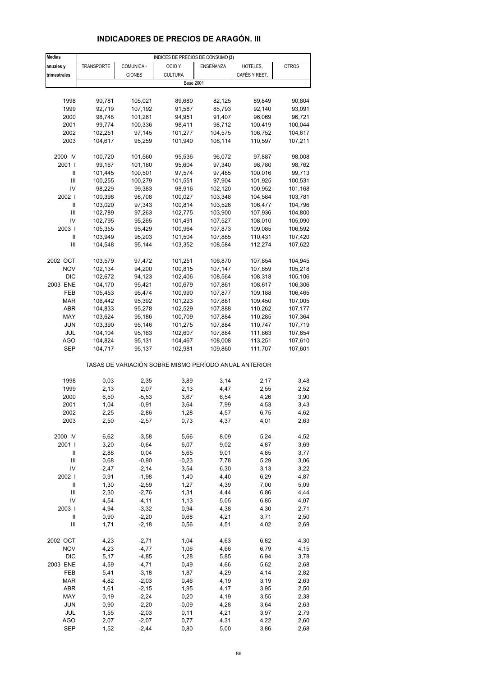# **INDICADORES DE PRECIOS DE ARAGÓN. III**

| <b>Medias</b>  |                   |                  | INDICES DE PRECIOS DE CONSUMO (3)                     |                    |                    |              |
|----------------|-------------------|------------------|-------------------------------------------------------|--------------------|--------------------|--------------|
| anuales y      | <b>TRANSPORTE</b> | COMUNICA -       | OCIO <sub>Y</sub>                                     | ENSEÑANZA          | HOTELES,           | <b>OTROS</b> |
| trimestrales   |                   | <b>CIONES</b>    | <b>CULTURA</b>                                        |                    | CAFÉS Y REST.      |              |
|                |                   |                  | <b>Base 2001</b>                                      |                    |                    |              |
|                |                   |                  |                                                       |                    |                    |              |
| 1998           | 90,781            | 105,021          | 89,680                                                | 82,125             | 89,849             | 90,804       |
| 1999           | 92,719            | 107,192          | 91,587                                                | 85,793             | 92,140             | 93,091       |
| 2000           | 98,748            | 101,261          | 94,951                                                | 91,407             | 96,069             | 96,721       |
| 2001           | 99,774            | 100,336          | 98,411                                                | 98,712             | 100,419            | 100,044      |
| 2002           | 102,251           | 97,145           | 101,277                                               | 104,575            | 106,752            | 104,617      |
| 2003           | 104,617           | 95,259           | 101,940                                               | 108,114            | 110,597            | 107,211      |
|                |                   |                  |                                                       |                    |                    |              |
| 2000 IV        | 100,720           | 101,560          | 95,536                                                | 96,072             | 97,887             | 98,008       |
| 2001 l         | 99,167            | 101,180          | 95,604                                                | 97,340             | 98,780             | 98,762       |
| Ш              | 101,445           | 100,501          | 97,574                                                | 97,485             | 100,016            | 99,713       |
| III            | 100,255           | 100,279          | 101,551                                               | 97,904             | 101,925            | 100,531      |
| IV             | 98,229            | 99,383           | 98,916                                                | 102,120            | 100,952            | 101,168      |
| 2002           | 100,398           | 98,708           | 100,027                                               | 103,348            | 104,584            | 103,781      |
| Ш              | 103,020           | 97,343           | 100,814                                               | 103,526            | 106,477            | 104,796      |
| Ш              | 102,789           | 97,263           | 102,775                                               | 103,900            | 107,936            | 104,800      |
| IV             | 102,795           | 95,265           | 101,491                                               | 107,527            | 108,010            | 105,090      |
| 2003           |                   |                  | 100,964                                               |                    | 109,085            |              |
|                | 105,355           | 95,429<br>95,203 | 101,504                                               | 107,873            |                    | 106,592      |
| Ш<br>Ш         | 103,949           |                  |                                                       | 107,885            | 110,431            | 107,420      |
|                | 104,548           | 95,144           | 103,352                                               | 108,584            | 112,274            | 107,622      |
| 2002 OCT       |                   |                  |                                                       |                    |                    |              |
| <b>NOV</b>     | 103,579           | 97,472           | 101,251                                               | 106,870<br>107,147 | 107,854<br>107,859 | 104,945      |
|                | 102,134           | 94,200           | 100,815                                               |                    |                    | 105,218      |
| <b>DIC</b>     | 102,672           | 94,123           | 102,406                                               | 108,564            | 108,318            | 105,106      |
| 2003 ENE       | 104,170           | 95,421           | 100,679                                               | 107,861            | 108,617            | 106,306      |
| FEB            | 105,453           | 95,474           | 100,990                                               | 107,877            | 109,188            | 106,465      |
| <b>MAR</b>     | 106,442           | 95,392           | 101,223                                               | 107,881            | 109,450            | 107,005      |
| ABR            | 104,833           | 95,278           | 102,529                                               | 107,888            | 110,262            | 107,177      |
| MAY            | 103,624           | 95,186           | 100,709                                               | 107,884            | 110,285            | 107,364      |
| JUN            | 103,390           | 95,146           | 101,275                                               | 107,884            | 110,747            | 107,719      |
| JUL            | 104,104           | 95,163           | 102,607                                               | 107,884            | 111,863            | 107,654      |
| AGO            | 104,824           | 95,131           | 104,467                                               | 108,008            | 113,251            | 107,610      |
| SEP            | 104,717           | 95,137           | 102,981                                               | 109,860            | 111,707            | 107,601      |
|                |                   |                  | TASAS DE VARIACIÓN SOBRE MISMO PERÍODO ANUAL ANTERIOR |                    |                    |              |
| 1998           | 0,03              | 2,35             | 3,89                                                  | 3,14               | 2,17               | 3,48         |
| 1999           | 2,13              | 2,07             | 2,13                                                  | 4,47               | 2,55               | 2,52         |
| 2000           | 6,50              | $-5,53$          | 3,67                                                  | 6,54               | 4,26               | 3,90         |
| 2001           | 1,04              | $-0,91$          | 3,64                                                  | 7,99               | 4,53               | 3,43         |
| 2002           | 2,25              | $-2,86$          | 1,28                                                  | 4,57               | 6,75               | 4,62         |
| 2003           | 2,50              | $-2,57$          | 0,73                                                  | 4,37               | 4,01               | 2,63         |
|                |                   |                  |                                                       |                    |                    |              |
| 2000 IV        | 6,62              | $-3,58$          | 5,66                                                  | 8,09               | 5,24               | 4,52         |
| 2001 l         | 3,20              | $-0,64$          | 6,07                                                  | 9,02               | 4,87               | 3,69         |
| Ш              | 2,88              | 0,04             | 5,65                                                  | 9,01               | 4,85               | 3,77         |
| $\mathsf{III}$ | 0,68              | $-0,90$          | $-0,23$                                               | 7,78               | 5,29               | 3,06         |
| IV             | $-2,47$           | $-2,14$          | 3,54                                                  | 6,30               | 3,13               | 3,22         |
| 2002           | 0,91              | $-1,98$          | 1,40                                                  | 4,40               | 6,29               | 4,87         |
| $\sf II$       | 1,30              | $-2,59$          | 1,27                                                  | 4,39               | 7,00               | 5,09         |
| $\mathsf{III}$ | 2,30              | $-2,76$          | 1,31                                                  | 4,44               | 6,86               | 4,44         |
| IV             | 4,54              | $-4, 11$         | 1,13                                                  | 5,05               | 6,85               | 4,07         |
| 2003           | 4,94              | $-3,32$          | 0,94                                                  | 4,38               | 4,30               | 2,71         |
| $\sf II$       | 0,90              | $-2,20$          | 0,68                                                  | 4,21               | 3,71               | 2,50         |
| Ш              | 1,71              | $-2,18$          | 0,56                                                  | 4,51               | 4,02               | 2,69         |
|                |                   |                  |                                                       |                    |                    |              |
| 2002 OCT       | 4,23              | $-2,71$          | 1,04                                                  | 4,63               | 6,82               | 4,30         |
| <b>NOV</b>     | 4,23              | $-4,77$          | 1,06                                                  | 4,66               | 6,79               | 4,15         |
| <b>DIC</b>     | 5,17              | $-4,85$          | 1,28                                                  | 5,85               | 6,94               | 3,78         |
| 2003 ENE       | 4,59              | $-4,71$          | 0,49                                                  | 4,66               | 5,62               | 2,68         |
| FEB            | 5,41              | $-3,18$          | 1,87                                                  | 4,29               | 4,14               | 2,82         |
| <b>MAR</b>     | 4,82              | $-2,03$          | 0,46                                                  | 4,19               | 3,19               | 2,63         |
| ABR            | 1,61              | $-2,15$          | 1,95                                                  | 4,17               | 3,95               | 2,50         |
| MAY            | 0, 19             | $-2,24$          | 0,20                                                  | 4,19               | 3,55               | 2,38         |
| JUN            | 0,90              | $-2,20$          | $-0,09$                                               | 4,28               | 3,64               | 2,63         |
| JUL            | 1,55              | $-2,03$          | 0,11                                                  | 4,21               | 3,97               | 2,79         |
| AGO            | 2,07              | $-2,07$          | 0,77                                                  | 4,31               | 4,22               | 2,60         |
| <b>SEP</b>     | 1,52              | $-2,44$          | 0,80                                                  | 5,00               | 3,86               | 2,68         |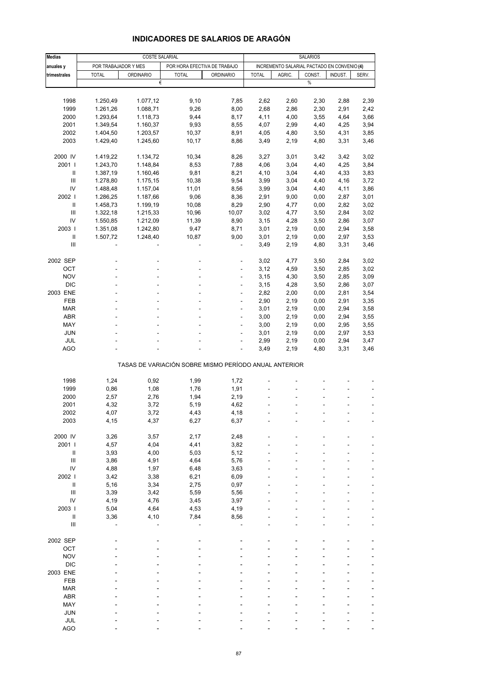| <b>Medias</b>                           | <b>COSTE SALARIAL</b> |                  |                                                       |                  |              | <b>SALARIOS</b>                             |        |         |       |  |
|-----------------------------------------|-----------------------|------------------|-------------------------------------------------------|------------------|--------------|---------------------------------------------|--------|---------|-------|--|
| anuales y                               | POR TRABAJADOR Y MES  |                  | POR HORA EFECTIVA DE TRABAJO                          |                  |              | INCREMENTO SALARIAL PACTADO EN CONVENIO (4) |        |         |       |  |
| trimestrales                            | <b>TOTAL</b>          | <b>ORDINARIO</b> | <b>TOTAL</b>                                          | <b>ORDINARIO</b> | <b>TOTAL</b> | AGRIC.                                      | CONST. | INDUST. | SERV. |  |
|                                         |                       | €                |                                                       |                  |              |                                             | $\%$   |         |       |  |
|                                         |                       |                  |                                                       |                  |              |                                             |        |         |       |  |
| 1998                                    | 1.250,49              | 1.077,12         | 9,10                                                  | 7,85             | 2,62         | 2,60                                        | 2,30   | 2,88    | 2,39  |  |
| 1999                                    | 1.261,26              | 1.088,71         | 9,26                                                  | 8,00             | 2,68         | 2,86                                        | 2,30   | 2,91    | 2,42  |  |
| 2000                                    | 1.293,64              | 1.118,73         | 9,44                                                  | 8,17             | 4,11         | 4,00                                        | 3,55   | 4,64    | 3,66  |  |
| 2001                                    | 1.349,54              | 1.160,37         | 9,93                                                  | 8,55             | 4,07         | 2,99                                        | 4,40   | 4,25    | 3,94  |  |
| 2002                                    | 1.404,50              | 1.203,57         | 10,37                                                 | 8,91             | 4,05         | 4,80                                        | 3,50   | 4,31    | 3,85  |  |
| 2003                                    | 1.429,40              | 1.245,60         | 10,17                                                 | 8,86             | 3,49         | 2,19                                        | 4,80   | 3,31    | 3,46  |  |
| 2000 IV                                 | 1.419,22              | 1.134,72         | 10,34                                                 | 8,26             | 3,27         | 3,01                                        | 3,42   | 3,42    | 3,02  |  |
| 2001 l                                  | 1.243,70              | 1.148,84         | 8,53                                                  | 7,88             | 4,06         | 3,04                                        | 4,40   | 4,25    | 3,84  |  |
| Ш                                       | 1.387,19              | 1.160,46         | 9,81                                                  | 8,21             | 4,10         | 3,04                                        | 4,40   | 4,33    | 3,83  |  |
| Ш                                       | 1.278,80              | 1.175,15         | 10,38                                                 | 9,54             | 3,99         | 3,04                                        | 4,40   | 4,16    | 3,72  |  |
| IV                                      | 1.488,48              | 1.157,04         | 11,01                                                 | 8,56             | 3,99         | 3,04                                        | 4,40   | 4,11    | 3,86  |  |
| 2002                                    | 1.286,25              | 1.187,66         | 9,06                                                  | 8,36             | 2,91         | 9,00                                        | 0,00   | 2,87    | 3,01  |  |
| Ш                                       | 1.458,73              | 1.199,19         | 10,08                                                 | 8,29             | 2,90         | 4,77                                        | 0,00   | 2,82    | 3,02  |  |
| Ш                                       | 1.322,18              | 1.215,33         | 10,96                                                 | 10,07            | 3,02         | 4,77                                        | 3,50   | 2,84    | 3,02  |  |
| IV                                      | 1.550,85              | 1.212,09         | 11,39                                                 | 8,90             | 3,15         | 4,28                                        | 3,50   | 2,86    | 3,07  |  |
| 2003                                    | 1.351,08              | 1.242,80         | 9,47                                                  | 8,71             | 3,01         | 2,19                                        | 0,00   | 2,94    | 3,58  |  |
| $\mathbf{II}$                           | 1.507,72              | 1.248,40         | 10,87                                                 | 9,00             | 3,01         | 2,19                                        | 0,00   | 2,97    | 3,53  |  |
| III                                     |                       |                  |                                                       |                  | 3,49         | 2,19                                        | 4,80   | 3,31    | 3,46  |  |
| 2002 SEP                                |                       |                  |                                                       | ÷,               | 3,02         | 4,77                                        | 3,50   | 2,84    | 3,02  |  |
| OCT                                     |                       |                  |                                                       |                  | 3,12         | 4,59                                        | 3,50   | 2,85    | 3,02  |  |
| <b>NOV</b>                              |                       |                  | ÷                                                     | $\overline{a}$   | 3,15         | 4,30                                        | 3,50   | 2,85    | 3,09  |  |
| <b>DIC</b>                              |                       |                  |                                                       | ÷                | 3,15         | 4,28                                        | 3,50   | 2,86    | 3,07  |  |
| 2003 ENE                                |                       |                  |                                                       |                  | 2,82         | 2,00                                        | 0,00   | 2,81    | 3,54  |  |
| FEB                                     |                       |                  | ä,                                                    | ÷                | 2,90         | 2,19                                        | 0,00   | 2,91    | 3,35  |  |
| <b>MAR</b>                              |                       |                  |                                                       | ä,               | 3,01         | 2,19                                        | 0,00   | 2,94    | 3,58  |  |
| ABR                                     |                       |                  |                                                       |                  | 3,00         | 2,19                                        | 0,00   | 2,94    | 3,55  |  |
| MAY                                     |                       |                  | ä,                                                    | ÷,               | 3,00         | 2,19                                        | 0,00   | 2,95    | 3,55  |  |
| <b>JUN</b>                              |                       |                  |                                                       | ä,               | 3,01         | 2,19                                        | 0,00   | 2,97    | 3,53  |  |
| JUL                                     |                       |                  |                                                       | ÷,               | 2,99         | 2,19                                        | 0,00   | 2,94    | 3,47  |  |
| <b>AGO</b>                              |                       |                  |                                                       | ÷,               | 3,49         | 2,19                                        | 4,80   | 3,31    | 3,46  |  |
|                                         |                       |                  | TASAS DE VARIACIÓN SOBRE MISMO PERÍODO ANUAL ANTERIOR |                  |              |                                             |        |         |       |  |
| 1998                                    | 1,24                  | 0,92             | 1,99                                                  | 1,72             |              |                                             |        |         |       |  |
| 1999                                    | 0,86                  | 1,08             | 1,76                                                  | 1,91             |              |                                             |        |         |       |  |
| 2000                                    | 2,57                  | 2,76             | 1,94                                                  | 2,19             |              |                                             |        |         |       |  |
| 2001                                    | 4,32                  | 3,72             | 5,19                                                  | 4,62             |              |                                             |        |         |       |  |
| 2002                                    | 4,07                  | 3,72             | 4,43                                                  | 4,18             |              |                                             |        |         |       |  |
| 2003                                    | 4,15                  | 4,37             | 6,27                                                  | 6,37             |              |                                             |        |         |       |  |
|                                         |                       |                  |                                                       |                  |              |                                             |        |         |       |  |
| 2000 IV                                 | 3,26                  | 3,57             | 2,17                                                  | 2,48             |              |                                             |        |         |       |  |
| 2001 l                                  | 4,57                  | 4,04             | 4,41                                                  | 3,82             |              |                                             |        |         |       |  |
| $\sf II$                                | 3,93                  | 4,00             | 5,03                                                  | 5,12             |              |                                             |        |         |       |  |
| $\ensuremath{\mathsf{III}}\xspace$      | 3,86                  | 4,91             | 4,64                                                  | 5,76             |              |                                             |        |         |       |  |
| IV                                      | 4,88                  | 1,97             | 6,48                                                  | 3,63             |              |                                             |        |         |       |  |
| 2002                                    | 3,42                  | 3,38             | 6,21                                                  | 6,09             |              |                                             |        |         |       |  |
| Ш                                       | 5,16                  | 3,34             | 2,75                                                  | 0,97             |              |                                             |        |         |       |  |
| Ш                                       | 3,39                  | 3,42             | 5,59                                                  | 5,56             |              |                                             |        |         |       |  |
| ${\sf IV}$                              | 4,19                  | 4,76             | 3,45                                                  | 3,97             |              |                                             |        |         |       |  |
| 2003                                    | 5,04                  | 4,64             | 4,53                                                  | 4,19             |              |                                             |        |         |       |  |
| Ш<br>$\ensuremath{\mathsf{III}}\xspace$ | 3,36                  | 4,10             | 7,84                                                  | 8,56             |              |                                             |        |         |       |  |
|                                         |                       |                  |                                                       |                  |              |                                             |        |         |       |  |
| 2002 SEP                                |                       |                  |                                                       |                  |              |                                             |        |         |       |  |
| OCT                                     |                       |                  |                                                       |                  |              |                                             |        |         |       |  |
| <b>NOV</b>                              |                       |                  |                                                       |                  |              |                                             |        |         |       |  |
| <b>DIC</b>                              |                       |                  |                                                       |                  |              |                                             |        |         |       |  |
| 2003 ENE                                |                       |                  |                                                       |                  |              |                                             |        |         |       |  |
| FEB                                     |                       |                  |                                                       |                  |              |                                             |        |         |       |  |
| <b>MAR</b>                              |                       |                  |                                                       |                  |              |                                             |        |         |       |  |
| ABR                                     |                       |                  |                                                       |                  |              |                                             |        |         |       |  |
| MAY                                     |                       |                  |                                                       |                  |              |                                             |        |         |       |  |
| <b>JUN</b>                              |                       |                  |                                                       |                  |              |                                             |        |         |       |  |
| <b>JUL</b>                              |                       |                  |                                                       |                  |              |                                             |        |         |       |  |

### **INDICADORES DE SALARIOS DE ARAGÓN**

AGO - - - - - - ---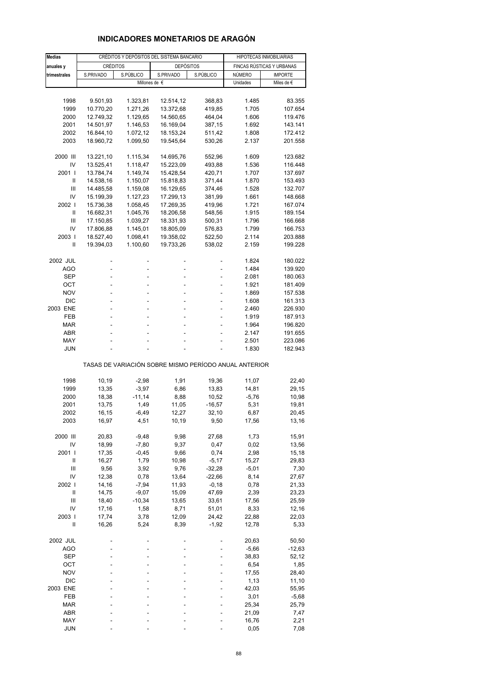# **INDICADORES MONETARIOS DE ARAGÓN**

| <b>Medias</b>     | CRÉDITOS Y DEPÓSITOS DEL SISTEMA BANCARIO |                          |                                                       |                      | HIPOTECAS INMOBILIARIAS   |                    |  |
|-------------------|-------------------------------------------|--------------------------|-------------------------------------------------------|----------------------|---------------------------|--------------------|--|
| anuales y         | <b>CRÉDITOS</b>                           |                          | <b>DEPÓSITOS</b>                                      |                      | FINCAS RÚSTICAS Y URBANAS |                    |  |
| trimestrales      | S.PRIVADO                                 | S.PÚBLICO                | S.PRIVADO                                             | S.PÚBLICO            | NÚMERO                    | <b>IMPORTE</b>     |  |
|                   |                                           |                          | Millones de €                                         |                      | Unidades                  | Miles de €         |  |
|                   |                                           |                          |                                                       |                      |                           |                    |  |
| 1998              | 9.501,93                                  | 1.323,81                 | 12.514,12                                             | 368,83               | 1.485                     | 83.355             |  |
| 1999              | 10.770,20                                 | 1.271,26                 | 13.372,68                                             | 419,85               | 1.705                     | 107.654            |  |
| 2000              | 12.749,32                                 | 1.129,65                 | 14.560,65                                             | 464,04               | 1.606                     | 119.476            |  |
| 2001              | 14.501,97                                 | 1.146,53                 | 16.169,04                                             | 387,15               | 1.692                     | 143.141            |  |
| 2002              | 16.844,10                                 | 1.072,12                 | 18.153,24                                             | 511,42               | 1.808                     | 172.412            |  |
| 2003              | 18.960,72                                 | 1.099,50                 | 19.545,64                                             | 530,26               | 2.137                     | 201.558            |  |
|                   |                                           |                          |                                                       |                      |                           |                    |  |
| 2000 III<br>IV    | 13.221,10<br>13.525,41                    | 1.115,34<br>1.118,47     | 14.695,76<br>15.223,09                                | 552,96<br>493,88     | 1.609<br>1.536            | 123.682<br>116.448 |  |
| 2001 l            | 13.784,74                                 | 1.149,74                 | 15.428,54                                             | 420,71               | 1.707                     | 137.697            |  |
| Ш                 | 14.538,16                                 | 1.150,07                 | 15.818,83                                             | 371,44               | 1.870                     | 153.493            |  |
| Ш                 | 14.485,58                                 | 1.159,08                 | 16.129,65                                             | 374,46               | 1.528                     | 132.707            |  |
| IV                | 15.199,39                                 | 1.127,23                 | 17.299,13                                             | 381,99               | 1.661                     | 148.668            |  |
| 2002              | 15.736,38                                 | 1.058,45                 | 17.269,35                                             | 419,96               | 1.721                     | 167.074            |  |
| Ш                 | 16.682,31                                 | 1.045,76                 | 18.206,58                                             | 548,56               | 1.915                     | 189.154            |  |
| Ш                 | 17.150,85                                 | 1.039,27                 | 18.331,93                                             | 500,31               | 1.796                     | 166.668            |  |
| IV                | 17.806,88                                 | 1.145,01                 | 18.805,09                                             | 576,83               | 1.799                     | 166.753            |  |
| 2003              | 18.527,40                                 | 1.098,41                 | 19.358,02                                             | 522,50               | 2.114                     | 203.888            |  |
| Ш                 | 19.394,03                                 | 1.100,60                 | 19.733,26                                             | 538,02               | 2.159                     | 199.228            |  |
|                   |                                           |                          |                                                       |                      |                           |                    |  |
| 2002 JUL          |                                           |                          |                                                       |                      | 1.824                     | 180.022            |  |
| AGO               | L,                                        | ä,                       | L,                                                    |                      | 1.484<br>2.081            | 139.920            |  |
| SEP<br>ОСТ        | ÷.                                        | $\overline{\phantom{a}}$ | ä,                                                    | ÷,                   | 1.921                     | 180.063<br>181.409 |  |
| <b>NOV</b>        |                                           | ÷.                       |                                                       |                      | 1.869                     | 157.538            |  |
| <b>DIC</b>        |                                           |                          |                                                       |                      | 1.608                     | 161.313            |  |
| 2003 ENE          | ÷                                         | $\overline{\phantom{a}}$ | ä,                                                    | ä,                   | 2.460                     | 226.930            |  |
| FEB               |                                           | L,                       |                                                       |                      | 1.919                     | 187.913            |  |
| <b>MAR</b>        |                                           |                          |                                                       |                      | 1.964                     | 196.820            |  |
| ABR               |                                           | ÷                        | ÷                                                     | ä,                   | 2.147                     | 191.655            |  |
| MAY               |                                           |                          |                                                       |                      | 2.501                     | 223.086            |  |
| JUN               |                                           |                          |                                                       |                      | 1.830                     | 182.943            |  |
|                   |                                           |                          | TASAS DE VARIACIÓN SOBRE MISMO PERÍODO ANUAL ANTERIOR |                      |                           |                    |  |
| 1998              | 10,19                                     | $-2,98$                  | 1,91                                                  | 19,36                | 11,07                     | 22,40              |  |
| 1999              | 13,35                                     | $-3,97$                  | 6,86                                                  | 13,83                | 14,81                     | 29,15              |  |
| 2000              | 18,38                                     | $-11,14$                 | 8,88                                                  | 10,52                | $-5,76$                   | 10,98              |  |
| 2001              | 13,75                                     | 1,49                     | 11,05                                                 | $-16,57$             | 5,31                      | 19,81              |  |
| 2002              | 16,15                                     | -6,49                    | 12,27                                                 | 32,10                | 6,87                      | 20,45              |  |
| 2003              | 16,97                                     | 4,51                     | 10,19                                                 | 9,50                 | 17,56                     | 13,16              |  |
|                   |                                           |                          |                                                       |                      |                           |                    |  |
| 2000 III          | 20,83                                     | $-9,48$                  | 9,98                                                  | 27,68                | 1,73                      | 15,91              |  |
| IV                | 18,99                                     | $-7,80$                  | 9,37                                                  | 0,47                 | 0,02                      | 13,56              |  |
| 2001              | 17,35                                     | $-0,45$                  | 9,66                                                  | 0,74                 | 2,98                      | 15,18              |  |
| Ш<br>Ш            | 16,27                                     | 1,79                     | 10,98                                                 | $-5,17$              | 15,27                     | 29,83              |  |
| IV                | 9,56<br>12,38                             | 3,92<br>0,78             | 9,76<br>13,64                                         | $-32,28$<br>$-22,66$ | $-5,01$<br>8,14           | 7,30<br>27,67      |  |
| 2002              | 14,16                                     | $-7,94$                  | 11,93                                                 | $-0,18$              | 0,78                      | 21,33              |  |
| $\sf II$          | 14,75                                     | $-9,07$                  | 15,09                                                 | 47,69                | 2,39                      | 23,23              |  |
| $\mathsf{III}$    | 18,40                                     | $-10,34$                 | 13,65                                                 | 33,61                | 17,56                     | 25,59              |  |
| IV                | 17,16                                     | 1,58                     | 8,71                                                  | 51,01                | 8,33                      | 12,16              |  |
| 2003              | 17,74                                     | 3,78                     | 12,09                                                 | 24,42                | 22,88                     | 22,03              |  |
| Ш                 | 16,26                                     | 5,24                     | 8,39                                                  | $-1,92$              | 12,78                     | 5,33               |  |
|                   |                                           |                          |                                                       |                      |                           |                    |  |
| 2002 JUL          |                                           |                          |                                                       |                      | 20,63                     | 50,50              |  |
| <b>AGO</b>        |                                           |                          |                                                       |                      | $-5,66$                   | $-12,63$           |  |
| <b>SEP</b>        |                                           |                          |                                                       |                      | 38,83                     | 52,12              |  |
| ост               |                                           |                          |                                                       |                      | 6,54                      | 1,85               |  |
| <b>NOV</b>        |                                           |                          |                                                       |                      | 17,55                     | 28,40              |  |
| <b>DIC</b>        |                                           |                          |                                                       |                      | 1,13                      | 11,10              |  |
| 2003 ENE          |                                           |                          |                                                       |                      | 42,03                     | 55,95              |  |
| FEB<br><b>MAR</b> |                                           |                          |                                                       |                      | 3,01<br>25,34             | $-5,68$<br>25,79   |  |
| ABR               |                                           |                          |                                                       |                      | 21,09                     | 7,47               |  |
| MAY               |                                           |                          |                                                       |                      | 16,76                     | 2,21               |  |
| JUN               |                                           |                          |                                                       |                      | 0,05                      | 7,08               |  |